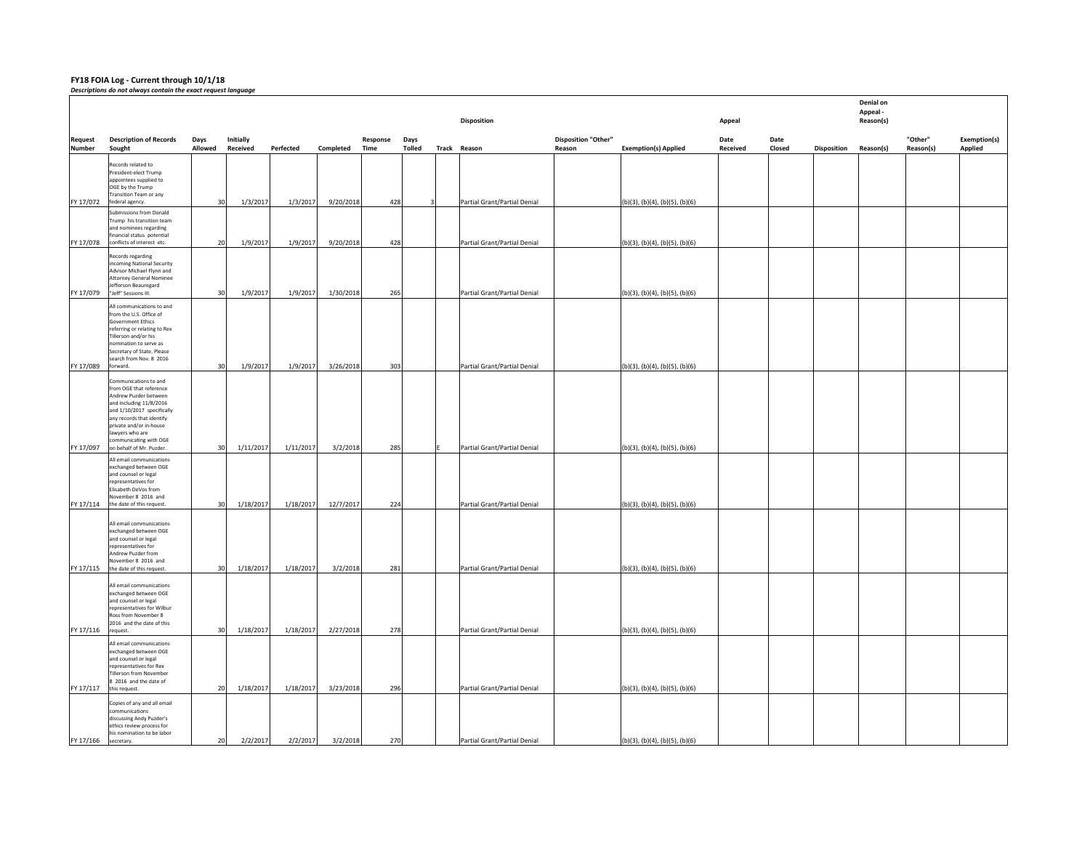**FY18 FOIA Log ‐ Current through 10/1/18** *Descriptions do not always contain the exact request language*

|                        |                                                                                                                                                                                                                                                                   |                 |                        |                        |                        |                  |                       | Disposition                                                  |                                      |                                                                  | Appeal           |                |                    | Denial on<br>Appeal -<br>Reason(s) |                      |                         |
|------------------------|-------------------------------------------------------------------------------------------------------------------------------------------------------------------------------------------------------------------------------------------------------------------|-----------------|------------------------|------------------------|------------------------|------------------|-----------------------|--------------------------------------------------------------|--------------------------------------|------------------------------------------------------------------|------------------|----------------|--------------------|------------------------------------|----------------------|-------------------------|
| Request<br>Number      | <b>Description of Records</b><br>Sought                                                                                                                                                                                                                           | Days<br>Allowed | Initially<br>Received  | Perfected              | Completed              | Response<br>Time | Days<br><b>Tolled</b> | Track Reason                                                 | <b>Disposition "Other"</b><br>Reason | <b>Exemption(s) Applied</b>                                      | Date<br>Received | Date<br>Closed | <b>Disposition</b> | Reason(s)                          | "Other"<br>Reason(s) | Exemption(s)<br>Applied |
| FY 17/072              | Records related to<br>President-elect Trump<br>appointees supplied to<br>OGE by the Trump<br>Transition Team or any<br>federal agency.                                                                                                                            | 30              | 1/3/2017               | 1/3/2017               | 9/20/2018              | 428              |                       | Partial Grant/Partial Denial                                 |                                      | (b)(3), (b)(4), (b)(5), (b)(6)                                   |                  |                |                    |                                    |                      |                         |
| FY 17/078              | submissions from Donald<br>Trump his transition team<br>and nominees regarding<br>financial status potential<br>conflicts of interest etc.                                                                                                                        | 20              | 1/9/2017               | 1/9/2017               | 9/20/2018              | 428              |                       | Partial Grant/Partial Denial                                 |                                      | (b)(3), (b)(4), (b)(5), (b)(6)                                   |                  |                |                    |                                    |                      |                         |
|                        | Records regarding<br>incoming National Security<br>Advisor Michael Flynn and<br><b>Attorney General Nominee</b><br>Jefferson Beauregard                                                                                                                           |                 |                        |                        |                        |                  |                       |                                                              |                                      |                                                                  |                  |                |                    |                                    |                      |                         |
| FY 17/079<br>FY 17/089 | "Jeff" Sessions III.<br>All communications to and<br>from the U.S. Office of<br><b>Government Ethics</b><br>referring or relating to Rex<br>Tillerson and/or his<br>nomination to serve as<br>Secretary of State. Please<br>search from Nov. 8 2016<br>forward.   | 30<br>30        | 1/9/2017<br>1/9/2017   | 1/9/2017<br>1/9/2017   | 1/30/2018<br>3/26/2018 | 265<br>303       |                       | Partial Grant/Partial Denial<br>Partial Grant/Partial Denial |                                      | (b)(3), (b)(4), (b)(5), (b)(6)<br>(b)(3), (b)(4), (b)(5), (b)(6) |                  |                |                    |                                    |                      |                         |
| FY 17/097              | Communications to and<br>from OGE that reference<br>Andrew Puzder between<br>and including 11/8/2016<br>and 1/10/2017 specifically<br>any records that identify<br>private and/or in-house<br>lawyers who are<br>mmunicating with OGE<br>on behalf of Mr. Puzder. | 30              | 1/11/2017              | 1/11/2017              | 3/2/2018               | 285              |                       | Partial Grant/Partial Denial                                 |                                      | (b)(3), (b)(4), (b)(5), (b)(6)                                   |                  |                |                    |                                    |                      |                         |
| FY 17/114              | All email communications<br>exchanged between OGE<br>and counsel or legal<br>representatives for<br>Elisabeth DeVos from<br>November 8 2016 and<br>the date of this request.                                                                                      | 30              | 1/18/2017              | 1/18/2017              | 12/7/2017              | 224              |                       | Partial Grant/Partial Denial                                 |                                      | (b)(3), (b)(4), (b)(5), (b)(6)                                   |                  |                |                    |                                    |                      |                         |
| FY 17/115              | All email communications<br>exchanged between OGE<br>and counsel or legal<br>representatives for<br>Andrew Puzder from<br>November 8 2016 and<br>the date of this request.                                                                                        | 30              | 1/18/2017              | 1/18/2017              | 3/2/2018               | 281              |                       | Partial Grant/Partial Denial                                 |                                      | (b)(3), (b)(4), (b)(5), (b)(6)                                   |                  |                |                    |                                    |                      |                         |
|                        | All email communications<br>exchanged between OGE<br>and counsel or legal<br>representatives for Wilbur<br>Ross from November 8<br>2016 and the date of this                                                                                                      |                 |                        |                        |                        |                  |                       |                                                              |                                      |                                                                  |                  |                |                    |                                    |                      |                         |
| FY 17/116<br>FY 17/117 | request.<br>All email communications<br>exchanged between OGE<br>and counsel or legal<br>representatives for Rex<br>Tillerson from November<br>8 2016 and the date of<br>this request.                                                                            | 30<br>20        | 1/18/2017<br>1/18/2017 | 1/18/2017<br>1/18/2017 | 2/27/2018<br>3/23/2018 | 278<br>296       |                       | Partial Grant/Partial Denial<br>Partial Grant/Partial Denial |                                      | (b)(3), (b)(4), (b)(5), (b)(6)<br>(b)(3), (b)(4), (b)(5), (b)(6) |                  |                |                    |                                    |                      |                         |
| FY 17/166              | Copies of any and all email<br>mmunications<br>discussing Andy Puzder's<br>ethics review process for<br>his nomination to be labor<br>secretary.                                                                                                                  | 20              | 2/2/2017               | 2/2/2017               | 3/2/2018               | 270              |                       | Partial Grant/Partial Denial                                 |                                      | (b)(3), (b)(4), (b)(5), (b)(6)                                   |                  |                |                    |                                    |                      |                         |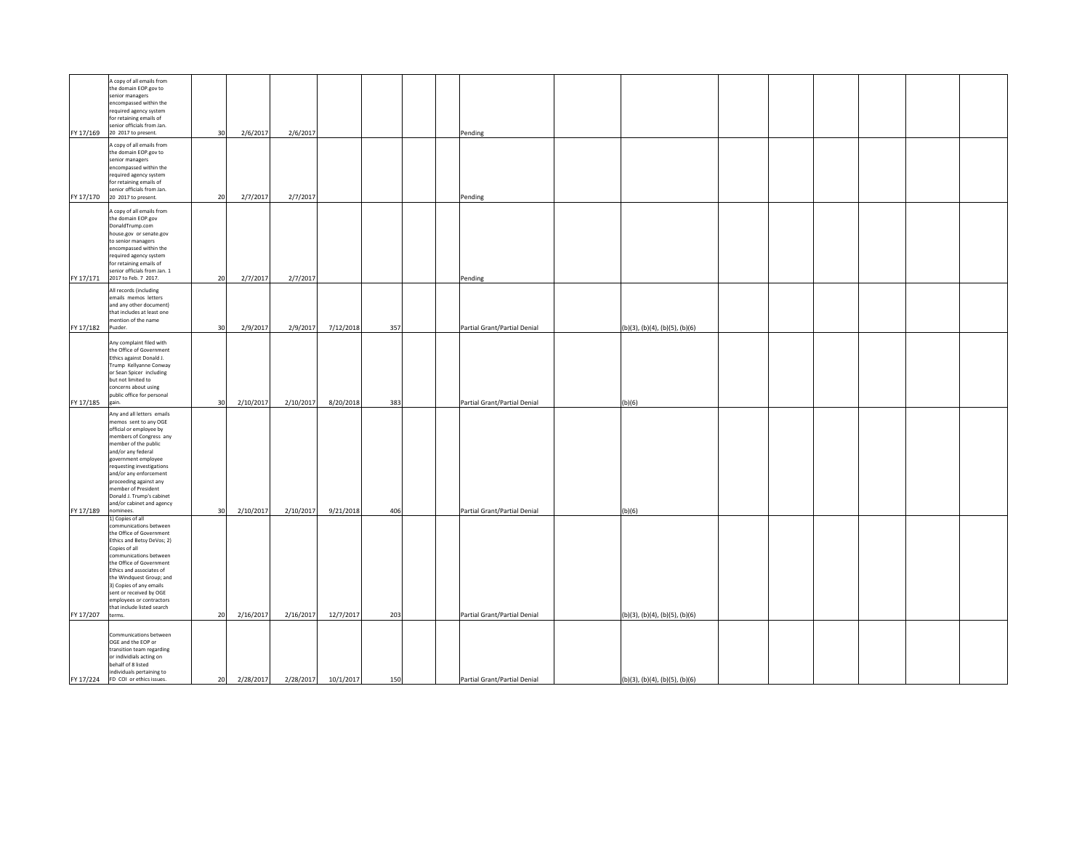| FY 17/169 | A copy of all emails from<br>the domain EOP.gov to<br>senior managers<br>encompassed within the<br>required agency system<br>for retaining emails of<br>senior officials from Jan.<br>20 2017 to present.                                                                                                                                                     | 30 | 2/6/2017  | 2/6/2017  |                     |     | Pending                      |                                           |  |  |
|-----------|---------------------------------------------------------------------------------------------------------------------------------------------------------------------------------------------------------------------------------------------------------------------------------------------------------------------------------------------------------------|----|-----------|-----------|---------------------|-----|------------------------------|-------------------------------------------|--|--|
| FY 17/170 | A copy of all emails from<br>the domain EOP.gov to<br>senior managers<br>encompassed within the<br>required agency system<br>for retaining emails of<br>senior officials from Jan.<br>20 2017 to present.                                                                                                                                                     | 20 | 2/7/2017  | 2/7/2017  |                     |     | Pending                      |                                           |  |  |
| FY 17/171 | A copy of all emails from<br>the domain EOP.gov<br>DonaldTrump.com<br>house.gov or senate.gov<br>to senior managers<br>encompassed within the<br>required agency system<br>for retaining emails of<br>senior officials from Jan. 1<br>2017 to Feb. 7 2017.                                                                                                    | 20 | 2/7/2017  | 2/7/2017  |                     |     | Pending                      |                                           |  |  |
| FY 17/182 | All records (including<br>emails memos letters<br>and any other document)<br>that includes at least one<br>mention of the name<br>Puzder.                                                                                                                                                                                                                     | 30 | 2/9/2017  | 2/9/2017  | 7/12/2018           | 357 | Partial Grant/Partial Denial | (b)(3), (b)(4), (b)(5), (b)(6)            |  |  |
| FY 17/185 | Any complaint filed with<br>the Office of Government<br>Ethics against Donald J.<br>Trump Kellyanne Conway<br>or Sean Spicer including<br>but not limited to<br>concerns about using<br>public office for personal<br>gain.                                                                                                                                   | 30 | 2/10/2017 | 2/10/2017 | 8/20/2018           | 383 | Partial Grant/Partial Denial | (b)(6)                                    |  |  |
| FY 17/189 | Any and all letters emails<br>memos sent to any OGE<br>official or employee by<br>members of Congress any<br>member of the public<br>and/or any federal<br>government employee<br>requesting investigations<br>and/or any enforcement<br>proceeding against any<br>member of President<br>Donald J. Trump's cabinet<br>and/or cabinet and agency<br>nominees. | 30 | 2/10/2017 | 2/10/2017 | 9/21/2018           | 406 | Partial Grant/Partial Denial | (b)(6)                                    |  |  |
| FY 17/207 | 1) Copies of all<br>communications between<br>the Office of Government<br>Ethics and Betsy DeVos; 2)<br>Copies of all<br>communications between<br>the Office of Government<br>Ethics and associates of<br>the Windquest Group; and<br>3) Copies of any emails<br>sent or received by OGE<br>employees or contractors<br>that include listed search<br>terms. | 20 | 2/16/2017 | 2/16/2017 | 12/7/2017           | 203 | Partial Grant/Partial Denial | (b)(3), (b)(4), (b)(5), (b)(6)            |  |  |
|           | Communications between<br>OGE and the EOP or<br>transition team regarding<br>or individials acting on<br>behalf of 8 listed<br>individuals pertaining to<br>FY 17/224 FD COI or ethics issues.                                                                                                                                                                | 20 | 2/28/2017 |           | 2/28/2017 10/1/2017 | 150 | Partial Grant/Partial Denial | $(b)(3)$ , $(b)(4)$ , $(b)(5)$ , $(b)(6)$ |  |  |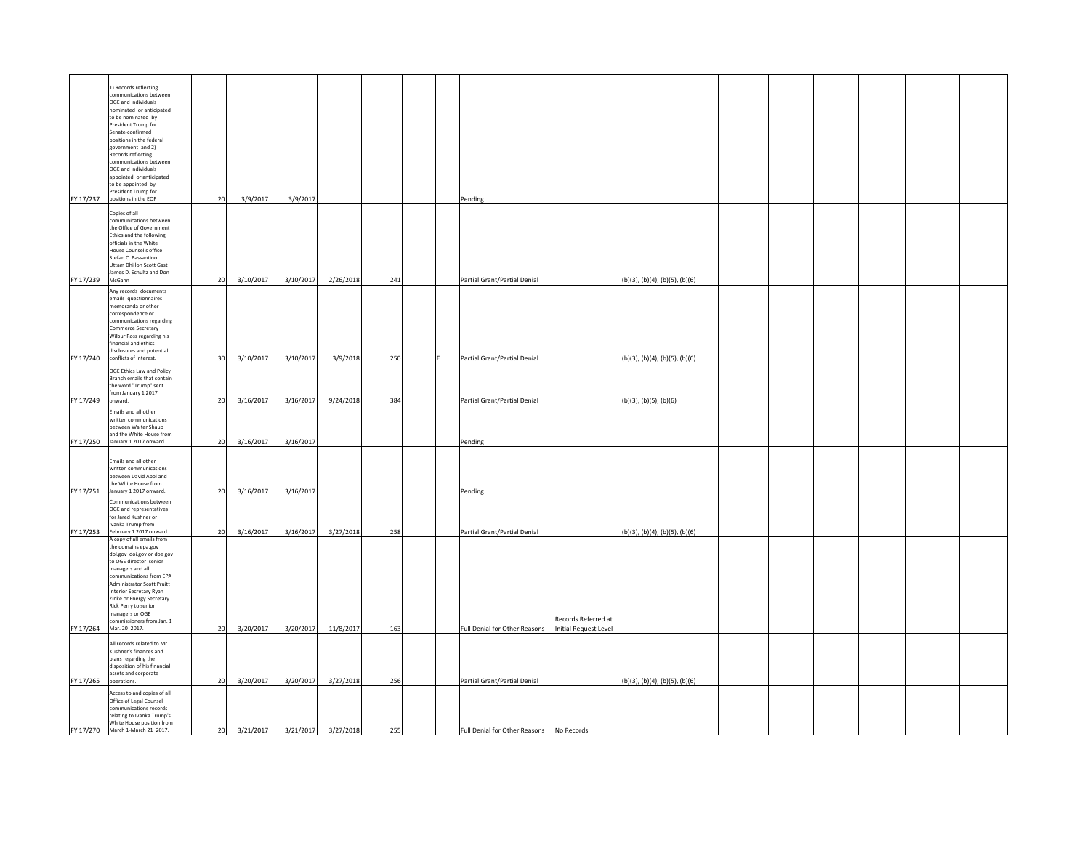| FY 17/237         | 1) Records reflecting<br>communications between<br>OGE and individuals<br>nominated or anticipated<br>to be nominated by<br>President Trump for<br>Senate-confirmed<br>positions in the federal<br>government and 2)<br>Records reflecting<br>communications between<br>OGE and individuals<br>appointed or anticipated<br>to be appointed by<br>President Trump for<br>positions in the EOP | 20 | 3/9/2017  | 3/9/2017            |           |     |  | Pending                                    |                                              |                                |  |  |  |
|-------------------|----------------------------------------------------------------------------------------------------------------------------------------------------------------------------------------------------------------------------------------------------------------------------------------------------------------------------------------------------------------------------------------------|----|-----------|---------------------|-----------|-----|--|--------------------------------------------|----------------------------------------------|--------------------------------|--|--|--|
| FY 17/239 McGahn  | Copies of all<br>communications between<br>the Office of Government<br>Ethics and the following<br>officials in the White<br>House Counsel's office:<br>Stefan C. Passantino<br>Uttam Dhillon Scott Gast<br>James D. Schultz and Don                                                                                                                                                         | 20 | 3/10/2017 | 3/10/2017 2/26/2018 |           | 241 |  | Partial Grant/Partial Denial               |                                              | (b)(3), (b)(4), (b)(5), (b)(6) |  |  |  |
| FY 17/240         | Any records documents<br>emails questionnaires<br>memoranda or other<br>correspondence or<br>communications regarding<br>Commerce Secretary<br>Wilbur Ross regarding his<br>financial and ethics<br>disclosures and potential<br>conflicts of interest.                                                                                                                                      | 30 | 3/10/2017 | 3/10/2017           | 3/9/2018  | 250 |  | Partial Grant/Partial Denial               |                                              | (b)(3), (b)(4), (b)(5), (b)(6) |  |  |  |
| FY 17/249 onward. | OGE Ethics Law and Policy<br>Branch emails that contain<br>the word "Trump" sent<br>from January 1 2017                                                                                                                                                                                                                                                                                      | 20 | 3/16/2017 | 3/16/2017           | 9/24/2018 | 384 |  | Partial Grant/Partial Denial               |                                              | (b)(3), (b)(5), (b)(6)         |  |  |  |
| FY 17/250         | Emails and all other<br>written communications<br>between Walter Shaub<br>and the White House from<br>January 1 2017 onward.                                                                                                                                                                                                                                                                 | 20 | 3/16/2017 | 3/16/2017           |           |     |  | Pending                                    |                                              |                                |  |  |  |
| FY 17/251         | Emails and all other<br>written communications<br>between David Apol and<br>the White House from<br>January 1 2017 onward.                                                                                                                                                                                                                                                                   | 20 | 3/16/2017 | 3/16/2017           |           |     |  | Pending                                    |                                              |                                |  |  |  |
|                   | Communications between<br>OGE and representatives<br>for Jared Kushner or<br>Ivanka Trump from<br>FY 17/253 February 1 2017 onward                                                                                                                                                                                                                                                           | 20 | 3/16/2017 | 3/16/2017           | 3/27/2018 | 258 |  | Partial Grant/Partial Denial               |                                              | (b)(3), (b)(4), (b)(5), (b)(6) |  |  |  |
|                   | A copy of all emails from<br>the domains epa.gov<br>dol.gov doi.gov or doe gov<br>to OGE director senior<br>managers and all<br>communications from EPA<br>Administrator Scott Pruitt<br>Interior Secretary Ryan<br>Zinke or Energy Secretary<br>Rick Perry to senior<br>managers or OGE<br>commissioners from Jan. 1<br>FY 17/264 Mar. 20 2017.                                             | 20 | 3/20/2017 | 3/20/2017           | 11/8/2017 | 163 |  | Full Denial for Other Reasons              | Records Referred at<br>Initial Request Level |                                |  |  |  |
|                   | All records related to Mr.                                                                                                                                                                                                                                                                                                                                                                   |    |           |                     |           |     |  |                                            |                                              |                                |  |  |  |
| FY 17/265         | Kushner's finances and<br>plans regarding the<br>disposition of his financial<br>assets and corporate<br>operations.                                                                                                                                                                                                                                                                         | 20 | 3/20/2017 | 3/20/2017           | 3/27/2018 | 256 |  | Partial Grant/Partial Denial               |                                              | (b)(3), (b)(4), (b)(5), (b)(6) |  |  |  |
|                   | Access to and copies of all<br>Office of Legal Counsel<br>communications records<br>relating to Ivanka Trump's<br>White House position from<br>FY 17/270 March 1-March 21 2017.                                                                                                                                                                                                              | 20 | 3/21/2017 | 3/21/2017           | 3/27/2018 | 255 |  | Full Denial for Other Reasons   No Records |                                              |                                |  |  |  |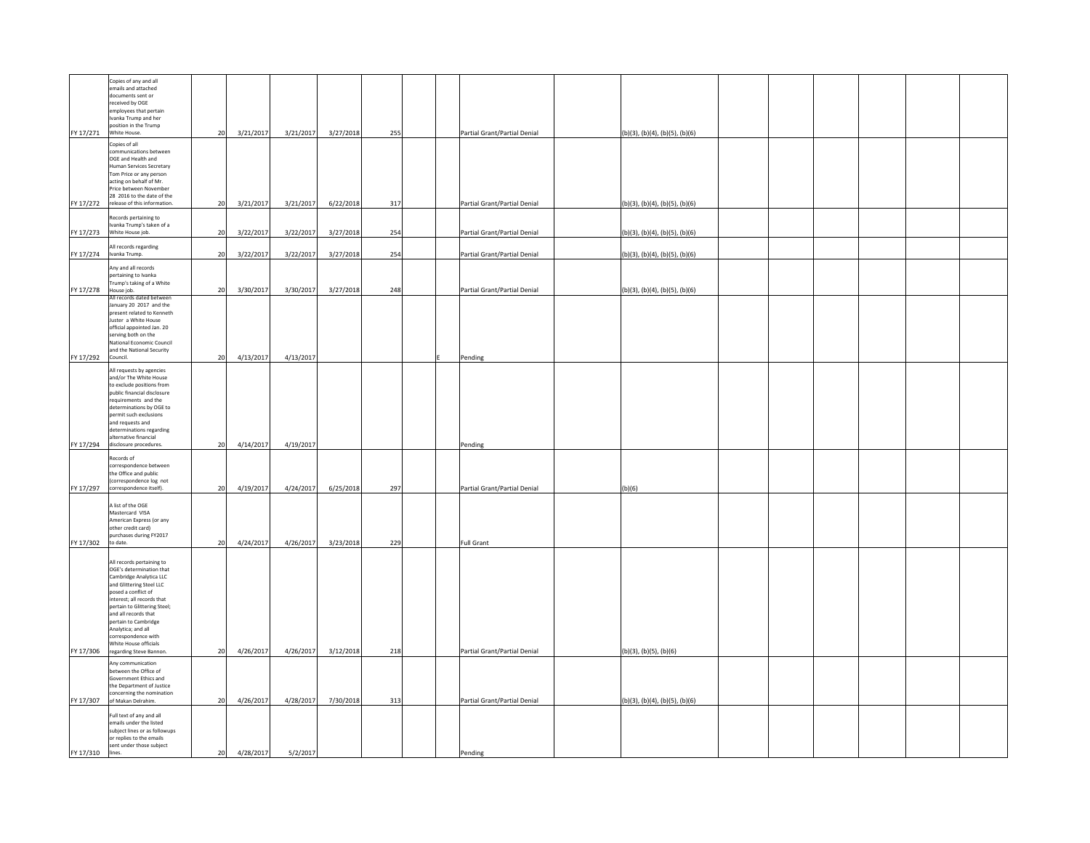|                        | Copies of any and all<br>emails and attached<br>documents sent or<br>received by OGE<br>employees that pertain<br>Ivanka Trump and her<br>position in the Trump<br>FY 17/271 White House.                                                                                                                                                          | 20       | 3/21/2017              | 3/21/2017              | 3/27/2018              | 255        | Partial Grant/Partial Denial                                 | (b)(3), (b)(4), (b)(5), (b)(6)                                   |  |  |  |
|------------------------|----------------------------------------------------------------------------------------------------------------------------------------------------------------------------------------------------------------------------------------------------------------------------------------------------------------------------------------------------|----------|------------------------|------------------------|------------------------|------------|--------------------------------------------------------------|------------------------------------------------------------------|--|--|--|
|                        | Copies of all<br>communications between<br>OGE and Health and<br>Human Services Secretary<br>Tom Price or any person<br>acting on behalf of Mr.<br>Price between November<br>28 2016 to the date of the<br>release of this information.                                                                                                            |          |                        |                        |                        |            |                                                              |                                                                  |  |  |  |
| FY 17/272<br>FY 17/273 | Records pertaining to<br>Ivanka Trump's taken of a<br>White House job.                                                                                                                                                                                                                                                                             | 20<br>20 | 3/21/2017<br>3/22/2017 | 3/21/2017<br>3/22/2017 | 6/22/2018<br>3/27/2018 | 317<br>254 | Partial Grant/Partial Denial<br>Partial Grant/Partial Denial | (b)(3), (b)(4), (b)(5), (b)(6)<br>(b)(3), (b)(4), (b)(5), (b)(6) |  |  |  |
| FY 17/274              | All records regarding<br>Ivanka Trump.                                                                                                                                                                                                                                                                                                             | 20       | 3/22/2017              | 3/22/2017              | 3/27/2018              | 254        | Partial Grant/Partial Denial                                 | (b)(3), (b)(4), (b)(5), (b)(6)                                   |  |  |  |
| FY 17/278              | Any and all records<br>pertaining to Ivanka<br>Trump's taking of a White<br>House job.                                                                                                                                                                                                                                                             | 20       | 3/30/2017              | 3/30/2017              | 3/27/2018              | 248        | Partial Grant/Partial Denial                                 | (b)(3), (b)(4), (b)(5), (b)(6)                                   |  |  |  |
| FY 17/292              | All records dated between<br>January 20 2017 and the<br>present related to Kenneth<br>Juster a White House<br>official appointed Jan. 20<br>serving both on the<br>National Economic Council<br>and the National Security<br>Council.                                                                                                              | 20       | 4/13/2017              | 4/13/2017              |                        |            | Pending                                                      |                                                                  |  |  |  |
|                        | All requests by agencies<br>and/or The White House<br>to exclude positions from<br>public financial disclosure<br>requirements and the<br>determinations by OGE to<br>ermit such exclusions<br>and requests and<br>determinations regarding<br>alternative financial<br>FY 17/294 disclosure procedures.                                           | 20       | 4/14/2017              | 4/19/2017              |                        |            | Pending                                                      |                                                                  |  |  |  |
| FY 17/297              | Records of<br>correspondence between<br>the Office and public<br>(correspondence log not<br>correspondence itself).                                                                                                                                                                                                                                | 20       | 4/19/2017              | 4/24/2017              | 6/25/2018              | 297        | Partial Grant/Partial Denial                                 | (b)(6)                                                           |  |  |  |
| FY 17/302              | A list of the OGE<br>Mastercard VISA<br>American Express (or any<br>other credit card)<br>ourchases during FY2017<br>to date.                                                                                                                                                                                                                      | 20       | 4/24/2017              | 4/26/2017              | 3/23/2018              | 229        | <b>Full Grant</b>                                            |                                                                  |  |  |  |
| FY 17/306              | All records pertaining to<br>OGE's determination that<br>Cambridge Analytica LLC<br>and Glittering Steel LLC<br>posed a conflict of<br>interest; all records that<br>pertain to Glittering Steel;<br>and all records that<br>pertain to Cambridge<br>Analytica; and all<br>correspondence with<br>White House officials<br>regarding Steve Bannon. | 20       | 4/26/2017              | 4/26/2017              | 3/12/2018              | 218        | Partial Grant/Partial Denial                                 | (b)(3), (b)(5), (b)(6)                                           |  |  |  |
| FY 17/307              | Any communication<br>between the Office of<br>Government Ethics and<br>the Department of Justice<br>concerning the nomination<br>of Makan Delrahim.                                                                                                                                                                                                | 20       | 4/26/2017              | 4/28/2017              | 7/30/2018              | 313        | Partial Grant/Partial Denial                                 | (b)(3), (b)(4), (b)(5), (b)(6)                                   |  |  |  |
| FY 17/310              | Full text of any and all<br>emails under the listed<br>subject lines or as followups<br>or replies to the emails<br>sent under those subject<br>lines.                                                                                                                                                                                             | 20       | 4/28/2017              | 5/2/2017               |                        |            | Pending                                                      |                                                                  |  |  |  |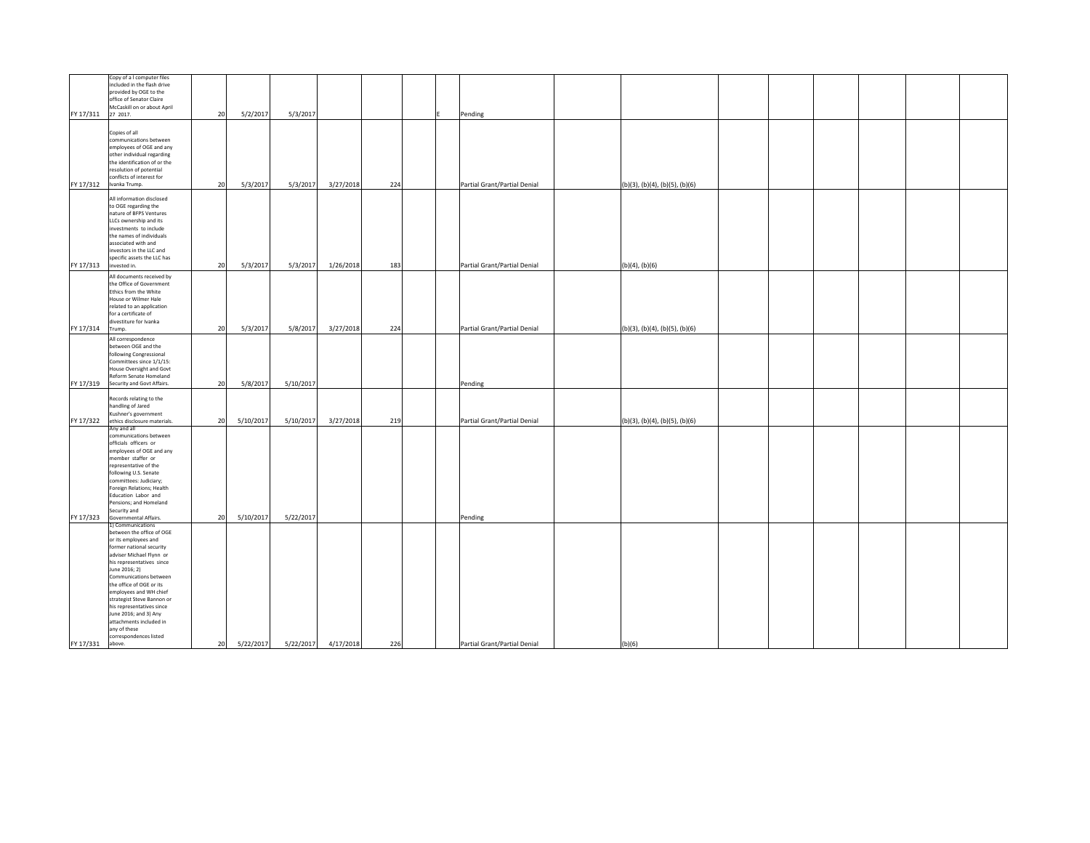| FY 17/311 27 2017.     | Copy of a I computer files<br>included in the flash drive<br>provided by OGE to the<br>office of Senator Claire<br>McCaskill on or about April                                                                                                                                                                                                                                                                        | 20 | 5/2/2017  | 5/3/2017  |           |     | Pending                      |                                           |  |  |
|------------------------|-----------------------------------------------------------------------------------------------------------------------------------------------------------------------------------------------------------------------------------------------------------------------------------------------------------------------------------------------------------------------------------------------------------------------|----|-----------|-----------|-----------|-----|------------------------------|-------------------------------------------|--|--|
|                        | Copies of all<br>communications between<br>employees of OGE and any<br>other individual regarding<br>the identification of or the<br>resolution of potential<br>conflicts of interest for<br>FY 17/312 Ivanka Trump.                                                                                                                                                                                                  | 20 | 5/3/2017  | 5/3/2017  | 3/27/2018 | 224 | Partial Grant/Partial Denial | $(b)(3)$ , $(b)(4)$ , $(b)(5)$ , $(b)(6)$ |  |  |
| FY 17/313 invested in. | All information disclosed<br>to OGE regarding the<br>nature of BFPS Ventures<br>LLCs ownership and its<br>investments to include<br>the names of individuals<br>associated with and<br>investors in the LLC and<br>specific assets the LLC has                                                                                                                                                                        | 20 | 5/3/2017  | 5/3/2017  | 1/26/2018 | 183 | Partial Grant/Partial Denial | $(b)(4)$ , $(b)(6)$                       |  |  |
| FY 17/314 Trump.       | All documents received by<br>the Office of Government<br>Ethics from the White<br>House or Wilmer Hale<br>related to an application<br>for a certificate of<br>divestiture for Ivanka                                                                                                                                                                                                                                 | 20 | 5/3/2017  | 5/8/2017  | 3/27/2018 | 224 | Partial Grant/Partial Denial | $(b)(3)$ , $(b)(4)$ , $(b)(5)$ , $(b)(6)$ |  |  |
|                        | All correspondence<br>between OGE and the<br>following Congressional<br>Committees since 1/1/15:<br>House Oversight and Govt<br>Reform Senate Homeland<br>FY 17/319 Security and Govt Affairs.                                                                                                                                                                                                                        | 20 | 5/8/2017  | 5/10/2017 |           |     | Pending                      |                                           |  |  |
|                        | Records relating to the<br>handling of Jared<br>Kushner's government<br>FY 17/322 ethics disclosure materials.                                                                                                                                                                                                                                                                                                        | 20 | 5/10/2017 | 5/10/2017 | 3/27/2018 | 219 | Partial Grant/Partial Denial | (b)(3), (b)(4), (b)(5), (b)(6)            |  |  |
| FY 17/323              | Any and all<br>communications between<br>officials officers or<br>employees of OGE and any<br>member staffer or<br>representative of the<br>following U.S. Senate<br>committees: Judiciary;<br>Foreign Relations; Health<br>Education Labor and<br>Pensions; and Homeland<br>Security and<br>Governmental Affairs.                                                                                                    | 20 | 5/10/2017 | 5/22/2017 |           |     | Pending                      |                                           |  |  |
|                        | 1) Communications<br>between the office of OGE<br>or its employees and<br>former national security<br>adviser Michael Flynn or<br>his representatives since<br>June 2016; 2)<br>Communications between<br>the office of OGE or its<br>employees and WH chief<br>strategist Steve Bannon or<br>his representatives since<br>June 2016; and 3) Any<br>attachments included in<br>any of these<br>correspondences listed |    |           |           |           |     |                              |                                           |  |  |
| FY 17/331              | above.                                                                                                                                                                                                                                                                                                                                                                                                                | 20 | 5/22/2017 | 5/22/2017 | 4/17/2018 | 226 | Partial Grant/Partial Denial | (b)(6)                                    |  |  |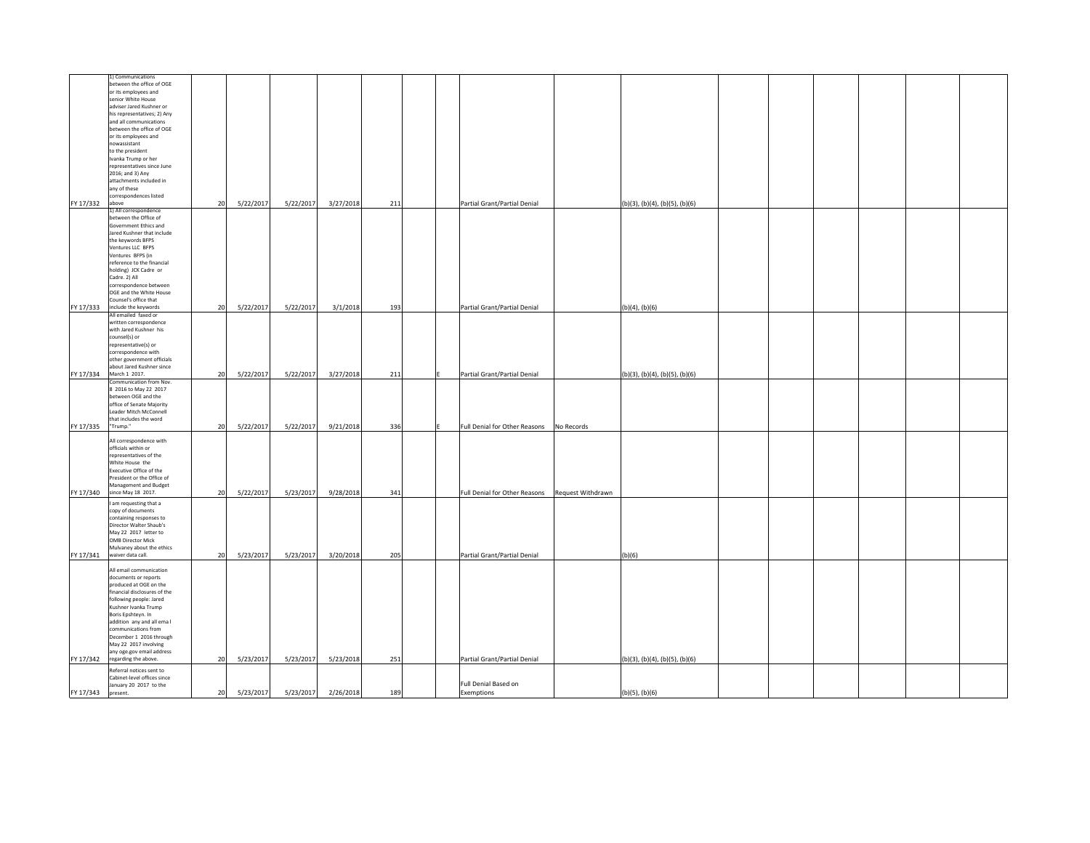|                   | 1) Communications               |    |           |           |           |     |  |                               |                   |                                |  |  |  |
|-------------------|---------------------------------|----|-----------|-----------|-----------|-----|--|-------------------------------|-------------------|--------------------------------|--|--|--|
|                   | between the office of OGE       |    |           |           |           |     |  |                               |                   |                                |  |  |  |
|                   | or its employees and            |    |           |           |           |     |  |                               |                   |                                |  |  |  |
|                   | senior White House              |    |           |           |           |     |  |                               |                   |                                |  |  |  |
|                   | adviser Jared Kushner or        |    |           |           |           |     |  |                               |                   |                                |  |  |  |
|                   | his representatives; 2) Any     |    |           |           |           |     |  |                               |                   |                                |  |  |  |
|                   | and all communications          |    |           |           |           |     |  |                               |                   |                                |  |  |  |
|                   | between the office of OGE       |    |           |           |           |     |  |                               |                   |                                |  |  |  |
|                   | or its employees and            |    |           |           |           |     |  |                               |                   |                                |  |  |  |
|                   | nowassistant                    |    |           |           |           |     |  |                               |                   |                                |  |  |  |
|                   | to the president                |    |           |           |           |     |  |                               |                   |                                |  |  |  |
|                   | Ivanka Trump or her             |    |           |           |           |     |  |                               |                   |                                |  |  |  |
|                   | representatives since June      |    |           |           |           |     |  |                               |                   |                                |  |  |  |
|                   | 2016; and 3) Any                |    |           |           |           |     |  |                               |                   |                                |  |  |  |
|                   | attachments included in         |    |           |           |           |     |  |                               |                   |                                |  |  |  |
|                   | any of these                    |    |           |           |           |     |  |                               |                   |                                |  |  |  |
|                   | correspondences listed<br>above |    |           |           |           |     |  |                               |                   |                                |  |  |  |
| FY 17/332         | 1) All correspondence           | 20 | 5/22/2017 | 5/22/2017 | 3/27/2018 | 211 |  | Partial Grant/Partial Denial  |                   | (b)(3), (b)(4), (b)(5), (b)(6) |  |  |  |
|                   | between the Office of           |    |           |           |           |     |  |                               |                   |                                |  |  |  |
|                   | Government Ethics and           |    |           |           |           |     |  |                               |                   |                                |  |  |  |
|                   | Jared Kushner that include      |    |           |           |           |     |  |                               |                   |                                |  |  |  |
|                   | the keywords BFPS               |    |           |           |           |     |  |                               |                   |                                |  |  |  |
|                   | Ventures LLC BFPS               |    |           |           |           |     |  |                               |                   |                                |  |  |  |
|                   | Ventures BFPS (in               |    |           |           |           |     |  |                               |                   |                                |  |  |  |
|                   | reference to the financial      |    |           |           |           |     |  |                               |                   |                                |  |  |  |
|                   | holding) JCK Cadre or           |    |           |           |           |     |  |                               |                   |                                |  |  |  |
|                   | Cadre. 2) All                   |    |           |           |           |     |  |                               |                   |                                |  |  |  |
|                   | correspondence between          |    |           |           |           |     |  |                               |                   |                                |  |  |  |
|                   | OGE and the White House         |    |           |           |           |     |  |                               |                   |                                |  |  |  |
|                   | Counsel's office that           |    |           |           |           |     |  |                               |                   |                                |  |  |  |
|                   | FY 17/333 include the keywords  | 20 | 5/22/2017 | 5/22/2017 | 3/1/2018  | 193 |  | Partial Grant/Partial Denial  |                   | (b)(4), (b)(6)                 |  |  |  |
|                   | All emailed faxed or            |    |           |           |           |     |  |                               |                   |                                |  |  |  |
|                   | written correspondence          |    |           |           |           |     |  |                               |                   |                                |  |  |  |
|                   | with Jared Kushner his          |    |           |           |           |     |  |                               |                   |                                |  |  |  |
|                   | counsel(s) or                   |    |           |           |           |     |  |                               |                   |                                |  |  |  |
|                   | representative(s) or            |    |           |           |           |     |  |                               |                   |                                |  |  |  |
|                   | correspondence with             |    |           |           |           |     |  |                               |                   |                                |  |  |  |
|                   | other government officials      |    |           |           |           |     |  |                               |                   |                                |  |  |  |
|                   | about Jared Kushner since       |    |           |           |           |     |  |                               |                   |                                |  |  |  |
|                   | FY 17/334 March 1 2017.         | 20 | 5/22/2017 | 5/22/2017 | 3/27/2018 | 211 |  | Partial Grant/Partial Denial  |                   | (b)(3), (b)(4), (b)(5), (b)(6) |  |  |  |
|                   | Communication from Nov.         |    |           |           |           |     |  |                               |                   |                                |  |  |  |
|                   | 8 2016 to May 22 2017           |    |           |           |           |     |  |                               |                   |                                |  |  |  |
|                   | between OGE and the             |    |           |           |           |     |  |                               |                   |                                |  |  |  |
|                   | office of Senate Majority       |    |           |           |           |     |  |                               |                   |                                |  |  |  |
|                   | Leader Mitch McConnell          |    |           |           |           |     |  |                               |                   |                                |  |  |  |
|                   | that includes the word          |    |           |           |           |     |  |                               |                   |                                |  |  |  |
| FY 17/335 Trump." |                                 | 20 | 5/22/2017 | 5/22/2017 | 9/21/2018 | 336 |  | Full Denial for Other Reasons | No Records        |                                |  |  |  |
|                   |                                 |    |           |           |           |     |  |                               |                   |                                |  |  |  |
|                   | All correspondence with         |    |           |           |           |     |  |                               |                   |                                |  |  |  |
|                   | officials within or             |    |           |           |           |     |  |                               |                   |                                |  |  |  |
|                   | representatives of the          |    |           |           |           |     |  |                               |                   |                                |  |  |  |
|                   | White House the                 |    |           |           |           |     |  |                               |                   |                                |  |  |  |
|                   | Executive Office of the         |    |           |           |           |     |  |                               |                   |                                |  |  |  |
|                   | President or the Office of      |    |           |           |           |     |  |                               |                   |                                |  |  |  |
|                   | Management and Budget           |    |           |           |           |     |  |                               |                   |                                |  |  |  |
|                   | FY 17/340 since May 18 2017.    | 20 | 5/22/2017 | 5/23/2017 | 9/28/2018 | 341 |  | Full Denial for Other Reasons | Request Withdrawn |                                |  |  |  |
|                   | I am requesting that a          |    |           |           |           |     |  |                               |                   |                                |  |  |  |
|                   | copy of documents               |    |           |           |           |     |  |                               |                   |                                |  |  |  |
|                   | containing responses to         |    |           |           |           |     |  |                               |                   |                                |  |  |  |
|                   | Director Walter Shaub's         |    |           |           |           |     |  |                               |                   |                                |  |  |  |
|                   | May 22 2017 letter to           |    |           |           |           |     |  |                               |                   |                                |  |  |  |
|                   | <b>OMB Director Mick</b>        |    |           |           |           |     |  |                               |                   |                                |  |  |  |
|                   | Mulvaney about the ethics       |    |           |           |           |     |  |                               |                   |                                |  |  |  |
| FY 17/341         | waiver data call.               | 20 | 5/23/2017 | 5/23/2017 | 3/20/2018 | 205 |  | Partial Grant/Partial Denial  |                   | (b)(6)                         |  |  |  |
|                   |                                 |    |           |           |           |     |  |                               |                   |                                |  |  |  |
|                   | All email communication         |    |           |           |           |     |  |                               |                   |                                |  |  |  |
|                   | documents or reports            |    |           |           |           |     |  |                               |                   |                                |  |  |  |
|                   | produced at OGE on the          |    |           |           |           |     |  |                               |                   |                                |  |  |  |
|                   | financial disclosures of the    |    |           |           |           |     |  |                               |                   |                                |  |  |  |
|                   | following people: Jared         |    |           |           |           |     |  |                               |                   |                                |  |  |  |
|                   | Kushner Ivanka Trump            |    |           |           |           |     |  |                               |                   |                                |  |  |  |
|                   | Boris Epshteyn. In              |    |           |           |           |     |  |                               |                   |                                |  |  |  |
|                   | addition any and all emal       |    |           |           |           |     |  |                               |                   |                                |  |  |  |
|                   | communications from             |    |           |           |           |     |  |                               |                   |                                |  |  |  |
|                   | December 1 2016 through         |    |           |           |           |     |  |                               |                   |                                |  |  |  |
|                   | May 22 2017 involving           |    |           |           |           |     |  |                               |                   |                                |  |  |  |
|                   | any oge.gov email address       |    |           |           |           |     |  |                               |                   |                                |  |  |  |
|                   | FY 17/342 regarding the above.  | 20 | 5/23/2017 | 5/23/2017 | 5/23/2018 | 251 |  | Partial Grant/Partial Denial  |                   | (b)(3), (b)(4), (b)(5), (b)(6) |  |  |  |
|                   | Referral notices sent to        |    |           |           |           |     |  |                               |                   |                                |  |  |  |
|                   | Cabinet-level offices since     |    |           |           |           |     |  |                               |                   |                                |  |  |  |
|                   | January 20 2017 to the          |    |           |           |           |     |  | Full Denial Based on          |                   |                                |  |  |  |
| FY 17/343         | present.                        | 20 | 5/23/2017 | 5/23/2017 | 2/26/2018 | 189 |  | Exemptions                    |                   | $(b)(5)$ , $(b)(6)$            |  |  |  |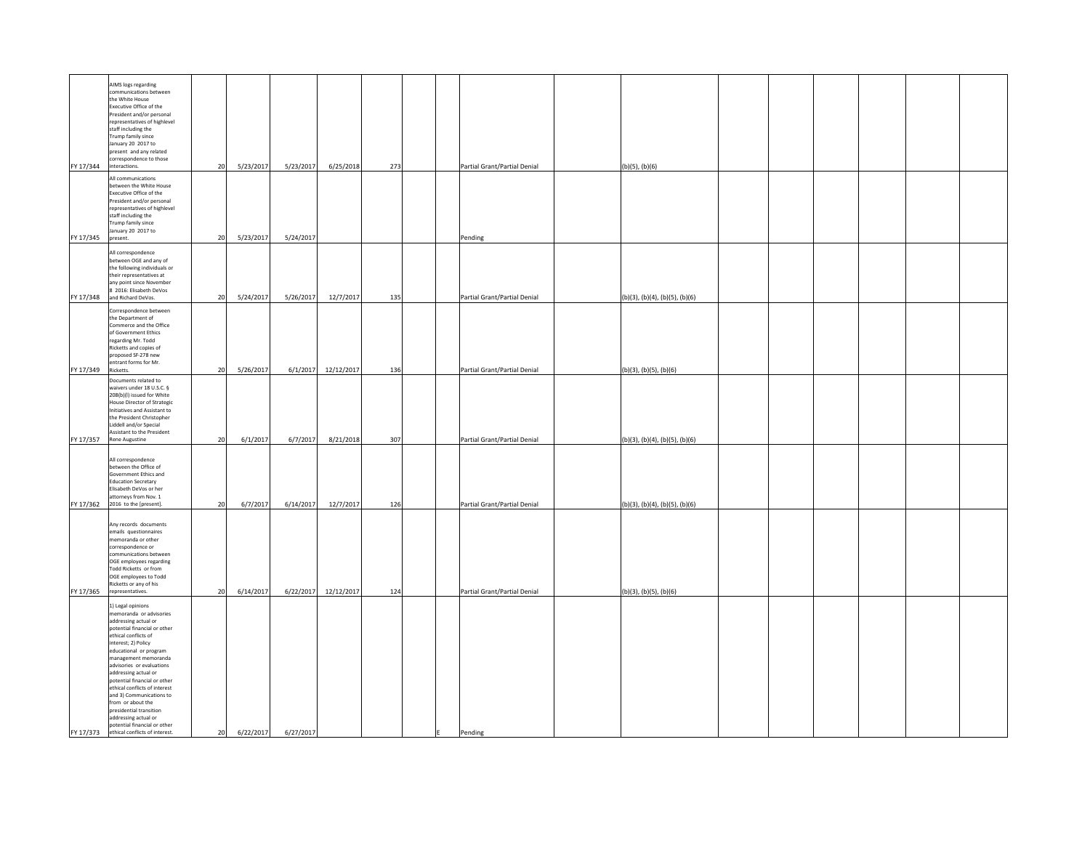| FY 17/344 | AIMS logs regarding<br>communications between<br>the White House<br>Executive Office of the<br>President and/or personal<br>representatives of highlevel<br>staff including the<br>Trump family since<br>January 20 2017 to<br>present and any related<br>correspondence to those<br>interactions.                                                                                                                                                                                                | 20       | 5/23/2017            | 5/23/2017             | 6/25/2018              | 273        |   | Partial Grant/Partial Denial                                 | (b)(5), (b)(6)                                                   |  |  |  |
|-----------|---------------------------------------------------------------------------------------------------------------------------------------------------------------------------------------------------------------------------------------------------------------------------------------------------------------------------------------------------------------------------------------------------------------------------------------------------------------------------------------------------|----------|----------------------|-----------------------|------------------------|------------|---|--------------------------------------------------------------|------------------------------------------------------------------|--|--|--|
| FY 17/345 | All communications<br>between the White House<br>Executive Office of the<br>President and/or personal<br>representatives of highlevel<br>staff including the<br>Trump family since<br>January 20 2017 to<br>present.                                                                                                                                                                                                                                                                              | 20       | 5/23/2017            | 5/24/2017             |                        |            |   | Pending                                                      |                                                                  |  |  |  |
| FY 17/348 | All correspondence<br>between OGE and any of<br>the following individuals or<br>their representatives at<br>any point since November<br>8 2016: Elisabeth DeVos<br>and Richard DeVos.                                                                                                                                                                                                                                                                                                             | 20       | 5/24/2017            | 5/26/2017             | 12/7/2017              | 135        |   | Partial Grant/Partial Denial                                 | (b)(3), (b)(4), (b)(5), (b)(6)                                   |  |  |  |
|           | Correspondence between<br>the Department of<br>Commerce and the Office<br>of Government Ethics<br>regarding Mr. Todd<br>Ricketts and copies of<br>proposed SF-278 new<br>entrant forms for Mr.                                                                                                                                                                                                                                                                                                    |          |                      |                       |                        |            |   |                                                              |                                                                  |  |  |  |
| FY 17/349 | Ricketts.<br>Documents related to<br>waivers under 18 U.S.C. §<br>208(b)(l) issued for White<br>House Director of Strategic<br>Initiatives and Assistant to<br>the President Christopher<br>Liddell and/or Special<br>Assistant to the President                                                                                                                                                                                                                                                  | 20       | 5/26/2017            |                       | 6/1/2017 12/12/2017    | 136        |   | Partial Grant/Partial Denial                                 | (b)(3), (b)(5), (b)(6)                                           |  |  |  |
| FY 17/357 | <b>Rene Augustine</b><br>All correspondence<br>between the Office of<br>Government Ethics and<br><b>Education Secretary</b><br>Elisabeth DeVos or her<br>attorneys from Nov. 1<br>FY 17/362 2016 to the [present].                                                                                                                                                                                                                                                                                | 20<br>20 | 6/1/2017<br>6/7/2017 | 6/7/2017<br>6/14/2017 | 8/21/2018<br>12/7/2017 | 307<br>126 |   | Partial Grant/Partial Denial<br>Partial Grant/Partial Denial | (b)(3), (b)(4), (b)(5), (b)(6)<br>(b)(3), (b)(4), (b)(5), (b)(6) |  |  |  |
|           | Any records documents<br>emails questionnaires<br>memoranda or other<br>correspondence or<br>communications between<br>OGE employees regarding<br>Todd Ricketts or from<br>OGE employees to Todd<br>Ricketts or any of his<br>FY 17/365 representatives.                                                                                                                                                                                                                                          | 20       | 6/14/2017            |                       | 6/22/2017 12/12/2017   | 124        |   | Partial Grant/Partial Denial                                 | (b)(3), (b)(5), (b)(6)                                           |  |  |  |
| FY 17/373 | 1) Legal opinions<br>memoranda or advisories<br>addressing actual or<br>potential financial or other<br>ethical conflicts of<br>interest; 2) Policy<br>educational or program<br>management memoranda<br>advisories or evaluations<br>addressing actual or<br>potential financial or other<br>ethical conflicts of interest<br>and 3) Communications to<br>from or about the<br>presidential transition<br>addressing actual or<br>potential financial or other<br>ethical conflicts of interest. | 20       | 6/22/2017            | 6/27/2017             |                        |            | E | Pending                                                      |                                                                  |  |  |  |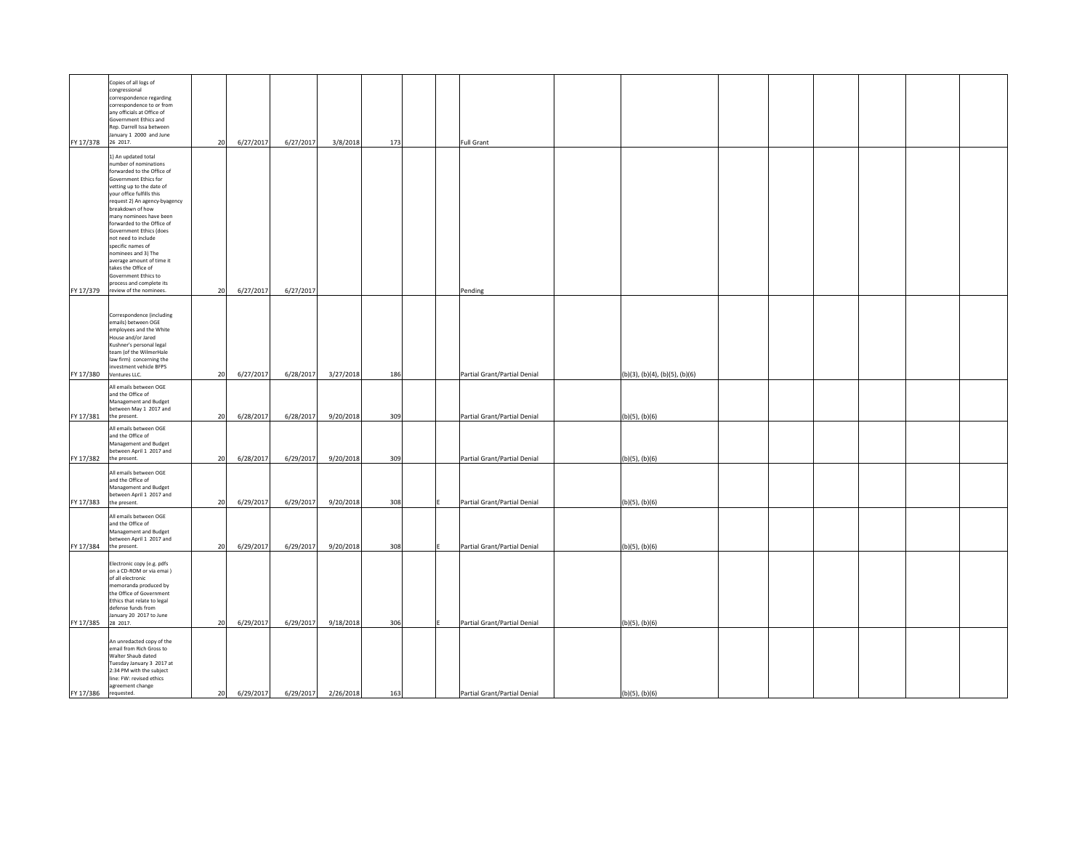| FY 17/378 | Copies of all logs of<br>congressional<br>correspondence regarding<br>correspondence to or from<br>any officials at Office of<br>Government Ethics and<br>Rep. Darrell Issa between<br>January 1 2000 and June<br>26 2017.                                                                                                                                                                                                                                                                                  | 20 | 6/27/2017 | 6/27/2017 | 3/8/2018  | 173 | <b>Full Grant</b>            |                                |  |  |  |
|-----------|-------------------------------------------------------------------------------------------------------------------------------------------------------------------------------------------------------------------------------------------------------------------------------------------------------------------------------------------------------------------------------------------------------------------------------------------------------------------------------------------------------------|----|-----------|-----------|-----------|-----|------------------------------|--------------------------------|--|--|--|
| FY 17/379 | 1) An updated total<br>number of nominations<br>orwarded to the Office of<br>Government Ethics for<br>vetting up to the date of<br>your office fulfills this<br>request 2) An agency-byagency<br>breakdown of how<br>many nominees have been<br>forwarded to the Office of<br>Government Ethics (does<br>not need to include<br>specific names of<br>nominees and 3) The<br>average amount of time it<br>takes the Office of<br>Government Ethics to<br>process and complete its<br>review of the nominees. | 20 | 6/27/2017 | 6/27/2017 |           |     | Pending                      |                                |  |  |  |
| FY 17/380 | Correspondence (including<br>emails) between OGE<br>employees and the White<br>House and/or Jared<br>Kushner's personal legal<br>team (of the WilmerHale<br>law firm) concerning the<br>nvestment vehicle BFPS<br>Ventures LLC.                                                                                                                                                                                                                                                                             | 20 | 6/27/2017 | 6/28/2017 | 3/27/2018 | 186 | Partial Grant/Partial Denial | (b)(3), (b)(4), (b)(5), (b)(6) |  |  |  |
| FY 17/381 | All emails between OGE<br>and the Office of<br>Management and Budget<br>between May 1 2017 and<br>the present.                                                                                                                                                                                                                                                                                                                                                                                              | 20 | 6/28/2017 | 6/28/2017 | 9/20/2018 | 309 | Partial Grant/Partial Denial | (b)(5), (b)(6)                 |  |  |  |
| FY 17/382 | All emails between OGE<br>and the Office of<br>Management and Budget<br>between April 1 2017 and<br>the present.                                                                                                                                                                                                                                                                                                                                                                                            | 20 | 6/28/2017 | 6/29/2017 | 9/20/2018 | 309 | Partial Grant/Partial Denial | (b)(5), (b)(6)                 |  |  |  |
| FY 17/383 | All emails between OGE<br>and the Office of<br>Management and Budget<br>between April 1 2017 and<br>the present.                                                                                                                                                                                                                                                                                                                                                                                            | 20 | 6/29/2017 | 6/29/2017 | 9/20/2018 | 308 | Partial Grant/Partial Denial | (b)(5), (b)(6)                 |  |  |  |
| FY 17/384 | All emails between OGE<br>and the Office of<br>Management and Budget<br>between April 1 2017 and<br>the present.                                                                                                                                                                                                                                                                                                                                                                                            | 20 | 6/29/2017 | 6/29/2017 | 9/20/2018 | 308 | Partial Grant/Partial Denial | (b)(5), (b)(6)                 |  |  |  |
| FY 17/385 | Electronic copy (e.g. pdfs<br>on a CD-ROM or via emai)<br>of all electronic<br>nemoranda produced by<br>the Office of Government<br>Ethics that relate to legal<br>defense funds from<br>anuary 20 2017 to June<br>28 2017.                                                                                                                                                                                                                                                                                 | 20 | 6/29/2017 | 6/29/2017 | 9/18/2018 | 306 | Partial Grant/Partial Denial | (b)(5), (b)(6)                 |  |  |  |
| FY 17/386 | An unredacted copy of the<br>email from Rich Gross to<br>Walter Shaub dated<br>Tuesday January 3 2017 at<br>2:34 PM with the subject<br>line: FW: revised ethics<br>agreement change<br>requested.                                                                                                                                                                                                                                                                                                          | 20 | 6/29/2017 | 6/29/2017 | 2/26/2018 | 163 | Partial Grant/Partial Denial | $(b)(5)$ , $(b)(6)$            |  |  |  |
|           |                                                                                                                                                                                                                                                                                                                                                                                                                                                                                                             |    |           |           |           |     |                              |                                |  |  |  |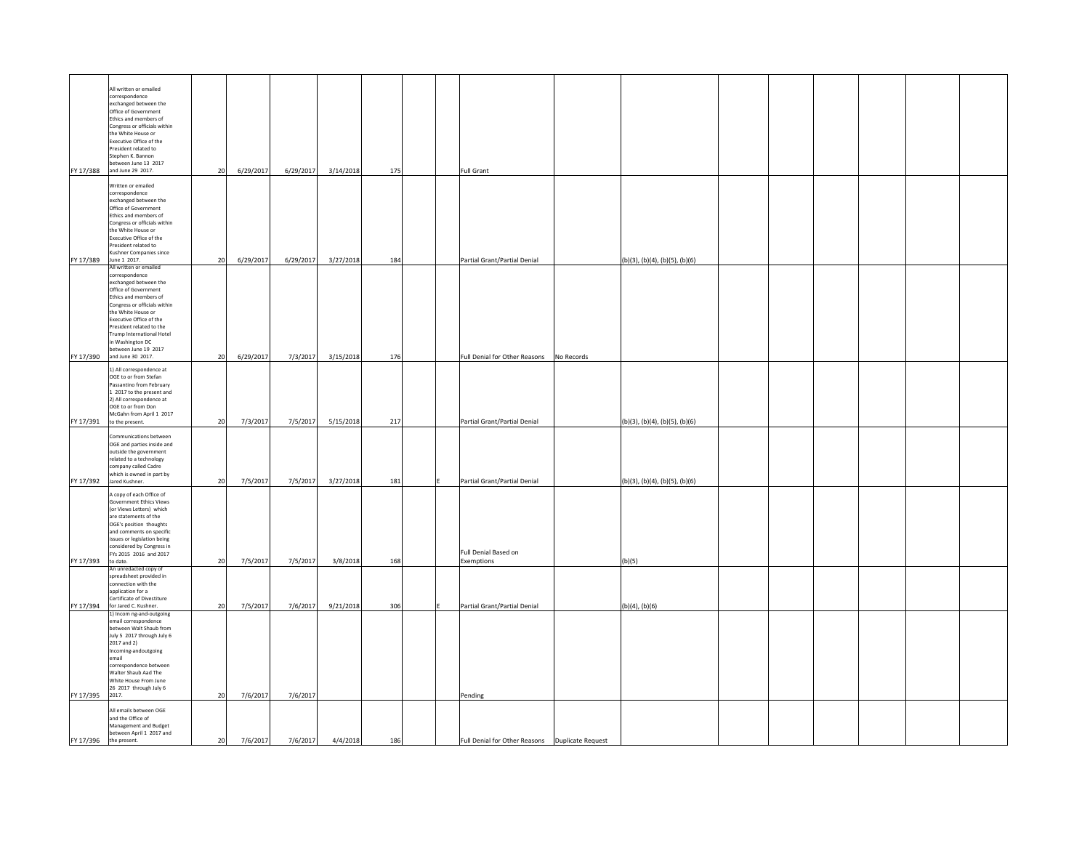| FY 17/388          | All written or emailed<br>correspondence<br>exchanged between the<br>Office of Government<br>Ethics and members of<br>Congress or officials within<br>the White House or<br>Executive Office of the<br>President related to<br>Stephen K. Bannon<br>between June 13 2017<br>and June 29 2017.                                        | 20 | 6/29/2017 | 6/29/2017         | 3/14/2018 | 175 |  | <b>Full Grant</b>                                |            |                                |  |  |  |
|--------------------|--------------------------------------------------------------------------------------------------------------------------------------------------------------------------------------------------------------------------------------------------------------------------------------------------------------------------------------|----|-----------|-------------------|-----------|-----|--|--------------------------------------------------|------------|--------------------------------|--|--|--|
| FY 17/389          | Written or emailed<br>correspondence<br>exchanged between the<br>Office of Government<br>Ethics and members of<br>Congress or officials within<br>the White House or<br>Executive Office of the<br>President related to<br>Kushner Companies since<br>June 1 2017.                                                                   | 20 | 6/29/2017 | 6/29/2017         | 3/27/2018 | 184 |  | Partial Grant/Partial Denial                     |            |                                |  |  |  |
| FY 17/390          | All written or emailed<br>correspondence<br>exchanged between the<br>Office of Government<br>Ethics and members of<br>Congress or officials within<br>the White House or<br>Executive Office of the<br>President related to the<br><b>Trump International Hotel</b><br>in Washington DC<br>between June 19 2017<br>and June 30 2017. | 20 | 6/29/2017 | 7/3/2017          | 3/15/2018 | 176 |  | Full Denial for Other Reasons                    | No Records | (b)(3), (b)(4), (b)(5), (b)(6) |  |  |  |
|                    | 1) All correspondence at<br>OGE to or from Stefan<br>Passantino from February<br>1 2017 to the present and<br>2) All correspondence at<br>OGE to or from Don<br>McGahn from April 1 2017<br>FY 17/391 to the present.                                                                                                                | 20 | 7/3/2017  | 7/5/2017          | 5/15/2018 | 217 |  | Partial Grant/Partial Denial                     |            | (b)(3), (b)(4), (b)(5), (b)(6) |  |  |  |
| FY 17/392          | Communications between<br>OGE and parties inside and<br>outside the government<br>related to a technology<br>company called Cadre<br>which is owned in part by<br>Jared Kushner.                                                                                                                                                     | 20 | 7/5/2017  | 7/5/2017          | 3/27/2018 | 181 |  | Partial Grant/Partial Denial                     |            | (b)(3), (b)(4), (b)(5), (b)(6) |  |  |  |
| FY 17/393 to date. | A copy of each Office of<br><b>Government Ethics Views</b><br>(or Views Letters) which<br>are statements of the<br>OGE's position thoughts<br>and comments on specific<br>issues or legislation being<br>considered by Congress in<br>FYs 2015 2016 and 2017                                                                         | 20 | 7/5/2017  | 7/5/2017          | 3/8/2018  | 168 |  | Full Denial Based on<br>Exemptions               |            | (b)(5)                         |  |  |  |
|                    | An unredacted copy of<br>spreadsheet provided in<br>connection with the<br>application for a<br>Certificate of Divestiture<br>FY 17/394 for Jared C. Kushner.                                                                                                                                                                        | 20 | 7/5/2017  | 7/6/2017          | 9/21/2018 | 306 |  | Partial Grant/Partial Denial                     |            | (b)(4), (b)(6)                 |  |  |  |
| FY 17/395 2017.    | 1) Incom ng-and-outgoing<br>email correspondence<br>between Walt Shaub from<br>July 5 2017 through July 6<br>2017 and 2)<br>Incoming-andoutgoing<br>email<br>correspondence between<br>Walter Shaub Aad The<br>White House From June<br>26 2017 through July 6                                                                       | 20 | 7/6/2017  | 7/6/2017          |           |     |  | Pending                                          |            |                                |  |  |  |
| FY 17/396          | All emails between OGE<br>and the Office of<br>Management and Budget<br>between April 1 2017 and<br>the present.                                                                                                                                                                                                                     | 20 | 7/6/2017  | 7/6/2017 4/4/2018 |           | 186 |  | Full Denial for Other Reasons  Duplicate Request |            |                                |  |  |  |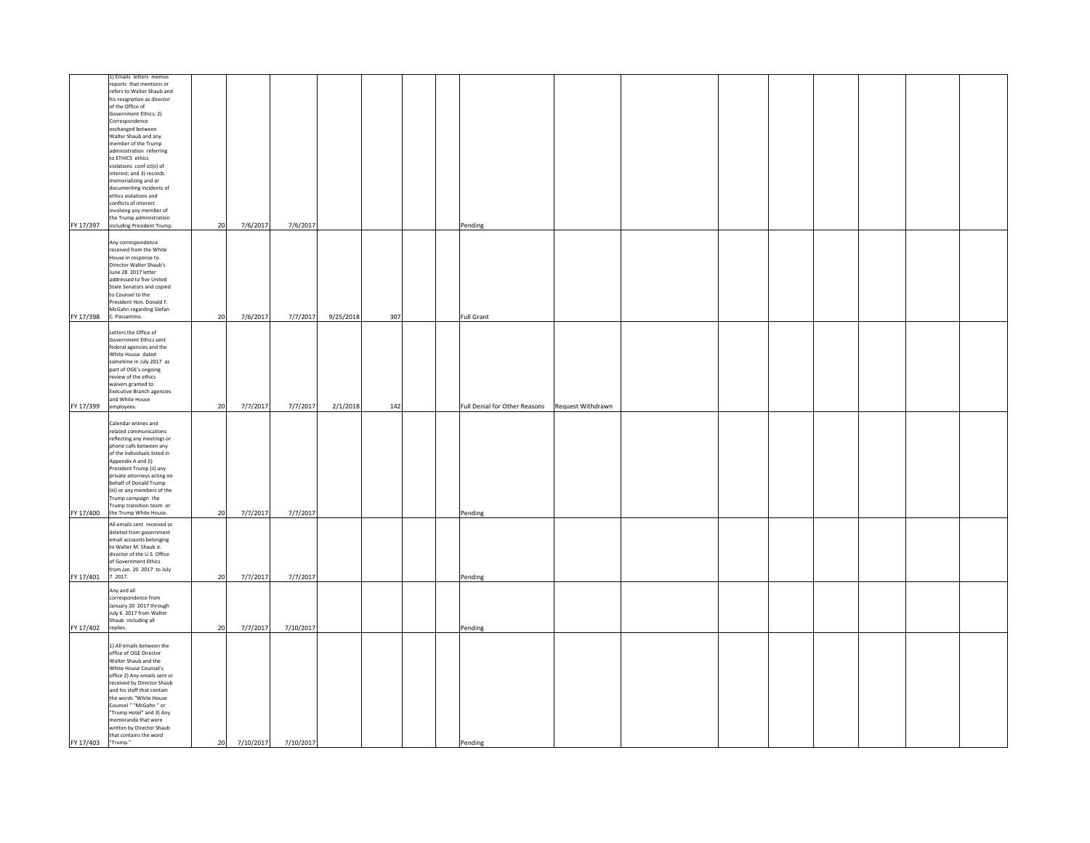|                   | 1) Emails letters memos<br>reports that mentions or<br>refers to Walter Shaub and<br>his resignation as director<br>of the Office of<br>Government Ethics; 2)<br>Correspondence<br>exchanged between<br>Walter Shaub and any<br>member of the Trump<br>administration referring<br>to ETHICS ethics<br>violations confict(s) of<br>interest; and 3) records<br>memorializing and or<br>documenting incidents of<br>ethics violations and<br>conflicts of interest<br>involving any member of<br>the Trump administration<br>FY 17/397 including President Trump. | 20 | 7/6/2017  | 7/6/2017  |           |     |  | Pending                                         |  |  |  |  |
|-------------------|------------------------------------------------------------------------------------------------------------------------------------------------------------------------------------------------------------------------------------------------------------------------------------------------------------------------------------------------------------------------------------------------------------------------------------------------------------------------------------------------------------------------------------------------------------------|----|-----------|-----------|-----------|-----|--|-------------------------------------------------|--|--|--|--|
|                   | Any correspondence<br>received from the White<br>House in response to<br>Director Walter Shaub's<br>June 28 2017 letter<br>addressed to five United<br>State Senators and copied<br>to Counsel to the<br>President Hon. Donald F.<br>McGahn regarding Stefan<br>FY 17/398 C. Passantino.                                                                                                                                                                                                                                                                         | 20 | 7/6/2017  | 7/7/2017  | 9/25/2018 | 307 |  | <b>Full Grant</b>                               |  |  |  |  |
| FY 17/399         | Letters the Office of<br>Government Ethics sent<br>federal agencies and the<br>White House dated<br>sometime in July 2017 as<br>part of OGE's ongoing<br>review of the ethics<br>waivers granted to<br><b>Executive Branch agencies</b><br>and White House<br>employees.                                                                                                                                                                                                                                                                                         | 20 | 7/7/2017  | 7/7/2017  | 2/1/2018  | 142 |  | Full Denial for Other Reasons Request Withdrawn |  |  |  |  |
| FY 17/400         | Calendar entries and<br>related communications<br>reflecting any meetings or<br>phone calls between any<br>of the individuals listed in<br>Appendix A and (i)<br>President Trump (ii) any<br>private attorneys acting on<br>behalf of Donald Trump<br>(iii) or any members of the<br>Trump campaign the<br>Trump transition team or<br>the Trump White House.                                                                                                                                                                                                    | 20 | 7/7/2017  | 7/7/2017  |           |     |  | Pending                                         |  |  |  |  |
| FY 17/401 7 2017. | All emails sent received or<br>deleted from government<br>email accounts belonging<br>to Walter M. Shaub Jr.<br>director of the U.S. Office<br>of Government Ethics<br>from Jan. 20 2017 to July                                                                                                                                                                                                                                                                                                                                                                 | 20 | 7/7/2017  | 7/7/2017  |           |     |  | Pending                                         |  |  |  |  |
| FY 17/402         | Any and all<br>correspondence from<br>January 20 2017 through<br>July 6 2017 from Walter<br>Shaub including all<br>replies.                                                                                                                                                                                                                                                                                                                                                                                                                                      | 20 | 7/7/2017  | 7/10/2017 |           |     |  | Pending                                         |  |  |  |  |
| FY 17/403 Trump." | 1) All emails between the<br>office of OGE Director<br>Walter Shaub and the<br>White House Counsel's<br>office 2) Any emails sent or<br>received by Director Shaub<br>and his staff that contain<br>the words "White House<br>Counsel " "McGahn " or<br>"Trump Hotel" and 3) Any<br>emoranda that were<br>written by Director Shaub<br>that contains the word                                                                                                                                                                                                    | 20 | 7/10/2017 | 7/10/2017 |           |     |  | Pending                                         |  |  |  |  |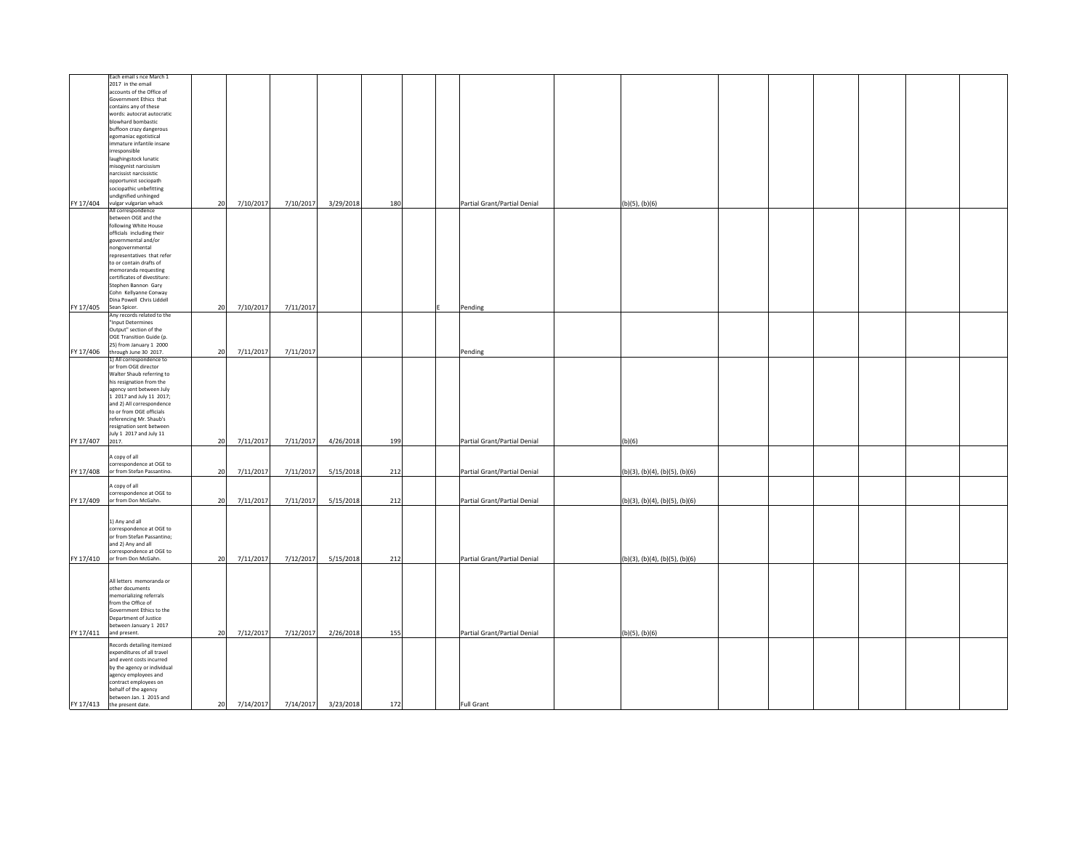|                 | Each email s nce March 1<br>2017 in the email<br>accounts of the Office of<br>Government Ethics that<br>contains any of these<br>words: autocrat autocratic<br>blowhard bombastic<br>buffoon crazy dangerous<br>egomaniac egotistical                                                                        |    |              |           |                     |     |                              |                                |  |  |  |
|-----------------|--------------------------------------------------------------------------------------------------------------------------------------------------------------------------------------------------------------------------------------------------------------------------------------------------------------|----|--------------|-----------|---------------------|-----|------------------------------|--------------------------------|--|--|--|
|                 | immature infantile insane<br>irresponsible<br>laughingstock lunatic<br>misogynist narcissism<br>narcissist narcissistic<br>opportunist sociopath<br>sociopathic unbefitting<br>undignified unhinged<br>FY 17/404 vulgar vulgarian whack                                                                      | 20 | 7/10/2017    | 7/10/2017 | 3/29/2018           | 180 | Partial Grant/Partial Denial | (b)(5), (b)(6)                 |  |  |  |
|                 | All correspondence<br>between OGE and the<br>following White House<br>officials including their<br>overnmental and/or<br>nongovernmental<br>representatives that refer<br>to or contain drafts of<br>memoranda requesting                                                                                    |    |              |           |                     |     |                              |                                |  |  |  |
| FY 17/405       | certificates of divestiture:<br>Stephen Bannon Gary<br>Cohn Kellyanne Conway<br>Dina Powell Chris Liddell<br>Sean Spicer.                                                                                                                                                                                    | 20 | 7/10/2017    | 7/11/2017 |                     |     | Pending                      |                                |  |  |  |
| FY 17/406       | Any records related to the<br>Input Determines<br>Output" section of the<br>OGE Transition Guide (p.<br>25) from January 1 2000<br>through June 30 2017.                                                                                                                                                     | 20 | 7/11/2017    | 7/11/2017 |                     |     | Pending                      |                                |  |  |  |
| FY 17/407 2017. | 1) All correspondence to<br>or from OGE director<br>Walter Shaub referring to<br>his resignation from the<br>agency sent between July<br>1 2017 and July 11 2017;<br>and 2) All correspondence<br>to or from OGE officials<br>referencing Mr. Shaub's<br>resignation sent between<br>July 1 2017 and July 11 | 20 | 7/11/2017    | 7/11/2017 | 4/26/2018           | 199 | Partial Grant/Partial Denial | (b)(6)                         |  |  |  |
|                 | A copy of all                                                                                                                                                                                                                                                                                                |    |              |           |                     |     |                              |                                |  |  |  |
| FY 17/408       | correspondence at OGE to<br>or from Stefan Passantino.                                                                                                                                                                                                                                                       | 20 | 7/11/2017    | 7/11/2017 | 5/15/2018           | 212 | Partial Grant/Partial Denial | (b)(3), (b)(4), (b)(5), (b)(6) |  |  |  |
| FY 17/409       | A copy of all<br>correspondence at OGE to<br>or from Don McGahn.                                                                                                                                                                                                                                             | 20 | 7/11/2017    | 7/11/2017 | 5/15/2018           | 212 | Partial Grant/Partial Denial | (b)(3), (b)(4), (b)(5), (b)(6) |  |  |  |
|                 | 1) Any and all<br>correspondence at OGE to<br>or from Stefan Passantino;<br>and 2) Any and all<br>correspondence at OGE to<br>FY 17/410 or from Don McGahn.                                                                                                                                                  | 20 | 7/11/2017    | 7/12/2017 | 5/15/2018           | 212 | Partial Grant/Partial Denial | (b)(3), (b)(4), (b)(5), (b)(6) |  |  |  |
|                 | All letters memoranda or<br>other documents<br>memorializing referrals<br>from the Office of<br>Government Ethics to the<br>Department of Justice<br>between January 1 2017<br>FY 17/411 and present.                                                                                                        | 20 | 7/12/2017    | 7/12/2017 | 2/26/2018           | 155 | Partial Grant/Partial Denial | (b)(5), (b)(6)                 |  |  |  |
| FY 17/413       | Records detailing itemized<br>expenditures of all travel<br>and event costs incurred<br>by the agency or individual<br>agency employees and<br>contract employees on<br>behalf of the agency<br>between Jan. 1 2015 and<br>the present date.                                                                 |    | 20 7/14/2017 |           | 7/14/2017 3/23/2018 | 172 | Full Grant                   |                                |  |  |  |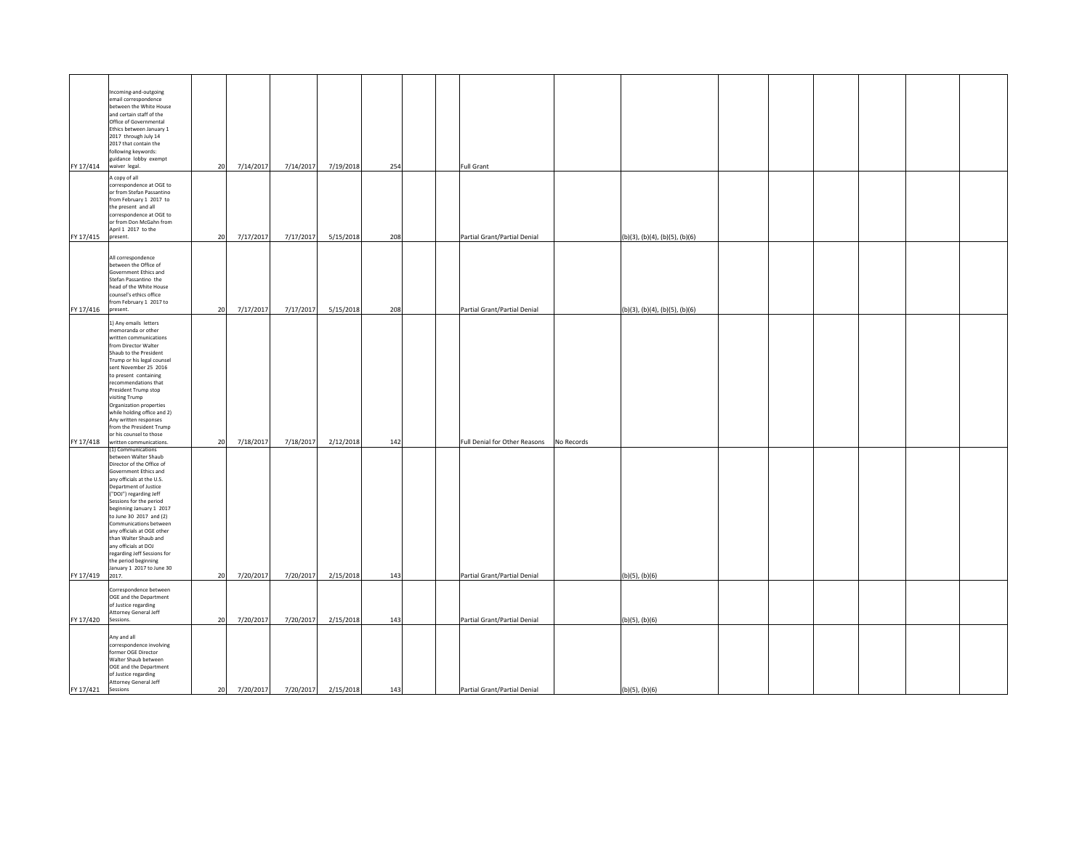| FY 17/414 | Incoming-and-outgoing<br>email correspondence<br>between the White House<br>and certain staff of the<br>Office of Governmental<br>Ethics between January 1<br>2017 through July 14<br>2017 that contain the<br>following keywords:<br>guidance lobby exempt<br>waiver legal.                                                                                                                                                                                    | 20 | 7/14/2017 | 7/14/2017 | 7/19/2018 | 254 | Full Grant                    |                                |  |  |  |
|-----------|-----------------------------------------------------------------------------------------------------------------------------------------------------------------------------------------------------------------------------------------------------------------------------------------------------------------------------------------------------------------------------------------------------------------------------------------------------------------|----|-----------|-----------|-----------|-----|-------------------------------|--------------------------------|--|--|--|
| FY 17/415 | A copy of all<br>correspondence at OGE to<br>or from Stefan Passantino<br>from February 1 2017 to<br>the present and all<br>correspondence at OGE to<br>or from Don McGahn from<br>April 1 2017 to the                                                                                                                                                                                                                                                          | 20 | 7/17/2017 | 7/17/2017 | 5/15/2018 | 208 | Partial Grant/Partial Denial  |                                |  |  |  |
|           | present.                                                                                                                                                                                                                                                                                                                                                                                                                                                        |    |           |           |           |     |                               | (b)(3), (b)(4), (b)(5), (b)(6) |  |  |  |
| FY 17/416 | All correspondence<br>between the Office of<br>Government Ethics and<br>Stefan Passantino the<br>head of the White House<br>counsel's ethics office<br>from February 1 2017 to<br>present.                                                                                                                                                                                                                                                                      | 20 | 7/17/2017 | 7/17/2017 | 5/15/2018 | 208 | Partial Grant/Partial Denial  | (b)(3), (b)(4), (b)(5), (b)(6) |  |  |  |
|           | 1) Any emails letters<br>memoranda or other<br>written communications<br>from Director Walter<br>Shaub to the President<br>Trump or his legal counsel<br>sent November 25 2016<br>to present containing<br>recommendations that<br>President Trump stop<br>visiting Trump<br>Organization properties<br>while holding office and 2)<br>Any written responses<br>from the President Trump<br>or his counsel to those<br>FY 17/418 written communications.        | 20 | 7/18/2017 | 7/18/2017 | 2/12/2018 | 142 | Full Denial for Other Reasons | No Records                     |  |  |  |
|           | (1) Communications<br>between Walter Shaub<br>Director of the Office of<br>Government Ethics and<br>any officials at the U.S.<br>Department of Justice<br>("DOJ") regarding Jeff<br>Sessions for the period<br>beginning January 1 2017<br>to June 30 2017 and (2)<br>Communications between<br>any officials at OGE other<br>than Walter Shaub and<br>any officials at DOJ<br>regarding Jeff Sessions for<br>the period beginning<br>January 1 2017 to June 30 |    |           |           |           |     |                               |                                |  |  |  |
| FY 17/419 | 2017.                                                                                                                                                                                                                                                                                                                                                                                                                                                           | 20 | 7/20/2017 | 7/20/2017 | 2/15/2018 | 143 | Partial Grant/Partial Denial  | (b)(5), (b)(6)                 |  |  |  |
| FY 17/420 | Correspondence between<br>OGE and the Department<br>of Justice regarding<br>Attorney General Jeff<br>Sessions.                                                                                                                                                                                                                                                                                                                                                  | 20 | 7/20/2017 | 7/20/2017 | 2/15/2018 | 143 | Partial Grant/Partial Denial  | (b)(5), (b)(6)                 |  |  |  |
|           | Any and all<br>correspondence involving<br>former OGE Director<br>Walter Shaub between<br>OGE and the Department<br>of Justice regarding<br>Attorney General Jeff                                                                                                                                                                                                                                                                                               | 20 | 7/20/2017 | 7/20/2017 | 2/15/2018 | 143 | Partial Grant/Partial Denial  | $(b)(5)$ , $(b)(6)$            |  |  |  |
| FY 17/421 | Sessions                                                                                                                                                                                                                                                                                                                                                                                                                                                        |    |           |           |           |     |                               |                                |  |  |  |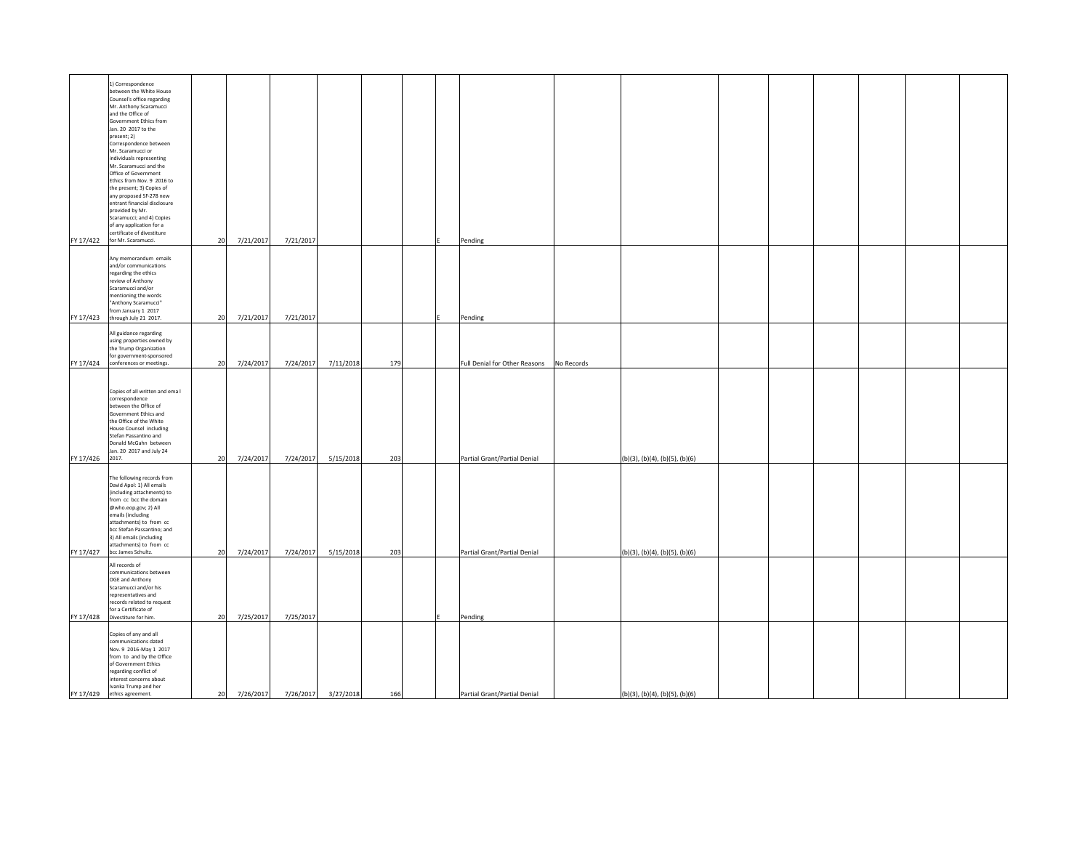| FY 17/422       | 1) Correspondence<br>between the White House<br>Counsel's office regarding<br>Mr. Anthony Scaramucci<br>and the Office of<br>Government Ethics from<br>Jan. 20 2017 to the<br>present; 2)<br>Correspondence between<br>Mr. Scaramucci or<br>individuals representing<br>Mr. Scaramucci and the<br>Office of Government<br>Ethics from Nov. 9 2016 to<br>the present; 3) Copies of<br>any proposed SF-278 new<br>entrant financial disclosure<br>provided by Mr.<br>Scaramucci; and 4) Copies<br>of any application for a<br>certificate of divestiture<br>for Mr. Scaramucci. | 20 | 7/21/2017 | 7/21/2017 |           |     | Pending                       |                                |  |  |  |
|-----------------|-------------------------------------------------------------------------------------------------------------------------------------------------------------------------------------------------------------------------------------------------------------------------------------------------------------------------------------------------------------------------------------------------------------------------------------------------------------------------------------------------------------------------------------------------------------------------------|----|-----------|-----------|-----------|-----|-------------------------------|--------------------------------|--|--|--|
|                 | Any memorandum emails<br>and/or communications<br>regarding the ethics<br>review of Anthony<br>Scaramucci and/or<br>mentioning the words<br>"Anthony Scaramucci"<br>rom January 1 2017                                                                                                                                                                                                                                                                                                                                                                                        |    |           |           |           |     |                               |                                |  |  |  |
| FY 17/423       | through July 21 2017.                                                                                                                                                                                                                                                                                                                                                                                                                                                                                                                                                         | 20 | 7/21/2017 | 7/21/2017 |           |     | Pending                       |                                |  |  |  |
| FY 17/424       | All guidance regarding<br>using properties owned by<br>the Trump Organization<br>for government-sponsored<br>conferences or meetings.                                                                                                                                                                                                                                                                                                                                                                                                                                         | 20 | 7/24/2017 | 7/24/2017 | 7/11/2018 | 179 | Full Denial for Other Reasons | No Records                     |  |  |  |
| FY 17/426 2017. | Copies of all written and ema I<br>correspondence<br>between the Office of<br>Government Ethics and<br>the Office of the White<br>House Counsel including<br>Stefan Passantino and<br>Donald McGahn between<br>Jan. 20 2017 and July 24                                                                                                                                                                                                                                                                                                                                       | 20 | 7/24/2017 | 7/24/2017 | 5/15/2018 | 203 | Partial Grant/Partial Denial  | (b)(3), (b)(4), (b)(5), (b)(6) |  |  |  |
| FY 17/427       | The following records from<br>David Apol: 1) All emails<br>(including attachments) to<br>from cc bcc the domain<br>@who.eop.gov; 2) All<br>emails (including<br>attachments) to from cc<br>bcc Stefan Passantino; and<br>3) All emails (including<br>attachments) to from cc<br>bcc James Schultz.                                                                                                                                                                                                                                                                            | 20 | 7/24/2017 | 7/24/2017 | 5/15/2018 | 203 | Partial Grant/Partial Denial  | (b)(3), (b)(4), (b)(5), (b)(6) |  |  |  |
|                 | All records of<br>ommunications between<br>OGE and Anthony<br>Scaramucci and/or his<br>representatives and<br>records related to request<br>for a Certificate of<br>FY 17/428 Divestiture for him.                                                                                                                                                                                                                                                                                                                                                                            | 20 | 7/25/2017 | 7/25/2017 |           |     | Pending                       |                                |  |  |  |
| FY 17/429       | Copies of any and all<br>communications dated<br>Nov. 9 2016-May 1 2017<br>from to and by the Office<br>of Government Ethics<br>regarding conflict of<br>interest concerns about<br>Ivanka Trump and her<br>ethics agreement.                                                                                                                                                                                                                                                                                                                                                 | 20 | 7/26/2017 | 7/26/2017 | 3/27/2018 | 166 | Partial Grant/Partial Denial  | (b)(3), (b)(4), (b)(5), (b)(6) |  |  |  |
|                 |                                                                                                                                                                                                                                                                                                                                                                                                                                                                                                                                                                               |    |           |           |           |     |                               |                                |  |  |  |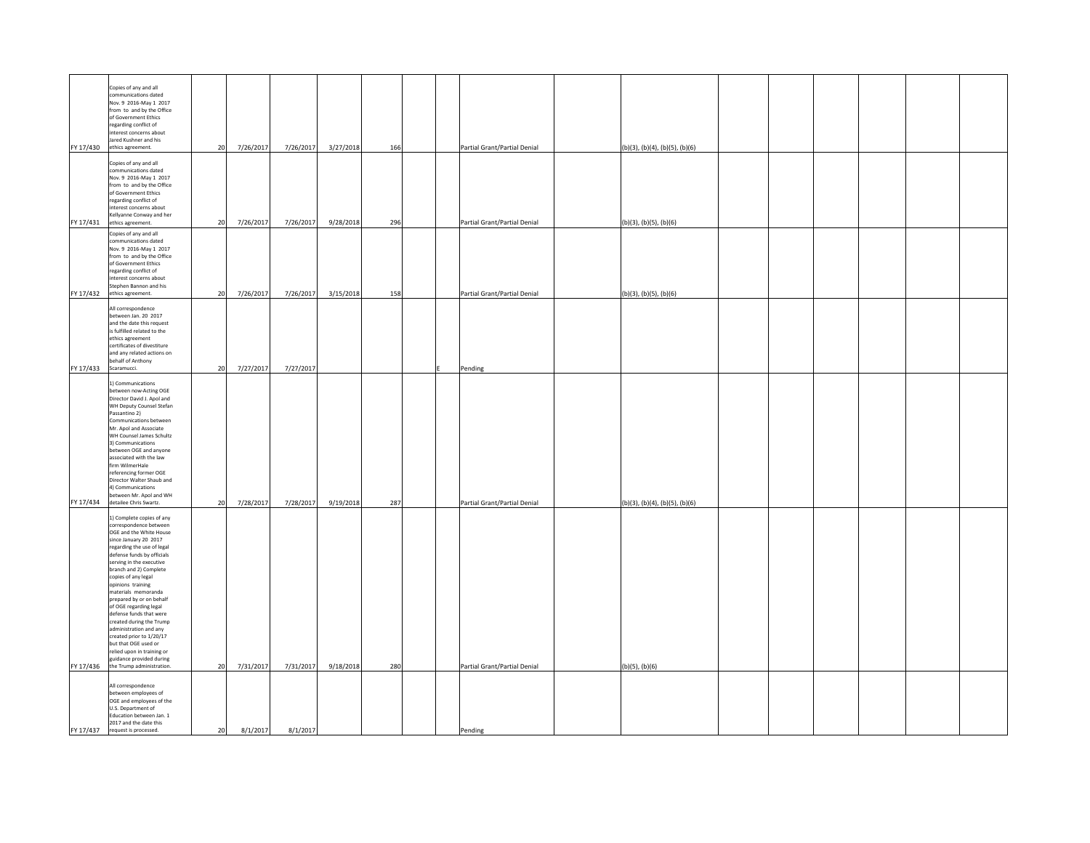| FY 17/430 | Copies of any and all<br>ommunications dated<br>Nov. 9 2016-May 1 2017<br>from to and by the Office<br>of Government Ethics<br>regarding conflict of<br>interest concerns about<br>Jared Kushner and his<br>ethics agreement.                                                                                                                                                                                                                                                                                                                                                 | 20 | 7/26/2017 | 7/26/2017 | 3/27/2018 | 166 | Partial Grant/Partial Denial | (b)(3), (b)(4), (b)(5), (b)(6) |  |  |  |
|-----------|-------------------------------------------------------------------------------------------------------------------------------------------------------------------------------------------------------------------------------------------------------------------------------------------------------------------------------------------------------------------------------------------------------------------------------------------------------------------------------------------------------------------------------------------------------------------------------|----|-----------|-----------|-----------|-----|------------------------------|--------------------------------|--|--|--|
| FY 17/431 | Copies of any and all<br>communications dated<br>Nov. 9 2016-May 1 2017<br>from to and by the Office<br>of Government Ethics<br>regarding conflict of<br>interest concerns about<br>Kellyanne Conway and her<br>ethics agreement.                                                                                                                                                                                                                                                                                                                                             | 20 | 7/26/2017 | 7/26/2017 | 9/28/2018 | 296 | Partial Grant/Partial Denial | (b)(3), (b)(5), (b)(6)         |  |  |  |
| FY 17/432 | Copies of any and all<br>ommunications dated<br>Nov. 9 2016-May 1 2017<br>from to and by the Office<br>of Government Ethics<br>regarding conflict of<br>interest concerns about<br>Stephen Bannon and his<br>ethics agreement.                                                                                                                                                                                                                                                                                                                                                | 20 | 7/26/2017 | 7/26/2017 | 3/15/2018 | 158 | Partial Grant/Partial Denial | (b)(3), (b)(5), (b)(6)         |  |  |  |
| FY 17/433 | All correspondence<br>between Jan. 20 2017<br>and the date this request<br>is fulfilled related to the<br>ethics agreement<br>certificates of divestiture<br>and any related actions on<br>behalf of Anthony<br>Scaramucci.                                                                                                                                                                                                                                                                                                                                                   | 20 | 7/27/2017 | 7/27/2017 |           |     | Pending                      |                                |  |  |  |
| FY 17/434 | 1) Communications<br>between now-Acting OGE<br>Director David J. Apol and<br>WH Deputy Counsel Stefan<br>Passantino 2)<br>Communications between<br>Mr. Apol and Associate<br>WH Counsel James Schultz<br>3) Communications<br>between OGE and anyone<br>associated with the law<br>firm WilmerHale<br>referencing former OGE<br>Director Walter Shaub and<br>4) Communications<br>between Mr. Apol and WH<br>detailee Chris Swartz.                                                                                                                                          | 20 | 7/28/2017 | 7/28/2017 | 9/19/2018 | 287 | Partial Grant/Partial Denial | (b)(3), (b)(4), (b)(5), (b)(6) |  |  |  |
|           | 1) Complete copies of any<br>correspondence between<br>OGE and the White House<br>since January 20 2017<br>regarding the use of legal<br>defense funds by officials<br>serving in the executive<br>branch and 2) Complete<br>copies of any legal<br>ppinions training<br>materials memoranda<br>prepared by or on behalf<br>of OGE regarding legal<br>defense funds that were<br>created during the Trump<br>administration and any<br>reated prior to 1/20/17<br>but that OGE used or<br>relied upon in training or<br>guidance provided during<br>the Trump administration. |    |           |           |           | 280 |                              |                                |  |  |  |
| FY 17/436 | All correspondence                                                                                                                                                                                                                                                                                                                                                                                                                                                                                                                                                            | 20 | 7/31/2017 | 7/31/2017 | 9/18/2018 |     | Partial Grant/Partial Denial | (b)(5), (b)(6)                 |  |  |  |
| FY 17/437 | between employees of<br>OGE and employees of the<br>U.S. Department of<br>Education between Jan. 1<br>2017 and the date this<br>request is processed.                                                                                                                                                                                                                                                                                                                                                                                                                         | 20 | 8/1/2017  | 8/1/2017  |           |     | Pending                      |                                |  |  |  |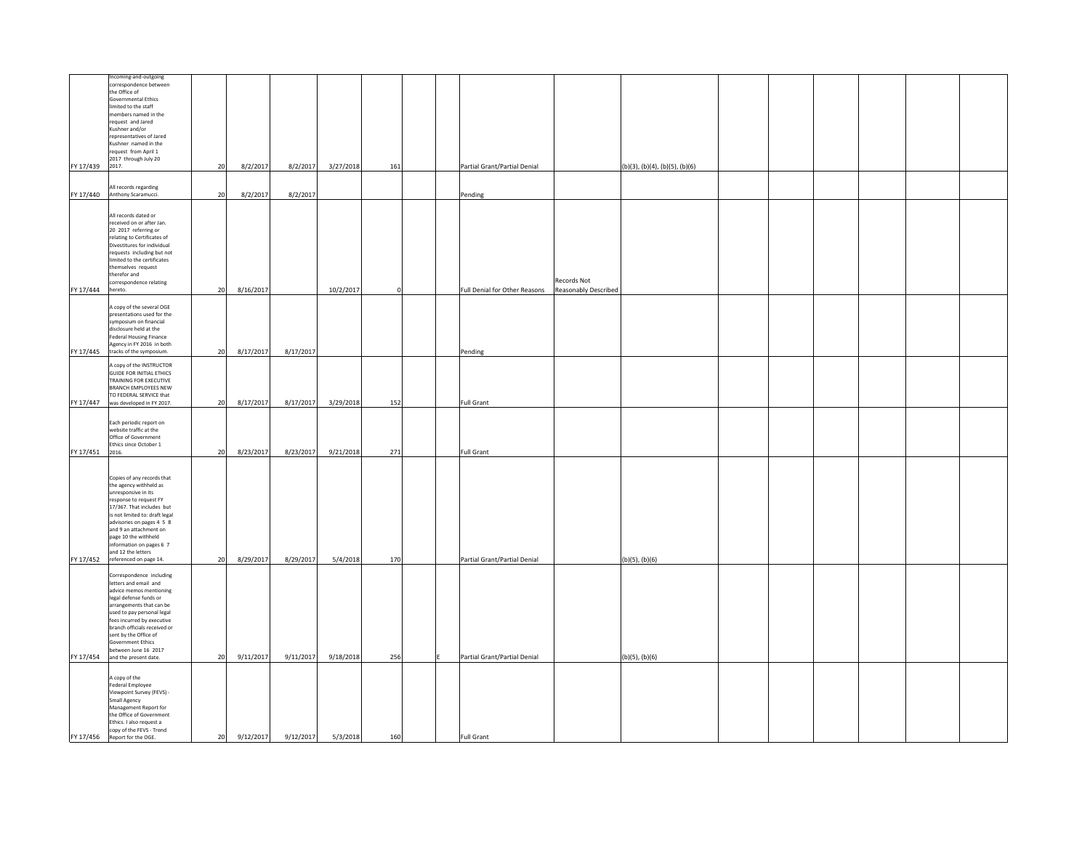|                 | ncoming-and-outgoing<br>correspondence between<br>the Office of<br><b>Governmental Ethics</b><br>limited to the staff<br>members named in the<br>request and Jared<br>Kushner and/or<br>representatives of Jared<br>Kushner named in the<br>request from April 1<br>2017 through July 20                                                  |    |           |           |                     |          |  |                               |                                     |                                |  |  |  |
|-----------------|-------------------------------------------------------------------------------------------------------------------------------------------------------------------------------------------------------------------------------------------------------------------------------------------------------------------------------------------|----|-----------|-----------|---------------------|----------|--|-------------------------------|-------------------------------------|--------------------------------|--|--|--|
| FY 17/439       | 2017.                                                                                                                                                                                                                                                                                                                                     | 20 | 8/2/2017  | 8/2/2017  | 3/27/2018           | 161      |  | Partial Grant/Partial Denial  |                                     | (b)(3), (b)(4), (b)(5), (b)(6) |  |  |  |
| FY 17/440       | All records regarding<br>Anthony Scaramucci.                                                                                                                                                                                                                                                                                              | 20 | 8/2/2017  | 8/2/2017  |                     |          |  | Pending                       |                                     |                                |  |  |  |
| FY 17/444       | All records dated or<br>received on or after Jan.<br>20 2017 referring or<br>relating to Certificates of<br>Divestitures for individual<br>requests including but not<br>limited to the certificates<br>emselves request<br>therefor and<br>correspondence relating<br>hereto.                                                            | 20 | 8/16/2017 |           | 10/2/2017           | $\Omega$ |  | Full Denial for Other Reasons | Records Not<br>Reasonably Described |                                |  |  |  |
| FY 17/445       | A copy of the several OGE<br>presentations used for the<br>symposium on financial<br>disclosure held at the<br><b>Federal Housing Finance</b><br>Agency in FY 2016 in both<br>tracks of the symposium.                                                                                                                                    | 20 | 8/17/2017 | 8/17/2017 |                     |          |  | Pending                       |                                     |                                |  |  |  |
| FY 17/447       | A copy of the INSTRUCTOR<br><b>GUIDE FOR INITIAL ETHICS</b><br>TRAINING FOR EXECUTIVE<br><b>BRANCH EMPLOYEES NEW</b><br>TO FEDERAL SERVICE that<br>was developed in FY 2017.                                                                                                                                                              | 20 | 8/17/2017 |           | 8/17/2017 3/29/2018 | 152      |  | <b>Full Grant</b>             |                                     |                                |  |  |  |
| FY 17/451 2016. | Each periodic report on<br>website traffic at the<br>Office of Government<br>Ethics since October 1                                                                                                                                                                                                                                       | 20 | 8/23/2017 | 8/23/2017 | 9/21/2018           | 271      |  | <b>Full Grant</b>             |                                     |                                |  |  |  |
|                 | Copies of any records that<br>the agency withheld as<br>unresponsive in its<br>response to request FY<br>17/367. That includes but<br>is not limited to: draft legal<br>advisories on pages 4 5 8<br>and 9 an attachment on<br>page 10 the withheld<br>information on pages 6 7<br>and 12 the letters<br>FY 17/452 referenced on page 14. | 20 | 8/29/2017 | 8/29/2017 | 5/4/2018            | 170      |  | Partial Grant/Partial Denial  |                                     | (b)(5), (b)(6)                 |  |  |  |
| FY 17/454       | Correspondence including<br>letters and email and<br>advice memos mentioning<br>legal defense funds or<br>arrangements that can be<br>used to pay personal legal<br>fees incurred by executive<br>branch officials received or<br>sent by the Office of<br>Government Ethics<br>between June 16 2017<br>and the present date.             | 20 | 9/11/2017 | 9/11/2017 | 9/18/2018           | 256      |  | Partial Grant/Partial Denial  |                                     | $(b)(5)$ , $(b)(6)$            |  |  |  |
| FY 17/456       | A copy of the<br>Federal Employee<br>Viewpoint Survey (FEVS) -<br>Small Agency<br>Management Report for<br>the Office of Government<br>Ethics. I also request a<br>copy of the FEVS - Trend<br>Report for the OGE.                                                                                                                        | 20 | 9/12/2017 | 9/12/2017 | 5/3/2018            | 160      |  | <b>Full Grant</b>             |                                     |                                |  |  |  |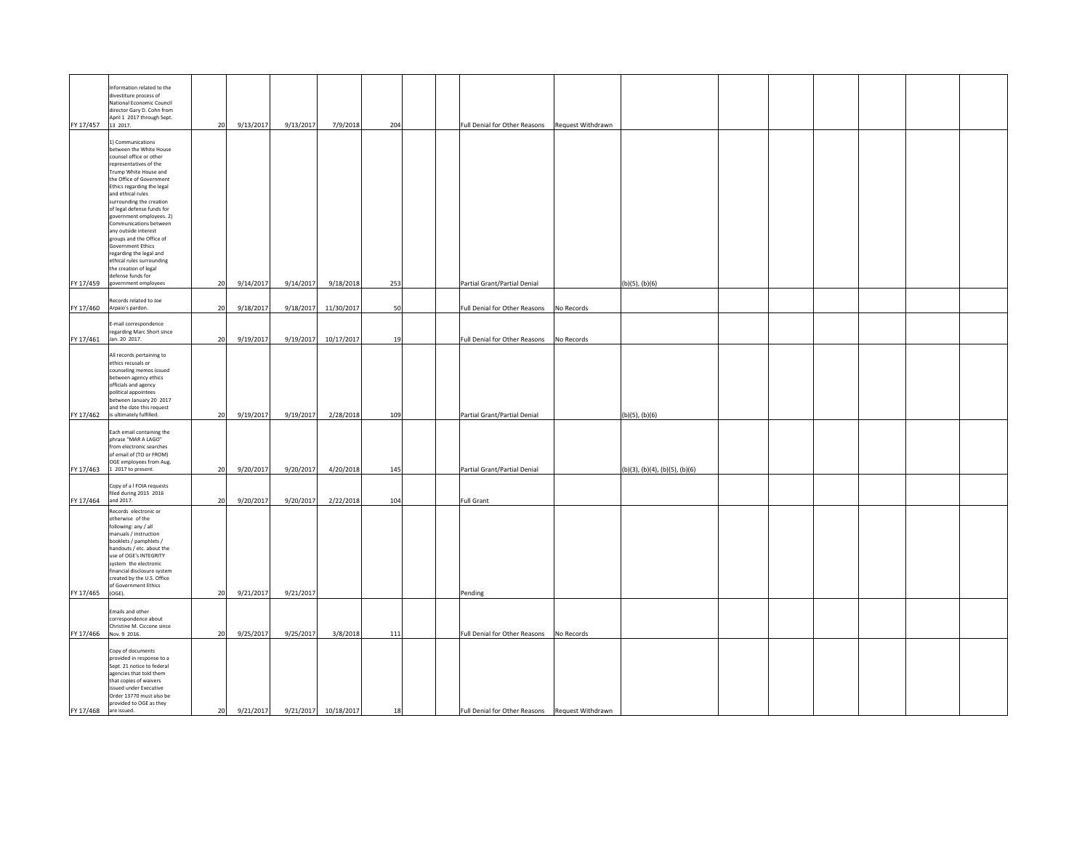| FY 17/457 | Information related to the<br>divestiture process of<br>National Economic Council<br>director Gary D. Cohn from<br>April 1 2017 through Sept.<br>13 2017.                                                                                                                                                                                                                                                                                                                                                       | 20 | 9/13/2017 | 9/13/2017 | 7/9/2018             | 204 | Full Denial for Other Reasons                   | Request Withdrawn |                                |  |  |  |
|-----------|-----------------------------------------------------------------------------------------------------------------------------------------------------------------------------------------------------------------------------------------------------------------------------------------------------------------------------------------------------------------------------------------------------------------------------------------------------------------------------------------------------------------|----|-----------|-----------|----------------------|-----|-------------------------------------------------|-------------------|--------------------------------|--|--|--|
|           | 1) Communications<br>between the White House<br>counsel office or other<br>representatives of the<br>Trump White House and<br>the Office of Government<br>Ethics regarding the legal<br>and ethical rules<br>surrounding the creation<br>of legal defense funds for<br>government employees. 2)<br>Communications between<br>any outside interest<br>groups and the Office of<br><b>Government Ethics</b><br>regarding the legal and<br>ethical rules surrounding<br>the creation of legal<br>defense funds for |    |           |           |                      |     |                                                 |                   |                                |  |  |  |
| FY 17/459 | government employees                                                                                                                                                                                                                                                                                                                                                                                                                                                                                            | 20 | 9/14/2017 | 9/14/2017 | 9/18/2018            | 253 | Partial Grant/Partial Denial                    |                   | $(b)(5)$ , $(b)(6)$            |  |  |  |
| FY 17/460 | Records related to Joe<br>Arpaio's pardon.                                                                                                                                                                                                                                                                                                                                                                                                                                                                      | 20 | 9/18/2017 | 9/18/2017 | 11/30/2017           | 50  | Full Denial for Other Reasons                   | No Records        |                                |  |  |  |
| FY 17/461 | -mail correspondence<br>regarding Marc Short since<br>Jan. 20 2017.                                                                                                                                                                                                                                                                                                                                                                                                                                             | 20 | 9/19/2017 | 9/19/2017 | 10/17/2017           | 19  | Full Denial for Other Reasons                   | No Records        |                                |  |  |  |
|           | All records pertaining to<br>ethics recusals or<br>counseling memos issued<br>between agency ethics<br>officials and agency<br>political appointees<br>between January 20 2017<br>and the date this request<br>FY 17/462 is ultimately fulfilled.                                                                                                                                                                                                                                                               | 20 | 9/19/2017 |           | 9/19/2017 2/28/2018  | 109 | Partial Grant/Partial Denial                    |                   | (b)(5), (b)(6)                 |  |  |  |
| FY 17/463 | Each email containing the<br>phrase "MAR A LAGO"<br>from electronic searches<br>of email of (TO or FROM)<br>OGE employees from Aug.<br>1 2017 to present.                                                                                                                                                                                                                                                                                                                                                       | 20 | 9/20/2017 | 9/20/2017 | 4/20/2018            | 145 | Partial Grant/Partial Denial                    |                   | (b)(3), (b)(4), (b)(5), (b)(6) |  |  |  |
| FY 17/464 | Copy of a I FOIA requests<br>filed during 2015 2016<br>and 2017.                                                                                                                                                                                                                                                                                                                                                                                                                                                | 20 | 9/20/2017 | 9/20/2017 | 2/22/2018            | 104 | <b>Full Grant</b>                               |                   |                                |  |  |  |
| FY 17/465 | Records electronic or<br>otherwise of the<br>following: any / all<br>manuals / instruction<br>booklets / pamphlets /<br>handouts / etc. about the<br>use of OGE's INTEGRITY<br>system the electronic<br>financial disclosure system<br>created by the U.S. Office<br>of Government Ethics<br>$(OGE)$ .                                                                                                                                                                                                          | 20 | 9/21/2017 | 9/21/2017 |                      |     | Pending                                         |                   |                                |  |  |  |
|           | Emails and other                                                                                                                                                                                                                                                                                                                                                                                                                                                                                                |    |           |           |                      |     |                                                 |                   |                                |  |  |  |
|           | correspondence about<br>Christine M. Ciccone since<br>FY 17/466 Nov. 9 2016.                                                                                                                                                                                                                                                                                                                                                                                                                                    | 20 | 9/25/2017 | 9/25/2017 | 3/8/2018             | 111 | Full Denial for Other Reasons                   | No Records        |                                |  |  |  |
| FY 17/468 | Copy of documents<br>provided in response to a<br>Sept. 21 notice to federal<br>agencies that told them<br>that copies of waivers<br>issued under Executive<br>Order 13770 must also be<br>provided to OGE as they<br>are issued.                                                                                                                                                                                                                                                                               | 20 | 9/21/2017 |           | 9/21/2017 10/18/2017 | 18  | Full Denial for Other Reasons Request Withdrawn |                   |                                |  |  |  |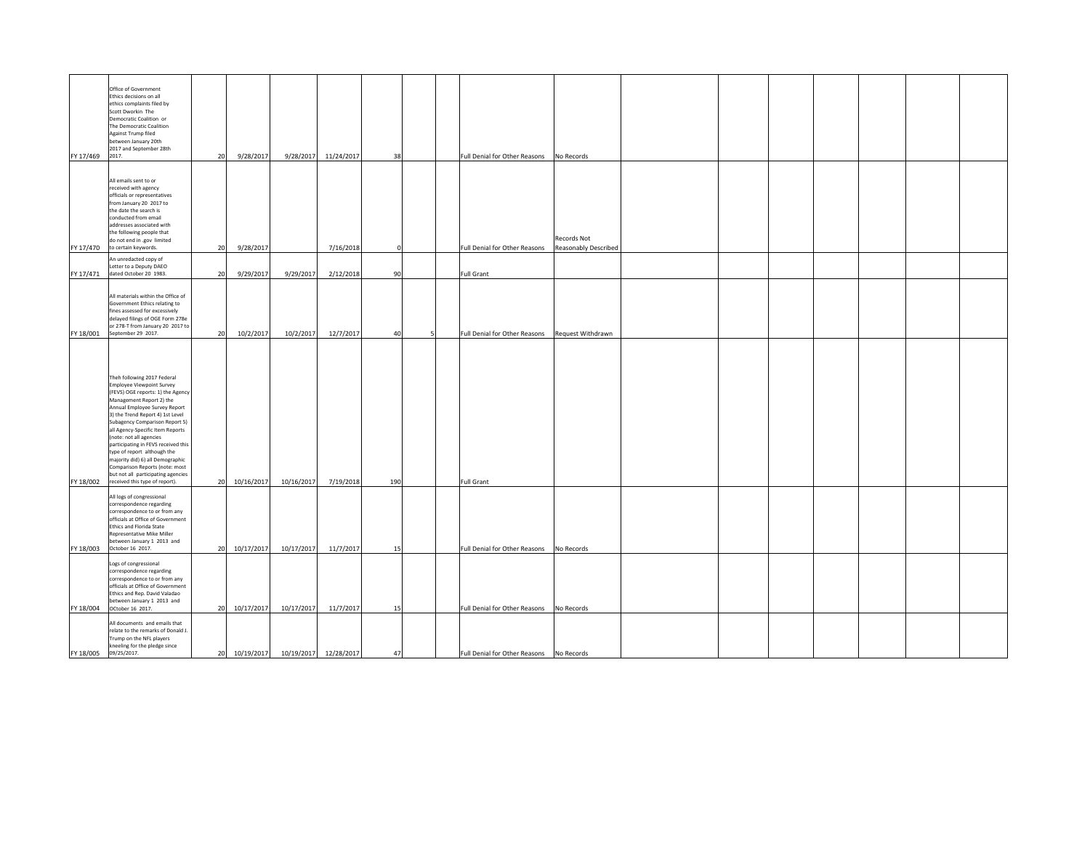| FY 17/469 | Office of Government<br>Ethics decisions on all<br>ethics complaints filed by<br>Scott Dworkin The<br>Democratic Coalition or<br>The Democratic Coalition<br>Against Trump filed<br>between January 20th<br>2017 and September 28th<br>2017.                                                                                                                                                                                                                                                                               | 20 | 9/28/2017     |                                    | 9/28/2017 11/24/2017 | 38  |   | Full Denial for Other Reasons            | No Records                          |  |  |  |
|-----------|----------------------------------------------------------------------------------------------------------------------------------------------------------------------------------------------------------------------------------------------------------------------------------------------------------------------------------------------------------------------------------------------------------------------------------------------------------------------------------------------------------------------------|----|---------------|------------------------------------|----------------------|-----|---|------------------------------------------|-------------------------------------|--|--|--|
| FY 17/470 | All emails sent to or<br>received with agency<br>officials or representatives<br>from January 20 2017 to<br>the date the search is<br>conducted from email<br>addresses associated with<br>the following people that<br>do not end in .gov limited<br>to certain keywords.                                                                                                                                                                                                                                                 | 20 | 9/28/2017     |                                    | 7/16/2018            |     |   | Full Denial for Other Reasons            | Records Not<br>Reasonably Described |  |  |  |
|           | An unredacted copy of                                                                                                                                                                                                                                                                                                                                                                                                                                                                                                      |    |               |                                    |                      |     |   |                                          |                                     |  |  |  |
| FY 17/471 | Letter to a Deputy DAEO<br>dated October 20 1983.                                                                                                                                                                                                                                                                                                                                                                                                                                                                          | 20 | 9/29/2017     | 9/29/2017                          | 2/12/2018            | 90  |   | <b>Full Grant</b>                        |                                     |  |  |  |
| FY 18/001 | All materials within the Office of<br>Government Ethics relating to<br>fines assessed for excessively<br>delayed filings of OGE Form 278e<br>or 278-T from January 20 2017 to<br>September 29 2017.                                                                                                                                                                                                                                                                                                                        | 20 | 10/2/2017     | 10/2/2017                          | 12/7/2017            | 40  | 5 | Full Denial for Other Reasons            | Request Withdrawn                   |  |  |  |
| FY 18/002 | Theh following 2017 Federal<br><b>Employee Viewpoint Survey</b><br>(FEVS) OGE reports: 1) the Agency<br>Management Report 2) the<br>Annual Employee Survey Report<br>3) the Trend Report 4) 1st Level<br>Subagency Comparison Report 5)<br>all Agency-Specific Item Reports<br>(note: not all agencies<br>participating in FEVS received this<br>type of report although the<br>majority did) 6) all Demographic<br>Comparison Reports (note: most<br>but not all participating agencies<br>received this type of report). |    | 20 10/16/2017 | 10/16/2017                         | 7/19/2018            | 190 |   | Full Grant                               |                                     |  |  |  |
| FY 18/003 | All logs of congressional<br>correspondence regarding<br>correspondence to or from any<br>officials at Office of Government<br>Ethics and Florida State<br>Representative Mike Miller<br>between January 1 2013 and<br>October 16 2017.                                                                                                                                                                                                                                                                                    |    | 20 10/17/2017 | 10/17/2017                         | 11/7/2017            | 15  |   | Full Denial for Other Reasons            | No Records                          |  |  |  |
| FY 18/004 | Logs of congressional<br>correspondence regarding<br>correspondence to or from any<br>fficials at Office of Government<br>Ethics and Rep. David Valadao<br>between January 1 2013 and<br>OCtober 16 2017.                                                                                                                                                                                                                                                                                                                  |    | 20 10/17/2017 | 10/17/2017                         | 11/7/2017            | 15  |   | Full Denial for Other Reasons            | No Records                          |  |  |  |
| FY 18/005 | All documents and emails that<br>relate to the remarks of Donald J.<br>Trump on the NFL players<br>kneeling for the pledge since<br>09/25/2017.                                                                                                                                                                                                                                                                                                                                                                            | 20 |               | 10/19/2017  10/19/2017  12/28/2017 |                      | 47  |   | Full Denial for Other Reasons No Records |                                     |  |  |  |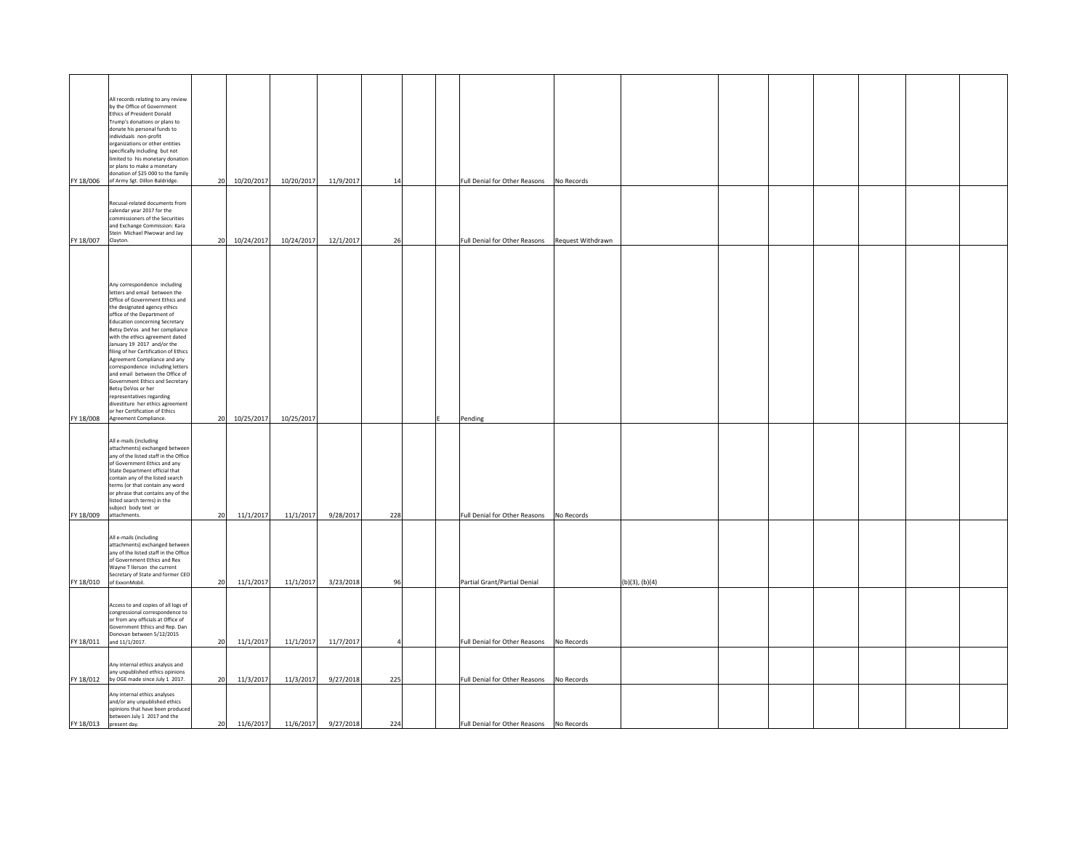|           | All records relating to any review<br>by the Office of Government<br>Ethics of President Donald<br>Trump's donations or plans to<br>donate his personal funds to<br>individuals non-profit<br>organizations or other entities<br>specifically including but not<br>limited to his monetary donation<br>or plans to make a monetary<br>donation of \$25 000 to the family<br>FY 18/006 of Army Sgt. Dillon Baldridge.                                                                                                                                                                                                                                       | 20 10/20/2017   | 10/20/2017               | 11/9/2017           | 14  | Full Denial for Other Reasons            | No Records          |  |  |  |
|-----------|------------------------------------------------------------------------------------------------------------------------------------------------------------------------------------------------------------------------------------------------------------------------------------------------------------------------------------------------------------------------------------------------------------------------------------------------------------------------------------------------------------------------------------------------------------------------------------------------------------------------------------------------------------|-----------------|--------------------------|---------------------|-----|------------------------------------------|---------------------|--|--|--|
| FY 18/007 | Recusal-related documents from<br>calendar year 2017 for the<br>commissioners of the Securities<br>and Exchange Commission: Kara<br>Stein Michael Piwowar and Jay<br>Clayton.                                                                                                                                                                                                                                                                                                                                                                                                                                                                              | 20 10/24/2017   | 10/24/2017               | 12/1/2017           | 26  | Full Denial for Other Reasons            | Request Withdrawn   |  |  |  |
|           | Any correspondence including<br>letters and email between the<br>Office of Government Ethics and<br>the designated agency ethics<br>office of the Department of<br><b>Education concerning Secretary</b><br>Betsy DeVos and her compliance<br>with the ethics agreement dated<br>January 19 2017 and/or the<br>filing of her Certification of Ethics<br>Agreement Compliance and any<br>correspondence including letters<br>and email between the Office of<br>Government Ethics and Secretary<br>Betsy DeVos or her<br>representatives regarding<br>divestiture her ethics agreement<br>or her Certification of Ethics<br>FY 18/008 Agreement Compliance. |                 | 20 10/25/2017 10/25/2017 |                     |     | Pending                                  |                     |  |  |  |
| FY 18/009 | All e-mails (including<br>attachments) exchanged between<br>any of the listed staff in the Office<br>of Government Ethics and any<br>State Department official that<br>contain any of the listed search<br>terms (or that contain any word<br>or phrase that contains any of the<br>listed search terms) in the<br>subject body text or<br>attachments.                                                                                                                                                                                                                                                                                                    | 11/1/2017<br>20 | 11/1/2017                | 9/28/2017           | 228 | Full Denial for Other Reasons            | No Records          |  |  |  |
| FY 18/010 | All e-mails (including<br>attachments) exchanged between<br>any of the listed staff in the Office<br>of Government Ethics and Rex<br>Wayne T llerson the current<br>Secretary of State and former CEO<br>of ExxonMobil.                                                                                                                                                                                                                                                                                                                                                                                                                                    | 20<br>11/1/2017 | 11/1/2017                | 3/23/2018           | 96  | Partial Grant/Partial Denial             | $(b)(3)$ , $(b)(4)$ |  |  |  |
|           | Access to and copies of all logs of<br>congressional correspondence to<br>or from any officials at Office of<br>Government Ethics and Rep. Dan<br>Donovan between 5/12/2015<br>FY 18/011 and 11/1/2017.                                                                                                                                                                                                                                                                                                                                                                                                                                                    | 11/1/2017<br>20 | 11/1/2017                | 11/7/2017           |     | Full Denial for Other Reasons            | No Records          |  |  |  |
| FY 18/012 | Any internal ethics analysis and<br>any unpublished ethics opinions<br>by OGE made since July 1 2017.                                                                                                                                                                                                                                                                                                                                                                                                                                                                                                                                                      | 11/3/2017<br>20 | 11/3/2017                | 9/27/2018           | 225 | Full Denial for Other Reasons            | No Records          |  |  |  |
| FY 18/013 | Any internal ethics analyses<br>and/or any unpublished ethics<br>opinions that have been produced<br>between July 1 2017 and the<br>present day.                                                                                                                                                                                                                                                                                                                                                                                                                                                                                                           | 11/6/2017<br>20 |                          | 11/6/2017 9/27/2018 | 224 | Full Denial for Other Reasons No Records |                     |  |  |  |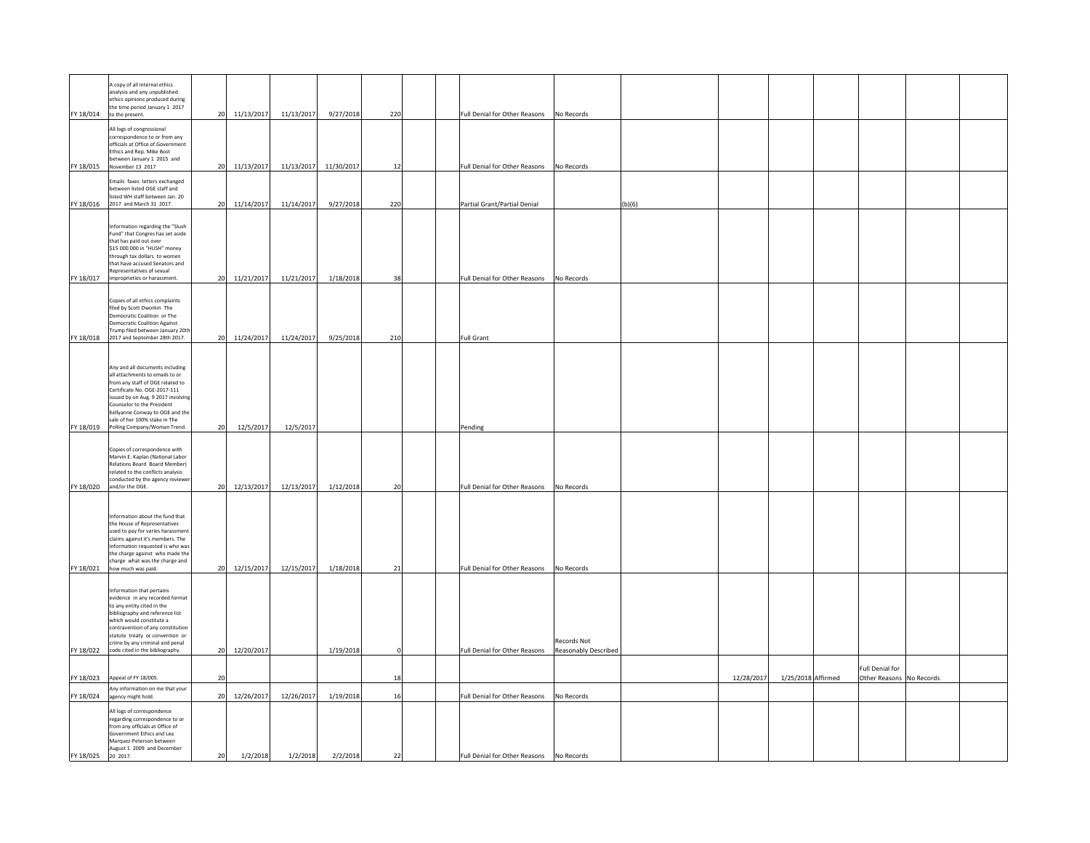|           | A copy of all internal ethics<br>analysis and any unpublished<br>ethics opinions produced during<br>the time period January 1 2017                                                                                                                                                                                       |    |            |            |                       |     |  |                                                                                    |        |            |                    |                                                    |  |
|-----------|--------------------------------------------------------------------------------------------------------------------------------------------------------------------------------------------------------------------------------------------------------------------------------------------------------------------------|----|------------|------------|-----------------------|-----|--|------------------------------------------------------------------------------------|--------|------------|--------------------|----------------------------------------------------|--|
|           | FY 18/014 to the present.                                                                                                                                                                                                                                                                                                | 20 | 11/13/2017 | 11/13/2017 | 9/27/2018             | 220 |  | Full Denial for Other Reasons No Records                                           |        |            |                    |                                                    |  |
|           | All logs of congressional<br>correspondence to or from any<br>officials at Office of Government<br>Ethics and Rep. Mike Bost<br>between January 1 2015 and<br>FY 18/015 November 13 2017                                                                                                                                 | 20 | 11/13/2017 |            | 11/13/2017 11/30/2017 | 12  |  | Full Denial for Other Reasons<br>No Records                                        |        |            |                    |                                                    |  |
|           |                                                                                                                                                                                                                                                                                                                          |    |            |            |                       |     |  |                                                                                    |        |            |                    |                                                    |  |
|           | Emails faxes letters exchanged<br>between listed OGE staff and<br>isted WH staff between Jan. 20<br>FY 18/016 2017 and March 31 2017.                                                                                                                                                                                    | 20 | 11/14/2017 | 11/14/2017 | 9/27/2018             | 220 |  | Partial Grant/Partial Denial                                                       | (b)(6) |            |                    |                                                    |  |
|           | Information regarding the "Slush<br>Fund" that Congres has set aside<br>that has paid out over<br>\$15 000 000 in "HUSH" money<br>prough tax dollars to women<br>that have accused Senators and<br>Representatives of sexual                                                                                             |    |            |            |                       |     |  |                                                                                    |        |            |                    |                                                    |  |
| FY 18/017 | improprieties or harassment.                                                                                                                                                                                                                                                                                             | 20 | 11/21/2017 | 11/21/2017 | 1/18/2018             | 38  |  | Full Denial for Other Reasons<br>No Records                                        |        |            |                    |                                                    |  |
|           | Copies of all ethics complaints<br>filed by Scott Dworkin The<br>emocratic Coalition or The<br><b>Democratic Coalition Against</b><br>Trump filed between January 20th<br>2017 and September 28th 2017.                                                                                                                  | 20 | 11/24/2017 | 11/24/2017 | 9/25/2018             | 210 |  |                                                                                    |        |            |                    |                                                    |  |
| FY 18/018 |                                                                                                                                                                                                                                                                                                                          |    |            |            |                       |     |  | <b>Full Grant</b>                                                                  |        |            |                    |                                                    |  |
|           | Any and all documents including<br>all attachments to emails to or<br>from any staff of OGE related to<br>Certificate No. OGE-2017-111<br>issued by on Aug. 9 2017 involving<br>Counselor to the President<br>Kellyanne Conway to OGE and the<br>sale of her 100% stake in The<br>FY 18/019 Polling Company/Woman Trend. | 20 | 12/5/2017  | 12/5/2017  |                       |     |  | Pending                                                                            |        |            |                    |                                                    |  |
|           | Copies of correspondence with<br>Marvin E. Kaplan (National Labor<br>Relations Board Board Member)<br>related to the conflicts analysis<br>conducted by the agency reviewe<br>FY 18/020 and/or the OGE.                                                                                                                  | 20 | 12/13/2017 | 12/13/2017 | 1/12/2018             | 20  |  | Full Denial for Other Reasons<br>No Records                                        |        |            |                    |                                                    |  |
|           |                                                                                                                                                                                                                                                                                                                          |    |            |            |                       |     |  |                                                                                    |        |            |                    |                                                    |  |
|           | Information about the fund that<br>the House of Representatives<br>used to pay for varies harassment<br>claims against it's members. The<br>information requested is who was<br>the charge against who made the<br>charge what was the charge and<br>FY 18/021 how much was paid.                                        | 20 | 12/15/2017 | 12/15/2017 | 1/18/2018             | 21  |  | Full Denial for Other Reasons<br>No Records                                        |        |            |                    |                                                    |  |
|           |                                                                                                                                                                                                                                                                                                                          |    |            |            |                       |     |  |                                                                                    |        |            |                    |                                                    |  |
| FY 18/022 | Information that pertains<br>evidence in any recorded format<br>to any entity cited in the<br>bibliography and reference list<br>which would constitute a<br>contravention of any constitution<br>statute treaty or convention or<br>crime by any criminal and penal<br>code cited in the bibliography.                  | 20 | 12/20/2017 |            | 1/19/2018             |     |  | <b>Records Not</b><br>Full Denial for Other Reasons<br><b>Reasonably Described</b> |        |            |                    |                                                    |  |
|           |                                                                                                                                                                                                                                                                                                                          |    |            |            |                       |     |  |                                                                                    |        |            |                    |                                                    |  |
| FY 18/023 | Appeal of FY 18/005.                                                                                                                                                                                                                                                                                                     | 20 |            |            |                       | 18  |  |                                                                                    |        | 12/28/2017 | 1/25/2018 Affirmed | <b>Full Denial for</b><br>Other Reasons No Records |  |
|           | Any information on me that your                                                                                                                                                                                                                                                                                          |    |            |            |                       |     |  |                                                                                    |        |            |                    |                                                    |  |
| FY 18/024 | agency might hold.                                                                                                                                                                                                                                                                                                       | 20 | 12/26/2017 | 12/26/2017 | 1/19/2018             | 16  |  | Full Denial for Other Reasons<br>No Records                                        |        |            |                    |                                                    |  |
| FY 18/025 | All logs of correspondence<br>regarding correspondence to or<br>from any officials at Office of<br>Government Ethics and Lea<br>Marquez-Peterson between<br>August 1 2009 and December<br>20 2017.                                                                                                                       | 20 | 1/2/2018   | 1/2/2018   | 2/2/2018              | 22  |  | Full Denial for Other Reasons   No Records                                         |        |            |                    |                                                    |  |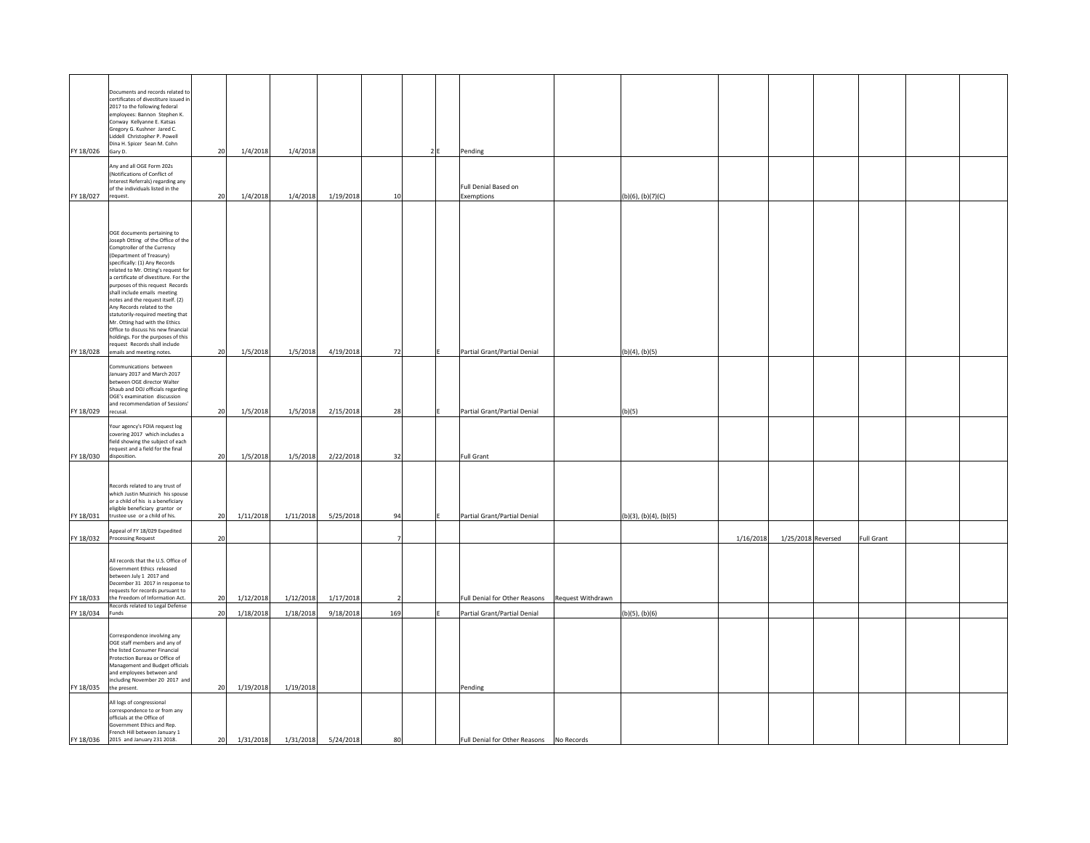| FY 18/026 | Documents and records related to<br>certificates of divestiture issued in<br>2017 to the following federal<br>employees: Bannon Stephen K.<br>Conway Kellyanne E. Katsas<br>Gregory G. Kushner Jared C.<br>Liddell Christopher P. Powell<br>Dina H. Spicer Sean M. Cohn<br>Gary D.                                                                                                                                                                                                                                                                                                                     | 20 | 1/4/2018  | 1/4/2018  |                     |                | 2 F | Pending                                  |                   |                        |                    |                   |  |
|-----------|--------------------------------------------------------------------------------------------------------------------------------------------------------------------------------------------------------------------------------------------------------------------------------------------------------------------------------------------------------------------------------------------------------------------------------------------------------------------------------------------------------------------------------------------------------------------------------------------------------|----|-----------|-----------|---------------------|----------------|-----|------------------------------------------|-------------------|------------------------|--------------------|-------------------|--|
|           | Any and all OGE Form 202s<br>(Notifications of Conflict of<br>Interest Referrals) regarding any<br>of the individuals listed in the                                                                                                                                                                                                                                                                                                                                                                                                                                                                    |    |           |           |                     |                |     | Full Denial Based on                     |                   |                        |                    |                   |  |
| FY 18/027 | request.                                                                                                                                                                                                                                                                                                                                                                                                                                                                                                                                                                                               | 20 | 1/4/2018  | 1/4/2018  | 1/19/2018           | 10             |     | Exemptions                               |                   | (b)(6), (b)(7)(C)      |                    |                   |  |
| FY 18/028 | OGE documents pertaining to<br>Joseph Otting of the Office of the<br>Comptroller of the Currency<br>(Department of Treasury)<br>specifically: (1) Any Records<br>related to Mr. Otting's request for<br>a certificate of divestiture. For the<br>purposes of this request Records<br>shall include emails meeting<br>notes and the request itself. (2)<br>Any Records related to the<br>statutorily-required meeting that<br>Mr. Otting had with the Ethics<br>Office to discuss his new financial<br>holdings. For the purposes of this<br>request Records shall include<br>emails and meeting notes. | 20 | 1/5/2018  | 1/5/2018  | 4/19/2018           | 72             |     | Partial Grant/Partial Denial             |                   | (b)(4), (b)(5)         |                    |                   |  |
|           | Communications between<br>January 2017 and March 2017<br>between OGE director Walter<br>Shaub and DOJ officials regarding<br>OGE's examination discussion<br>and recommendation of Sessions'                                                                                                                                                                                                                                                                                                                                                                                                           |    |           |           |                     |                |     |                                          |                   |                        |                    |                   |  |
| FY 18/029 | recusal.                                                                                                                                                                                                                                                                                                                                                                                                                                                                                                                                                                                               | 20 | 1/5/2018  | 1/5/2018  | 2/15/2018           | 28             |     | Partial Grant/Partial Denial             |                   | (b)(5)                 |                    |                   |  |
|           | Your agency's FOIA request log<br>covering 2017 which includes a<br>field showing the subject of each<br>equest and a field for the final                                                                                                                                                                                                                                                                                                                                                                                                                                                              |    |           |           |                     |                |     |                                          |                   |                        |                    |                   |  |
| FY 18/030 | disposition.                                                                                                                                                                                                                                                                                                                                                                                                                                                                                                                                                                                           | 20 | 1/5/2018  | 1/5/2018  | 2/22/2018           | 32             |     | <b>Full Grant</b>                        |                   |                        |                    |                   |  |
| FY 18/031 | Records related to any trust of<br>which Justin Muzinich his spouse<br>or a child of his is a beneficiary<br>eligible beneficiary grantor or<br>trustee use or a child of his.                                                                                                                                                                                                                                                                                                                                                                                                                         | 20 | 1/11/2018 | 1/11/2018 | 5/25/2018           | 94             |     | Partial Grant/Partial Denial             |                   | (b)(3), (b)(4), (b)(5) |                    |                   |  |
|           | Appeal of FY 18/029 Expedited<br>FY 18/032 Processing Request                                                                                                                                                                                                                                                                                                                                                                                                                                                                                                                                          | 20 |           |           |                     | $\overline{7}$ |     |                                          |                   | 1/16/2018              | 1/25/2018 Reversed | <b>Full Grant</b> |  |
|           | All records that the U.S. Office of<br>Government Ethics released<br>between July 1 2017 and<br>December 31 2017 in response to<br>equests for records pursuant to                                                                                                                                                                                                                                                                                                                                                                                                                                     |    |           |           |                     |                |     |                                          |                   |                        |                    |                   |  |
| FY 18/033 | the Freedom of Information Act.<br>Records related to Legal Defense                                                                                                                                                                                                                                                                                                                                                                                                                                                                                                                                    | 20 | 1/12/2018 | 1/12/2018 | 1/17/2018           | $\overline{2}$ |     | Full Denial for Other Reasons            | Request Withdrawn |                        |                    |                   |  |
| FY 18/034 | Funds                                                                                                                                                                                                                                                                                                                                                                                                                                                                                                                                                                                                  | 20 | 1/18/2018 | 1/18/2018 | 9/18/2018           | 169            |     | Partial Grant/Partial Denial             |                   | (b)(5), (b)(6)         |                    |                   |  |
| FY 18/035 | Correspondence involving any<br>OGE staff members and any of<br>the listed Consumer Financial<br>Protection Bureau or Office of<br>Management and Budget officials<br>and employees between and<br>including November 20 2017 and<br>the present.                                                                                                                                                                                                                                                                                                                                                      | 20 | 1/19/2018 | 1/19/2018 |                     |                |     | Pending                                  |                   |                        |                    |                   |  |
| FY 18/036 | All logs of congressional<br>correspondence to or from any<br>officials at the Office of<br>Government Ethics and Rep.<br>French Hill between January 1<br>2015 and January 231 2018.                                                                                                                                                                                                                                                                                                                                                                                                                  | 20 | 1/31/2018 |           | 1/31/2018 5/24/2018 | 80             |     | Full Denial for Other Reasons No Records |                   |                        |                    |                   |  |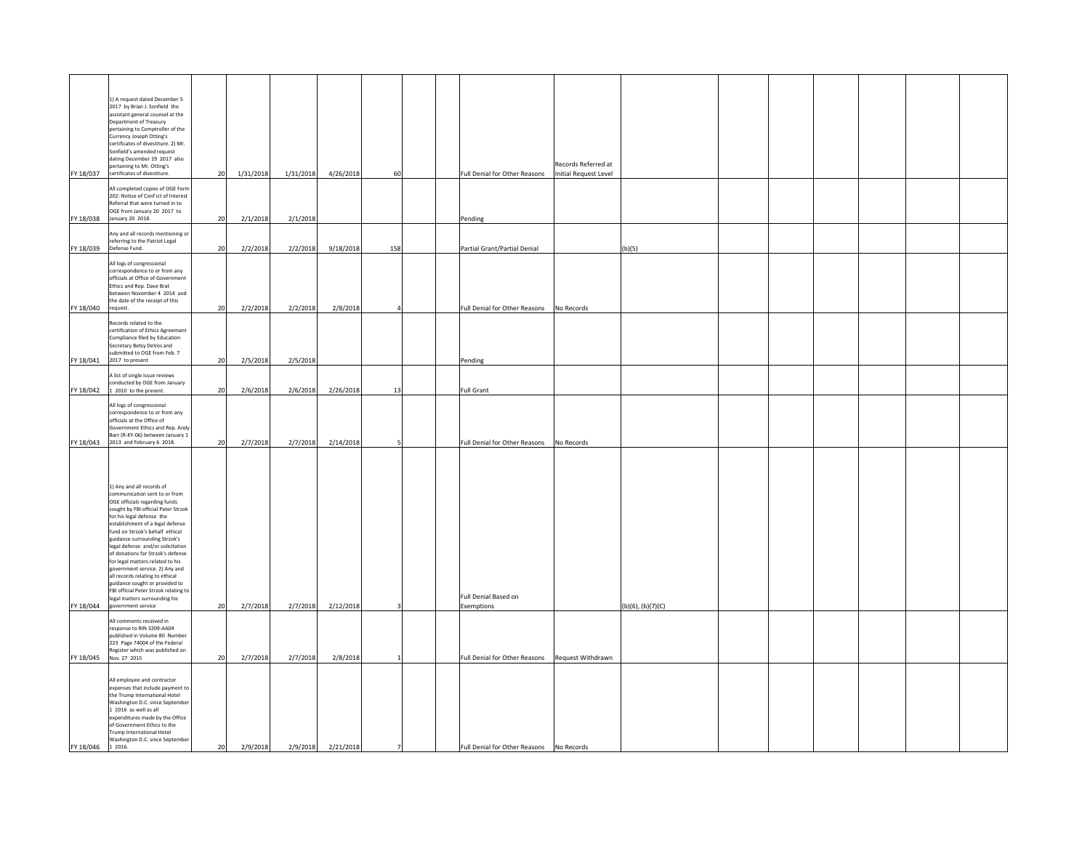|                    | 1) A request dated December 5<br>2017 by Brian J. Sonfield the<br>assistant general counsel at the<br>Department of Treasury<br>pertaining to Comptroller of the<br>Currency Joseph Otting's<br>certificates of divestiture. 2) Mr.<br>Sonfield's amended request<br>dating December 19 2017 also<br>pertaining to Mr. Otting's<br>FY 18/037 certificates of divestiture.                                                                                                                                                                                                                    | 20       | 1/31/2018            | 1/31/2018            | 4/26/2018              | 60  |                | Full Denial for Other Reasons                                                                  | Records Referred at<br><b>Initial Request Level</b> |                        |  |  |  |
|--------------------|----------------------------------------------------------------------------------------------------------------------------------------------------------------------------------------------------------------------------------------------------------------------------------------------------------------------------------------------------------------------------------------------------------------------------------------------------------------------------------------------------------------------------------------------------------------------------------------------|----------|----------------------|----------------------|------------------------|-----|----------------|------------------------------------------------------------------------------------------------|-----------------------------------------------------|------------------------|--|--|--|
| FY 18/038          | All completed copies of OGE Form<br>202: Notice of Conf ict of Interest<br>Referral that were turned in to<br>OGE from January 20 2017 to<br>January 20 2018.                                                                                                                                                                                                                                                                                                                                                                                                                                | 20       | 2/1/2018             | 2/1/2018             |                        |     |                | Pending                                                                                        |                                                     |                        |  |  |  |
| FY 18/039          | Any and all records mentioning or<br>referring to the Patriot Legal<br>Defense Fund.                                                                                                                                                                                                                                                                                                                                                                                                                                                                                                         | 20       | 2/2/2018             | 2/2/2018             | 9/18/2018              | 158 |                | Partial Grant/Partial Denial                                                                   |                                                     | (b)(5)                 |  |  |  |
| FY 18/040 request. | All logs of congressional<br>correspondence to or from any<br>officials at Office of Government<br>Ethics and Rep. Dave Brat<br>between November 4 2014 and<br>the date of the receipt of this                                                                                                                                                                                                                                                                                                                                                                                               | 20       | 2/2/2018             | 2/2/2018             | 2/8/2018               |     |                | Full Denial for Other Reasons                                                                  | No Records                                          |                        |  |  |  |
| FY 18/041          | Records related to the<br>certification of Ethics Agreement<br>Compliance filed by Education<br>Secretary Betsy DeVos and<br>submitted to OGE from Feb. 7<br>2017 to present                                                                                                                                                                                                                                                                                                                                                                                                                 | 20       | 2/5/2018             | 2/5/2018             |                        |     |                | Pending                                                                                        |                                                     |                        |  |  |  |
|                    | A list of single issue reviews<br>conducted by OGE from January                                                                                                                                                                                                                                                                                                                                                                                                                                                                                                                              |          |                      |                      |                        |     |                |                                                                                                |                                                     |                        |  |  |  |
| FY 18/043          | FY 18/042 1 2010 to the present.<br>All logs of congressional<br>correspondence to or from any<br>officials at the Office of<br>Government Ethics and Rep. Andy<br>Barr (R-KY-06) between January 1<br>2013 and February 6 2018.                                                                                                                                                                                                                                                                                                                                                             | 20<br>20 | 2/6/2018<br>2/7/2018 | 2/6/2018<br>2/7/2018 | 2/26/2018<br>2/14/2018 | 13  |                | <b>Full Grant</b><br>Full Denial for Other Reasons                                             | No Records                                          |                        |  |  |  |
| FY 18/044          | 1) Any and all records of<br>communication sent to or from<br>OGE officials regarding funds<br>sought by FBI official Peter Strzok<br>for his legal defense the<br>establishment of a legal defense<br>fund on Strzok's behalf ethical<br>guidance surrounding Strzok's<br>legal defense and/or solicitation<br>of donations for Strzok's defense<br>for legal matters related to his<br>government service. 2) Any and<br>all records relating to ethical<br>guidance sought or provided to<br>FBI official Peter Strzok relating to<br>legal matters surrounding his<br>government service | 20       | 2/7/2018             | 2/7/2018             | 2/12/2018              |     |                | Full Denial Based on<br>Exemptions                                                             |                                                     | $(b)(6)$ , $(b)(7)(C)$ |  |  |  |
|                    | All comments received in<br>response to RIN 3209-AA04<br>published in Volume 80 Number<br>223 Page 74004 of the Federal<br>Register which was published on                                                                                                                                                                                                                                                                                                                                                                                                                                   |          |                      |                      |                        |     |                |                                                                                                |                                                     |                        |  |  |  |
| FY 18/046          | FY 18/045 Nov. 27 2015<br>All employee and contractor<br>expenses that include payment to<br>the Trump International Hotel<br>Washington D.C. since September<br>1 2016 as well as all<br>expenditures made by the Office<br>of Government Ethics to the<br>Trump International Hotel<br>Washington D.C. since September<br>1 2016                                                                                                                                                                                                                                                           | 20<br>20 | 2/7/2018<br>2/9/2018 | 2/7/2018<br>2/9/2018 | 2/8/2018<br>2/21/2018  |     | $\overline{7}$ | Full Denial for Other Reasons Request Withdrawn<br>Full Denial for Other Reasons    No Records |                                                     |                        |  |  |  |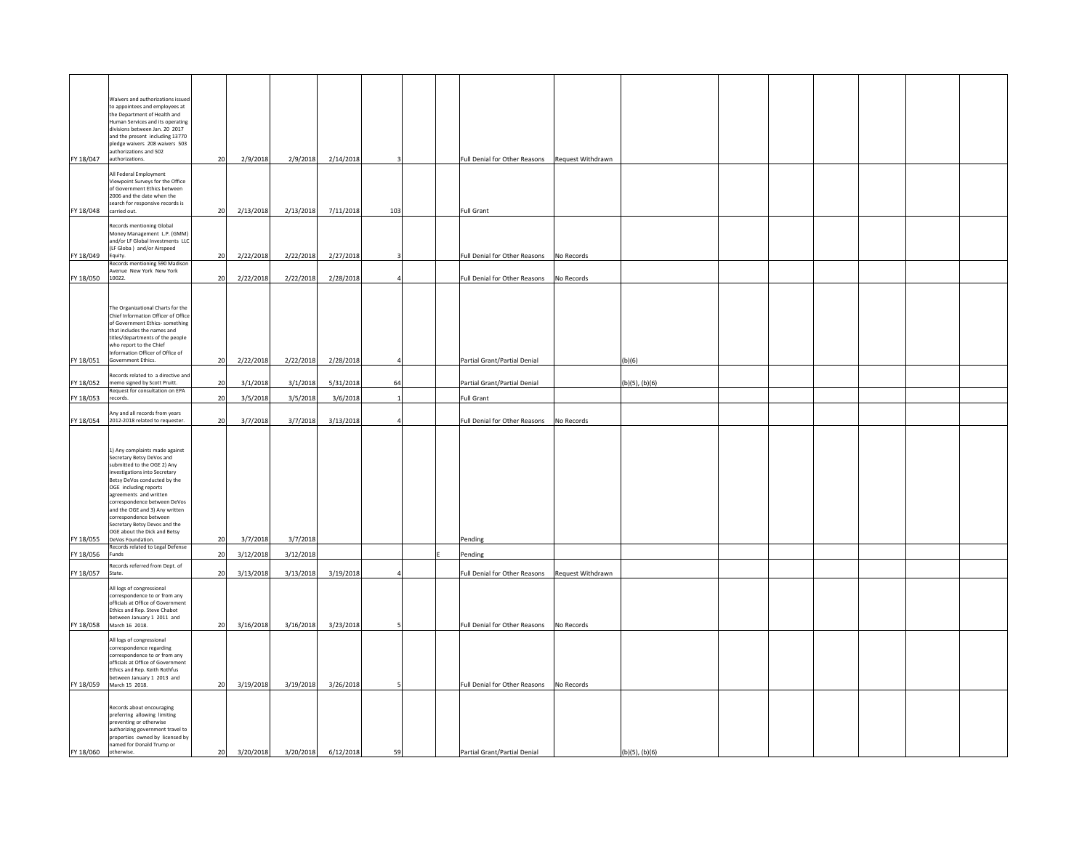| FY 18/047<br>FY 18/048<br>FY 18/049 | Waivers and authorizations issued<br>to appointees and employees at<br>the Department of Health and<br>Human Services and its operating<br>divisions between Jan. 20 2017<br>and the present including 13770<br>pledge waivers 208 waivers 503<br>authorizations and 502<br>authorizations.<br>All Federal Employment<br>Viewpoint Surveys for the Office<br>of Government Ethics between<br>2006 and the date when the<br>search for responsive records is<br>carried out.<br><b>Records mentioning Global</b><br>Money Management L.P. (GMM)<br>and/or LF Global Investments LLC<br>(LF Globa) and/or Airspeed<br>Equity.<br>Records mentioning 590 Madison<br>Avenue New York New York | 20<br>20<br>20 | 2/9/2018<br>2/13/2018<br>2/22/2018 | 2/9/2018<br>2/13/2018<br>2/22/2018 | 2/14/2018<br>7/11/2018<br>2/27/2018 | 103       | <b>Full Grant</b><br>Full Denial for Other Reasons | Full Denial for Other Reasons Request Withdrawn<br>No Records |                     |  |  |  |
|-------------------------------------|-------------------------------------------------------------------------------------------------------------------------------------------------------------------------------------------------------------------------------------------------------------------------------------------------------------------------------------------------------------------------------------------------------------------------------------------------------------------------------------------------------------------------------------------------------------------------------------------------------------------------------------------------------------------------------------------|----------------|------------------------------------|------------------------------------|-------------------------------------|-----------|----------------------------------------------------|---------------------------------------------------------------|---------------------|--|--|--|
| FY 18/050 10022.                    |                                                                                                                                                                                                                                                                                                                                                                                                                                                                                                                                                                                                                                                                                           | 20             | 2/22/2018                          | 2/22/2018                          | 2/28/2018                           | $\Delta$  | Full Denial for Other Reasons                      | No Records                                                    |                     |  |  |  |
| FY 18/051                           | The Organizational Charts for the<br>Chief Information Officer of Office<br>of Government Ethics- something<br>that includes the names and<br>titles/departments of the people<br>who report to the Chief<br>nformation Officer of Office of<br>Government Ethics.                                                                                                                                                                                                                                                                                                                                                                                                                        | 20             | 2/22/2018                          | 2/22/2018                          | 2/28/2018                           |           | Partial Grant/Partial Denial                       |                                                               | (b)(6)              |  |  |  |
| FY 18/052                           | Records related to a directive and<br>memo signed by Scott Pruitt.                                                                                                                                                                                                                                                                                                                                                                                                                                                                                                                                                                                                                        | 20             | 3/1/2018                           | 3/1/2018                           | 5/31/2018                           | 64        | Partial Grant/Partial Denial                       |                                                               | $(b)(5)$ , $(b)(6)$ |  |  |  |
| FY 18/053                           | Request for consultation on EPA<br>records.                                                                                                                                                                                                                                                                                                                                                                                                                                                                                                                                                                                                                                               | 20             | 3/5/2018                           | 3/5/2018                           | 3/6/2018                            |           | Full Grant                                         |                                                               |                     |  |  |  |
|                                     | Any and all records from years                                                                                                                                                                                                                                                                                                                                                                                                                                                                                                                                                                                                                                                            |                |                                    |                                    |                                     |           |                                                    |                                                               |                     |  |  |  |
| FY 18/054                           | 2012-2018 related to requester.                                                                                                                                                                                                                                                                                                                                                                                                                                                                                                                                                                                                                                                           | 20             | 3/7/2018                           | 3/7/2018                           | 3/13/2018                           |           | Full Denial for Other Reasons                      | No Records                                                    |                     |  |  |  |
| FY 18/055                           | 1) Any complaints made against<br>Secretary Betsy DeVos and<br>submitted to the OGE 2) Any<br>investigations into Secretary<br>Betsy DeVos conducted by the<br>OGE including reports<br>agreements and written<br>correspondence between DeVos<br>and the OGE and 3) Any written<br>correspondence between<br>Secretary Betsy Devos and the<br>OGE about the Dick and Betsy<br>DeVos Foundation.<br>Records related to Legal Defense                                                                                                                                                                                                                                                      | 20             | 3/7/2018                           | 3/7/2018                           |                                     |           | Pending                                            |                                                               |                     |  |  |  |
| FY 18/056                           | Funds                                                                                                                                                                                                                                                                                                                                                                                                                                                                                                                                                                                                                                                                                     | 20             | 3/12/2018                          | 3/12/2018                          |                                     |           | Pending                                            |                                                               |                     |  |  |  |
| FY 18/057                           | Records referred from Dept. of<br>State.                                                                                                                                                                                                                                                                                                                                                                                                                                                                                                                                                                                                                                                  | 20             | 3/13/2018                          | 3/13/2018                          | 3/19/2018                           | $\Lambda$ | Full Denial for Other Reasons                      | Request Withdrawn                                             |                     |  |  |  |
|                                     | All logs of congressional<br>correspondence to or from any<br>officials at Office of Government<br>Ethics and Rep. Steve Chabot<br>between January 1 2011 and<br>FY 18/058 March 16 2018.                                                                                                                                                                                                                                                                                                                                                                                                                                                                                                 | 20             | 3/16/2018                          | 3/16/2018                          | 3/23/2018                           |           | Full Denial for Other Reasons                      | No Records                                                    |                     |  |  |  |
|                                     | All logs of congressional<br>correspondence regarding<br>correspondence to or from any<br>officials at Office of Government<br>Ethics and Rep. Keith Rothfus<br>between January 1 2013 and<br>FY 18/059 March 15 2018.                                                                                                                                                                                                                                                                                                                                                                                                                                                                    | 20             | 3/19/2018                          | 3/19/2018                          | 3/26/2018                           |           | Full Denial for Other Reasons                      | No Records                                                    |                     |  |  |  |
| FY 18/060                           | Records about encouraging<br>preferring allowing limiting<br>preventing or otherwise<br>authorizing government travel to<br>properties owned by licensed by<br>named for Donald Trump or<br>otherwise.                                                                                                                                                                                                                                                                                                                                                                                                                                                                                    | 20             | 3/20/2018                          | 3/20/2018                          | 6/12/2018                           | 59        | Partial Grant/Partial Denial                       |                                                               | $(b)(5)$ , $(b)(6)$ |  |  |  |
|                                     |                                                                                                                                                                                                                                                                                                                                                                                                                                                                                                                                                                                                                                                                                           |                |                                    |                                    |                                     |           |                                                    |                                                               |                     |  |  |  |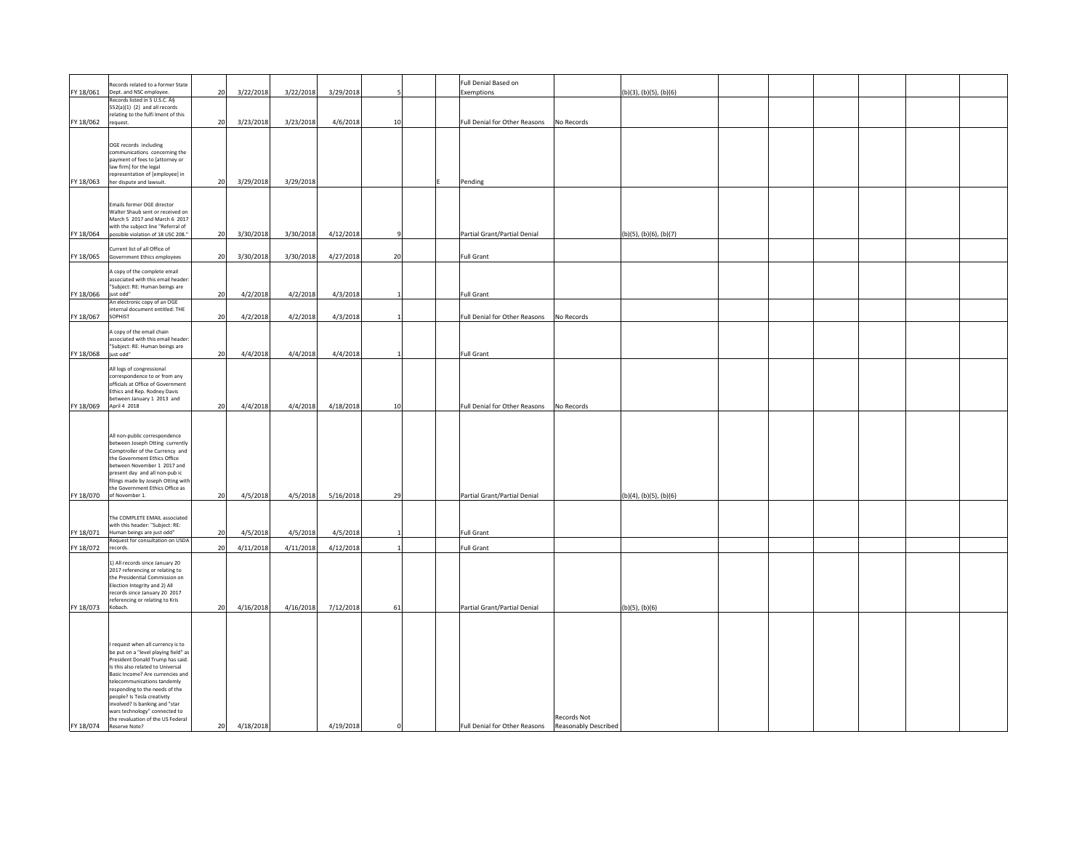| FY 18/061          | Records related to a former State<br>Dept. and NSC employee.                                                                                                                                                                                                                                                           | 20 | 3/22/2018 | 3/22/2018 | 3/29/2018 |          | Full Denial Based on<br>Exemptions |                                     | (b)(3), (b)(5), (b)(6) |  |  |  |
|--------------------|------------------------------------------------------------------------------------------------------------------------------------------------------------------------------------------------------------------------------------------------------------------------------------------------------------------------|----|-----------|-----------|-----------|----------|------------------------------------|-------------------------------------|------------------------|--|--|--|
|                    | Records listed in 5 U.S.C. §<br>552(a)(1) (2) and all records                                                                                                                                                                                                                                                          |    |           |           |           |          |                                    |                                     |                        |  |  |  |
|                    | relating to the fulfi Iment of this                                                                                                                                                                                                                                                                                    |    |           | 3/23/2018 | 4/6/2018  |          |                                    |                                     |                        |  |  |  |
| FY 18/062          | request.                                                                                                                                                                                                                                                                                                               | 20 | 3/23/2018 |           |           | 10       | Full Denial for Other Reasons      | No Records                          |                        |  |  |  |
|                    | OGE records including<br>communications concerning the<br>payment of fees to [attorney or                                                                                                                                                                                                                              |    |           |           |           |          |                                    |                                     |                        |  |  |  |
| FY 18/063          | law firm] for the legal<br>representation of [employee] in<br>her dispute and lawsuit.                                                                                                                                                                                                                                 | 20 | 3/29/2018 | 3/29/2018 |           |          | Pending                            |                                     |                        |  |  |  |
|                    |                                                                                                                                                                                                                                                                                                                        |    |           |           |           |          |                                    |                                     |                        |  |  |  |
|                    | Emails former OGE director<br>Walter Shaub sent or received on<br>March 5 2017 and March 6 2017<br>with the subject line "Referral of                                                                                                                                                                                  |    |           |           |           |          |                                    |                                     |                        |  |  |  |
| FY 18/064          | possible violation of 18 USC 208."                                                                                                                                                                                                                                                                                     | 20 | 3/30/2018 | 3/30/2018 | 4/12/2018 |          | Partial Grant/Partial Denial       |                                     | (b)(5), (b)(6), (b)(7) |  |  |  |
| FY 18/065          | Current list of all Office of<br>Government Ethics employees                                                                                                                                                                                                                                                           | 20 | 3/30/2018 | 3/30/2018 | 4/27/2018 | 20       | Full Grant                         |                                     |                        |  |  |  |
|                    | A copy of the complete email<br>associated with this email header                                                                                                                                                                                                                                                      |    |           |           |           |          |                                    |                                     |                        |  |  |  |
| FY 18/066          | "Subject: RE: Human beings are<br>just odd"                                                                                                                                                                                                                                                                            | 20 | 4/2/2018  | 4/2/2018  | 4/3/2018  |          | <b>Full Grant</b>                  |                                     |                        |  |  |  |
| FY 18/067          | An electronic copy of an OGE<br>nternal document entitled: THE<br>SOPHIST                                                                                                                                                                                                                                              | 20 | 4/2/2018  | 4/2/2018  | 4/3/2018  |          | Full Denial for Other Reasons      | No Records                          |                        |  |  |  |
|                    | A copy of the email chain<br>associated with this email header                                                                                                                                                                                                                                                         |    |           |           |           |          |                                    |                                     |                        |  |  |  |
| FY 18/068          | "Subject: RE: Human beings are<br>just odd"                                                                                                                                                                                                                                                                            | 20 | 4/4/2018  | 4/4/2018  | 4/4/2018  |          | <b>Full Grant</b>                  |                                     |                        |  |  |  |
|                    | All logs of congressional                                                                                                                                                                                                                                                                                              |    |           |           |           |          |                                    |                                     |                        |  |  |  |
|                    | correspondence to or from any<br>officials at Office of Government                                                                                                                                                                                                                                                     |    |           |           |           |          |                                    |                                     |                        |  |  |  |
|                    | Ethics and Rep. Rodney Davis<br>between January 1 2013 and                                                                                                                                                                                                                                                             |    |           |           |           |          |                                    |                                     |                        |  |  |  |
|                    | FY 18/069 April 4 2018                                                                                                                                                                                                                                                                                                 | 20 | 4/4/2018  | 4/4/2018  | 4/18/2018 | 10       | Full Denial for Other Reasons      | No Records                          |                        |  |  |  |
|                    |                                                                                                                                                                                                                                                                                                                        |    |           |           |           |          |                                    |                                     |                        |  |  |  |
|                    | All non-public correspondence<br>between Joseph Otting currently<br>Comptroller of the Currency and                                                                                                                                                                                                                    |    |           |           |           |          |                                    |                                     |                        |  |  |  |
|                    | the Government Ethics Office<br>between November 1 2017 and                                                                                                                                                                                                                                                            |    |           |           |           |          |                                    |                                     |                        |  |  |  |
|                    | present day and all non-pub ic<br>filings made by Joseph Otting with                                                                                                                                                                                                                                                   |    |           |           |           |          |                                    |                                     |                        |  |  |  |
|                    | the Government Ethics Office as<br>FY 18/070 of November 1.                                                                                                                                                                                                                                                            | 20 | 4/5/2018  | 4/5/2018  | 5/16/2018 | 29       | Partial Grant/Partial Denial       |                                     | (b)(4), (b)(5), (b)(6) |  |  |  |
|                    |                                                                                                                                                                                                                                                                                                                        |    |           |           |           |          |                                    |                                     |                        |  |  |  |
|                    | The COMPLETE EMAIL associated<br>with this header: "Subject: RE:                                                                                                                                                                                                                                                       |    |           |           |           |          |                                    |                                     |                        |  |  |  |
| FY 18/071          | Human beings are just odd"<br>Request for consultation on USDA                                                                                                                                                                                                                                                         | 20 | 4/5/2018  | 4/5/2018  | 4/5/2018  |          | <b>Full Grant</b>                  |                                     |                        |  |  |  |
| FY 18/072 records. |                                                                                                                                                                                                                                                                                                                        | 20 | 4/11/2018 | 4/11/2018 | 4/12/2018 |          | <b>Full Grant</b>                  |                                     |                        |  |  |  |
|                    | 1) All records since January 20<br>2017 referencing or relating to<br>the Presidential Commission on<br>Election Integrity and 2) All<br>records since January 20 2017<br>referencing or relating to Kris                                                                                                              |    |           |           |           |          |                                    |                                     |                        |  |  |  |
| FY 18/073          | Kobach.                                                                                                                                                                                                                                                                                                                | 20 | 4/16/2018 | 4/16/2018 | 7/12/2018 | 61       | Partial Grant/Partial Denial       |                                     | $(b)(5)$ , $(b)(6)$    |  |  |  |
|                    |                                                                                                                                                                                                                                                                                                                        |    |           |           |           |          |                                    |                                     |                        |  |  |  |
|                    | I request when all currency is to<br>be put on a "level playing field" as<br>President Donald Trump has said.<br>Is this also related to Universal<br>Basic Income? Are currencies and<br>telecommunications tandemly<br>responding to the needs of the<br>people? Is Tesla creativity<br>wolved? Is banking and "star |    |           |           |           |          |                                    |                                     |                        |  |  |  |
| FY 18/074          | wars technology" connected to<br>the revaluation of the US Federal<br>Reserve Note?                                                                                                                                                                                                                                    | 20 | 4/18/2018 |           | 4/19/2018 | $\Omega$ | Full Denial for Other Reasons      | Records Not<br>Reasonably Described |                        |  |  |  |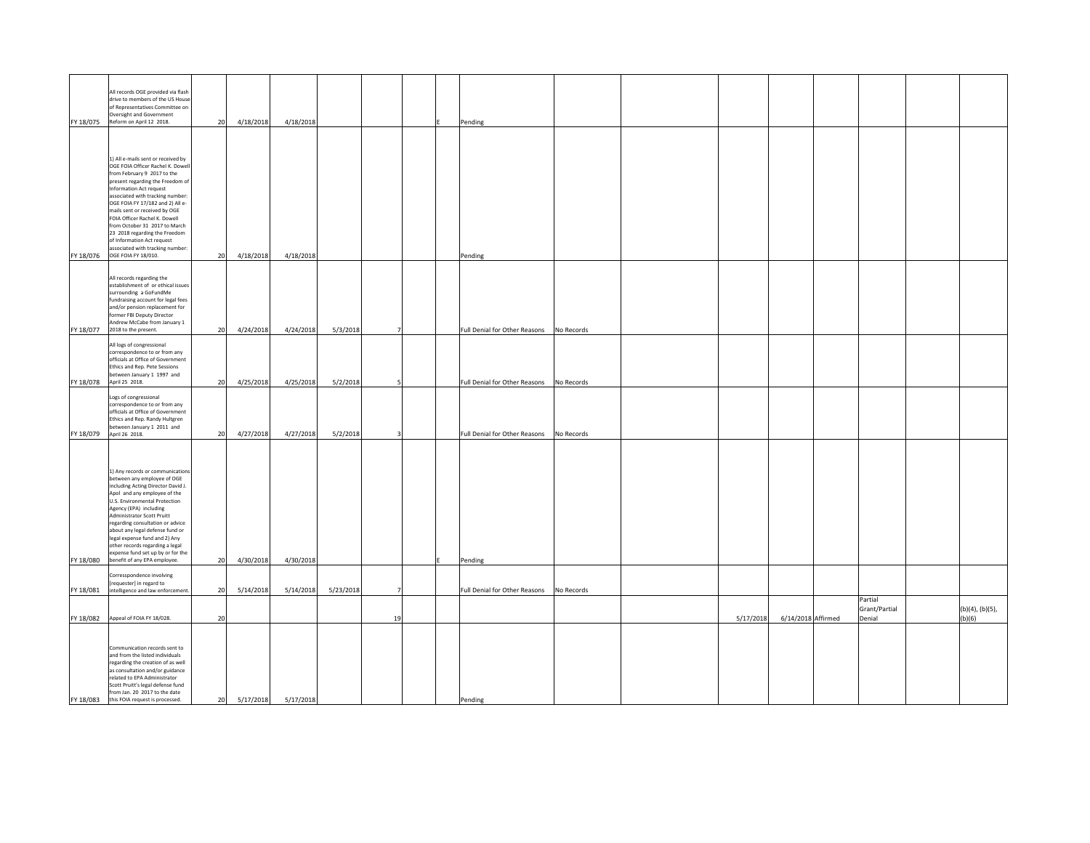| FY 18/075 | All records OGE provided via flash<br>drive to members of the US House<br>of Representatives Committee on<br>Oversight and Government<br>Reform on April 12 2018.                                                                                                                                                                                                                                                                              | 20 | 4/18/2018 | 4/18/2018 |           |                | Pending                       |            |           |                    |                                    |                           |
|-----------|------------------------------------------------------------------------------------------------------------------------------------------------------------------------------------------------------------------------------------------------------------------------------------------------------------------------------------------------------------------------------------------------------------------------------------------------|----|-----------|-----------|-----------|----------------|-------------------------------|------------|-----------|--------------------|------------------------------------|---------------------------|
|           |                                                                                                                                                                                                                                                                                                                                                                                                                                                |    |           |           |           |                |                               |            |           |                    |                                    |                           |
|           | 1) All e-mails sent or received by<br>OGE FOIA Officer Rachel K. Dowell<br>from February 9 2017 to the<br>present regarding the Freedom of<br>Information Act request<br>associated with tracking number:<br>OGE FOIA FY 17/182 and 2) All e-<br>mails sent or received by OGE<br>FOIA Officer Rachel K. Dowell<br>from October 31 2017 to March<br>23 2018 regarding the Freedom<br>of Information Act request                                |    |           |           |           |                |                               |            |           |                    |                                    |                           |
|           | associated with tracking number:<br>FY 18/076 OGE FOIA FY 18/010.                                                                                                                                                                                                                                                                                                                                                                              | 20 | 4/18/2018 | 4/18/2018 |           |                | Pending                       |            |           |                    |                                    |                           |
|           | All records regarding the<br>establishment of or ethical issues<br>surrounding a GoFundMe<br>fundraising account for legal fees<br>and/or pension replacement for<br>former FBI Deputy Director<br>Andrew McCabe from January 1                                                                                                                                                                                                                |    |           |           |           |                |                               |            |           |                    |                                    |                           |
| FY 18/077 | 2018 to the present.                                                                                                                                                                                                                                                                                                                                                                                                                           | 20 | 4/24/2018 | 4/24/2018 | 5/3/2018  | $\overline{7}$ | Full Denial for Other Reasons | No Records |           |                    |                                    |                           |
| FY 18/078 | All logs of congressional<br>correspondence to or from any<br>officials at Office of Government<br>Ethics and Rep. Pete Sessions<br>etween January 1 1997 and<br>April 25 2018.                                                                                                                                                                                                                                                                | 20 | 4/25/2018 | 4/25/2018 | 5/2/2018  | 5              | Full Denial for Other Reasons | No Records |           |                    |                                    |                           |
|           | Logs of congressional<br>correspondence to or from any<br>officials at Office of Government<br>Ethics and Rep. Randy Hultgren<br>between January 1 2011 and                                                                                                                                                                                                                                                                                    |    |           |           |           |                |                               |            |           |                    |                                    |                           |
| FY 18/079 | April 26 2018.                                                                                                                                                                                                                                                                                                                                                                                                                                 | 20 | 4/27/2018 | 4/27/2018 | 5/2/2018  |                | Full Denial for Other Reasons | No Records |           |                    |                                    |                           |
| FY 18/080 | 1) Any records or communications<br>between any employee of OGE<br>including Acting Director David J.<br>Apol and any employee of the<br>U.S. Environmental Protection<br>Agency (EPA) including<br>Administrator Scott Pruitt<br>regarding consultation or advice<br>about any legal defense fund or<br>legal expense fund and 2) Any<br>other records regarding a legal<br>expense fund set up by or for the<br>benefit of any EPA employee. | 20 | 4/30/2018 | 4/30/2018 |           |                | Pending                       |            |           |                    |                                    |                           |
|           | Corresspondence involving                                                                                                                                                                                                                                                                                                                                                                                                                      |    |           |           |           |                |                               |            |           |                    |                                    |                           |
| FY 18/081 | [requester] in regard to<br>intelligence and law enforcement.                                                                                                                                                                                                                                                                                                                                                                                  | 20 | 5/14/2018 | 5/14/2018 | 5/23/2018 |                | Full Denial for Other Reasons | No Records |           |                    |                                    |                           |
|           | FY 18/082 Appeal of FOIA FY 18/028.                                                                                                                                                                                                                                                                                                                                                                                                            | 20 |           |           |           | 19             |                               |            | 5/17/2018 | 6/14/2018 Affirmed | Partial<br>Grant/Partial<br>Denial | (b)(4), (b)(5),<br>(b)(6) |
| FY 18/083 | Communication records sent to<br>and from the listed individuals<br>regarding the creation of as well<br>as consultation and/or guidance<br>related to EPA Administrator<br>Scott Pruitt's legal defense fund<br>from Jan. 20 2017 to the date<br>this FOIA request is processed.                                                                                                                                                              | 20 | 5/17/2018 | 5/17/2018 |           |                | Pending                       |            |           |                    |                                    |                           |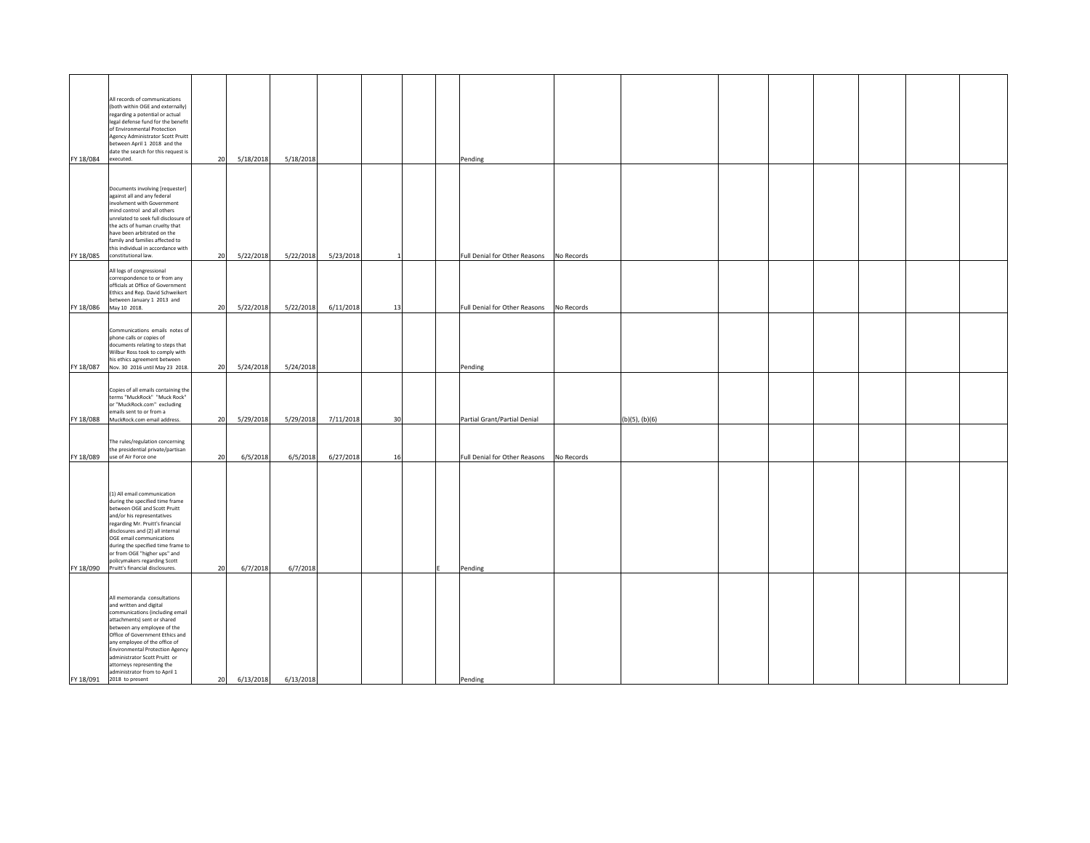| FY 18/084 | All records of communications<br>(both within OGE and externally)<br>regarding a potential or actual<br>legal defense fund for the benefit<br>of Environmental Protection<br>Agency Administrator Scott Pruitt<br>between April 1 2018 and the<br>date the search for this request is<br>executed.                                                                                                 | 20 | 5/18/2018 | 5/18/2018 |           |    |  | Pending                       |            |                     |  |  |  |
|-----------|----------------------------------------------------------------------------------------------------------------------------------------------------------------------------------------------------------------------------------------------------------------------------------------------------------------------------------------------------------------------------------------------------|----|-----------|-----------|-----------|----|--|-------------------------------|------------|---------------------|--|--|--|
|           |                                                                                                                                                                                                                                                                                                                                                                                                    |    |           |           |           |    |  |                               |            |                     |  |  |  |
| FY 18/085 | Documents involving [requester]<br>against all and any federal<br>involvment with Government<br>mind control and all others<br>unrelated to seek full disclosure o<br>the acts of human cruelty that<br>have been arbitrated on the<br>family and families affected to<br>this individual in accordance with<br>constitutional law.                                                                | 20 | 5/22/2018 | 5/22/2018 | 5/23/2018 |    |  | Full Denial for Other Reasons | No Records |                     |  |  |  |
|           |                                                                                                                                                                                                                                                                                                                                                                                                    |    |           |           |           |    |  |                               |            |                     |  |  |  |
| FY 18/086 | All logs of congressional<br>correspondence to or from any<br>officials at Office of Government<br>Ethics and Rep. David Schweikert<br>between January 1 2013 and<br>May 10 2018.                                                                                                                                                                                                                  | 20 | 5/22/2018 | 5/22/2018 | 6/11/2018 | 13 |  | Full Denial for Other Reasons | No Records |                     |  |  |  |
|           |                                                                                                                                                                                                                                                                                                                                                                                                    |    |           |           |           |    |  |                               |            |                     |  |  |  |
| FY 18/087 | Communications emails notes of<br>phone calls or copies of<br>documents relating to steps that<br>Wilbur Ross took to comply with<br>his ethics agreement between<br>Nov. 30 2016 until May 23 2018.                                                                                                                                                                                               | 20 | 5/24/2018 | 5/24/2018 |           |    |  | Pending                       |            |                     |  |  |  |
| FY 18/088 | Copies of all emails containing the<br>terms "MuckRock" "Muck Rock"<br>or "MuckRock.com" excluding<br>emails sent to or from a<br>MuckRock.com email address.                                                                                                                                                                                                                                      | 20 | 5/29/2018 | 5/29/2018 | 7/11/2018 | 30 |  | Partial Grant/Partial Denial  |            | $(b)(5)$ , $(b)(6)$ |  |  |  |
|           |                                                                                                                                                                                                                                                                                                                                                                                                    |    |           |           |           |    |  |                               |            |                     |  |  |  |
| FY 18/089 | The rules/regulation concerning<br>the presidential private/partisan<br>use of Air Force one                                                                                                                                                                                                                                                                                                       | 20 | 6/5/2018  | 6/5/2018  | 6/27/2018 | 16 |  | Full Denial for Other Reasons | No Records |                     |  |  |  |
| FY 18/090 | (1) All email communication<br>during the specified time frame<br>between OGE and Scott Pruitt<br>and/or his representatives<br>regarding Mr. Pruitt's financial<br>disclosures and (2) all internal<br>OGE email communications<br>during the specified time frame to<br>or from OGE "higher ups" and<br>policymakers regarding Scott<br>Pruitt's financial disclosures.                          | 20 | 6/7/2018  | 6/7/2018  |           |    |  | Pending                       |            |                     |  |  |  |
|           |                                                                                                                                                                                                                                                                                                                                                                                                    |    |           |           |           |    |  |                               |            |                     |  |  |  |
|           | All memoranda consultations<br>and written and digital<br>communications (including email<br>attachments) sent or shared<br>between any employee of the<br>Office of Government Ethics and<br>any employee of the office of<br><b>Environmental Protection Agency</b><br>administrator Scott Pruitt or<br>attorneys representing the<br>administrator from to April 1<br>FY 18/091 2018 to present | 20 | 6/13/2018 | 6/13/2018 |           |    |  | Pending                       |            |                     |  |  |  |
|           |                                                                                                                                                                                                                                                                                                                                                                                                    |    |           |           |           |    |  |                               |            |                     |  |  |  |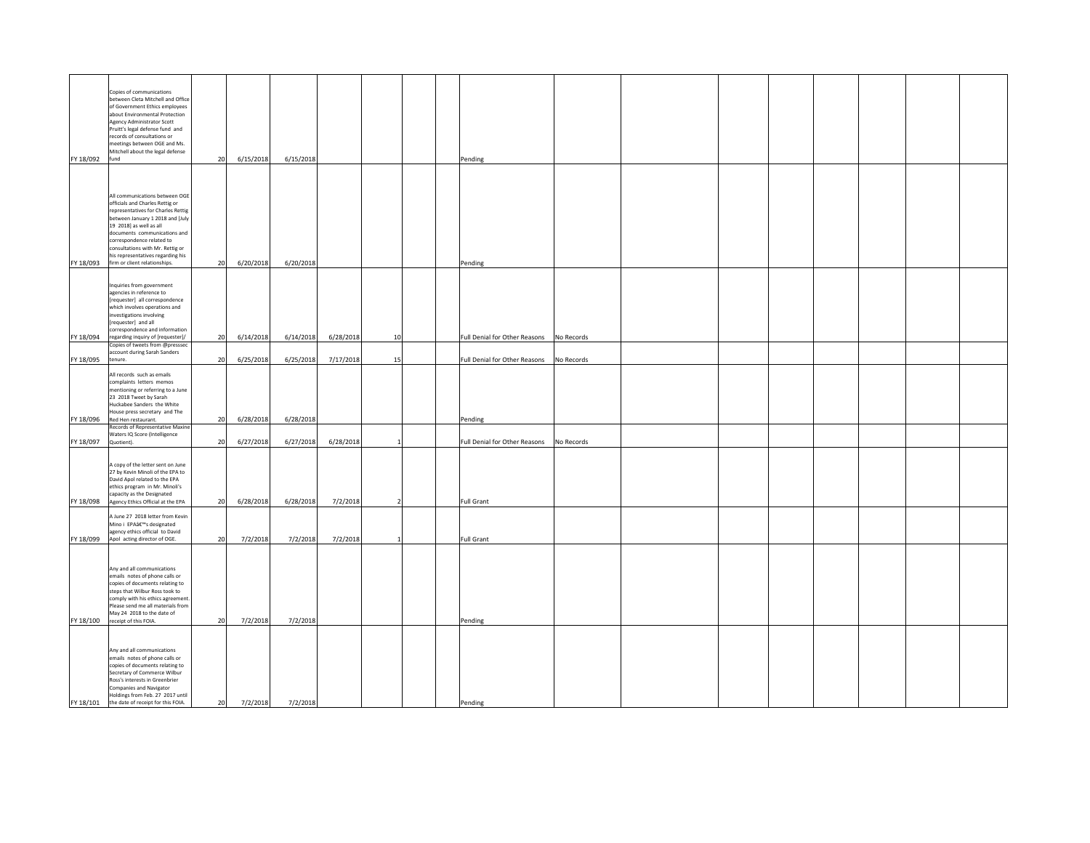| FY 18/092 | Copies of communications<br>between Cleta Mitchell and Office<br>of Government Ethics employees<br>about Environmental Protection<br>Agency Administrator Scott<br>Pruitt's legal defense fund and<br>records of consultations or<br>meetings between OGE and Ms.<br>Mitchell about the legal defense<br>fund                                | 20 | 6/15/2018 | 6/15/2018 |           |                          | Pending                       |            |  |  |  |
|-----------|----------------------------------------------------------------------------------------------------------------------------------------------------------------------------------------------------------------------------------------------------------------------------------------------------------------------------------------------|----|-----------|-----------|-----------|--------------------------|-------------------------------|------------|--|--|--|
| FY 18/093 | All communications between OGE<br>officials and Charles Rettig or<br>representatives for Charles Rettig<br>between January 1 2018 and [July<br>19 2018] as well as all<br>documents communications and<br>correspondence related to<br>onsultations with Mr. Rettig or<br>his representatives regarding his<br>firm or client relationships. | 20 | 6/20/2018 | 6/20/2018 |           |                          | Pending                       |            |  |  |  |
| FY 18/094 | Inquiries from government<br>agencies in reference to<br>[requester] all correspondence<br>which involves operations and<br>nvestigations involving<br>requester] and all<br>correspondence and information<br>regarding inquiry of [requester]/                                                                                             | 20 | 6/14/2018 | 6/14/2018 | 6/28/2018 | 10                       | Full Denial for Other Reasons | No Records |  |  |  |
|           | Copies of tweets from @presssec<br>account during Sarah Sanders                                                                                                                                                                                                                                                                              |    |           |           |           |                          |                               |            |  |  |  |
| FY 18/095 | tenure.                                                                                                                                                                                                                                                                                                                                      | 20 | 6/25/2018 | 6/25/2018 | 7/17/2018 | 15                       | Full Denial for Other Reasons | No Records |  |  |  |
| FY 18/096 | All records such as emails<br>complaints letters memos<br>mentioning or referring to a June<br>23 2018 Tweet by Sarah<br>Huckabee Sanders the White<br>House press secretary and The<br>Red Hen restaurant.                                                                                                                                  | 20 | 6/28/2018 | 6/28/2018 |           |                          | Pending                       |            |  |  |  |
|           | <b>Records of Representative Maxine</b><br>Waters IQ Score (Intelligence                                                                                                                                                                                                                                                                     |    |           |           |           |                          |                               |            |  |  |  |
| FY 18/097 | Quotient).                                                                                                                                                                                                                                                                                                                                   | 20 | 6/27/2018 | 6/27/2018 | 6/28/2018 | $\overline{1}$           | Full Denial for Other Reasons | No Records |  |  |  |
| FY 18/098 | A copy of the letter sent on June<br>27 by Kevin Minoli of the EPA to<br>David Apol related to the EPA<br>ethics program in Mr. Minoli's<br>capacity as the Designated<br>Agency Ethics Official at the EPA                                                                                                                                  | 20 | 6/28/2018 | 6/28/2018 | 7/2/2018  | $\overline{\phantom{a}}$ | Full Grant                    |            |  |  |  |
|           | A June 27 2018 letter from Kevin                                                                                                                                                                                                                                                                                                             |    |           |           |           |                          |                               |            |  |  |  |
| FY 18/099 | Mino i EPA候s designated<br>agency ethics official to David<br>Apol acting director of OGE.                                                                                                                                                                                                                                                   | 20 | 7/2/2018  | 7/2/2018  | 7/2/2018  |                          | <b>Full Grant</b>             |            |  |  |  |
|           | Any and all communications<br>emails notes of phone calls or<br>copies of documents relating to<br>steps that Wilbur Ross took to<br>comply with his ethics agreement.<br>Please send me all materials from<br>May 24 2018 to the date of                                                                                                    |    |           |           |           |                          |                               |            |  |  |  |
| FY 18/100 | receipt of this FOIA.                                                                                                                                                                                                                                                                                                                        | 20 | 7/2/2018  | 7/2/2018  |           |                          | Pending                       |            |  |  |  |
| FY 18/101 | Any and all communications<br>emails notes of phone calls or<br>copies of documents relating to<br>Secretary of Commerce Wilbur<br>Ross's interests in Greenbrier<br>Companies and Navigator<br>Holdings from Feb. 27 2017 until<br>the date of receipt for this FOIA.                                                                       | 20 | 7/2/2018  | 7/2/2018  |           |                          | Pending                       |            |  |  |  |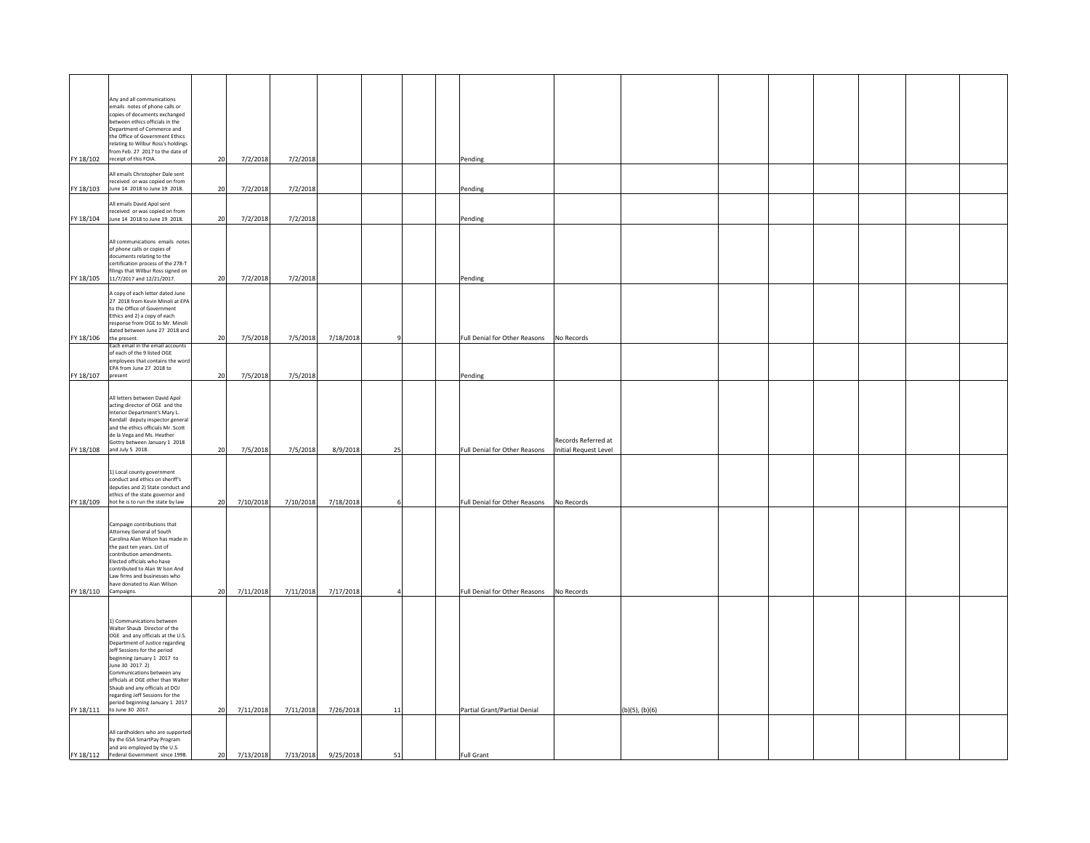|                      | Any and all communications                                             |    |           |           |           |    |                                             |                                              |                |  |  |  |
|----------------------|------------------------------------------------------------------------|----|-----------|-----------|-----------|----|---------------------------------------------|----------------------------------------------|----------------|--|--|--|
|                      | emails notes of phone calls or<br>copies of documents exchanged        |    |           |           |           |    |                                             |                                              |                |  |  |  |
|                      | between ethics officials in the                                        |    |           |           |           |    |                                             |                                              |                |  |  |  |
|                      | Department of Commerce and<br>he Office of Government Ethics           |    |           |           |           |    |                                             |                                              |                |  |  |  |
|                      | relating to Wilbur Ross's holdings                                     |    |           |           |           |    |                                             |                                              |                |  |  |  |
|                      | from Feb. 27 2017 to the date of                                       |    |           |           |           |    |                                             |                                              |                |  |  |  |
|                      | FY 18/102 receipt of this FOIA.                                        | 20 | 7/2/2018  | 7/2/2018  |           |    | Pending                                     |                                              |                |  |  |  |
|                      | All emails Christopher Dale sent                                       |    |           |           |           |    |                                             |                                              |                |  |  |  |
| FY 18/103            | received or was copied on from<br>June 14 2018 to June 19 2018.        | 20 | 7/2/2018  | 7/2/2018  |           |    | Pending                                     |                                              |                |  |  |  |
|                      |                                                                        |    |           |           |           |    |                                             |                                              |                |  |  |  |
|                      | All emails David Apol sent<br>received or was copied on from           |    |           |           |           |    |                                             |                                              |                |  |  |  |
|                      | FY 18/104 June 14 2018 to June 19 2018.                                | 20 | 7/2/2018  | 7/2/2018  |           |    | Pending                                     |                                              |                |  |  |  |
|                      |                                                                        |    |           |           |           |    |                                             |                                              |                |  |  |  |
|                      | All communications emails notes                                        |    |           |           |           |    |                                             |                                              |                |  |  |  |
|                      | of phone calls or copies of                                            |    |           |           |           |    |                                             |                                              |                |  |  |  |
|                      | documents relating to the<br>certification process of the 278-T        |    |           |           |           |    |                                             |                                              |                |  |  |  |
|                      | filings that Wilbur Ross signed on                                     |    |           |           |           |    |                                             |                                              |                |  |  |  |
|                      | FY 18/105 11/7/2017 and 12/21/2017.                                    | 20 | 7/2/2018  | 7/2/2018  |           |    | Pending                                     |                                              |                |  |  |  |
|                      | A copy of each letter dated June                                       |    |           |           |           |    |                                             |                                              |                |  |  |  |
|                      | 27 2018 from Kevin Minoli at EPA<br>to the Office of Government        |    |           |           |           |    |                                             |                                              |                |  |  |  |
|                      | Ethics and 2) a copy of each                                           |    |           |           |           |    |                                             |                                              |                |  |  |  |
|                      | response from OGE to Mr. Minoli<br>dated between June 27 2018 and      |    |           |           |           |    |                                             |                                              |                |  |  |  |
| FY 18/106            | the present.                                                           | 20 | 7/5/2018  | 7/5/2018  | 7/18/2018 |    | Full Denial for Other Reasons               | No Records                                   |                |  |  |  |
|                      | Each email in the email accounts                                       |    |           |           |           |    |                                             |                                              |                |  |  |  |
|                      | of each of the 9 listed OGE<br>employees that contains the word        |    |           |           |           |    |                                             |                                              |                |  |  |  |
| FY 18/107 present    | EPA from June 27 2018 to                                               | 20 |           |           |           |    |                                             |                                              |                |  |  |  |
|                      |                                                                        |    | 7/5/2018  | 7/5/2018  |           |    | Pending                                     |                                              |                |  |  |  |
|                      |                                                                        |    |           |           |           |    |                                             |                                              |                |  |  |  |
|                      | All letters between David Apol<br>acting director of OGE and the       |    |           |           |           |    |                                             |                                              |                |  |  |  |
|                      | Interior Department's Mary L.                                          |    |           |           |           |    |                                             |                                              |                |  |  |  |
|                      | Kendall deputy inspector general<br>and the ethics officials Mr. Scott |    |           |           |           |    |                                             |                                              |                |  |  |  |
|                      | de la Vega and Ms. Heather                                             |    |           |           |           |    |                                             |                                              |                |  |  |  |
|                      | Gottry between January 1 2018<br>FY 18/108 and July 5 2018.            | 20 | 7/5/2018  | 7/5/2018  | 8/9/2018  | 25 | Full Denial for Other Reasons               | Records Referred at<br>Initial Request Level |                |  |  |  |
|                      |                                                                        |    |           |           |           |    |                                             |                                              |                |  |  |  |
|                      | 1) Local county government                                             |    |           |           |           |    |                                             |                                              |                |  |  |  |
|                      | conduct and ethics on sheriff's                                        |    |           |           |           |    |                                             |                                              |                |  |  |  |
|                      | deputies and 2) State conduct and<br>ethics of the state governor and  |    |           |           |           |    |                                             |                                              |                |  |  |  |
|                      | FY 18/109 hot he is to run the state by law                            | 20 | 7/10/2018 | 7/10/2018 | 7/18/2018 |    | Full Denial for Other Reasons No Records    |                                              |                |  |  |  |
|                      |                                                                        |    |           |           |           |    |                                             |                                              |                |  |  |  |
|                      | Campaign contributions that                                            |    |           |           |           |    |                                             |                                              |                |  |  |  |
|                      | Attorney General of South                                              |    |           |           |           |    |                                             |                                              |                |  |  |  |
|                      | Carolina Alan Wilson has made in<br>the past ten years. List of        |    |           |           |           |    |                                             |                                              |                |  |  |  |
|                      | contribution amendments.                                               |    |           |           |           |    |                                             |                                              |                |  |  |  |
|                      | Elected officials who have<br>contributed to Alan W Ison And           |    |           |           |           |    |                                             |                                              |                |  |  |  |
|                      | Law firms and businesses who                                           |    |           |           |           |    |                                             |                                              |                |  |  |  |
| FY 18/110 Campaigns. | have donated to Alan Wilson                                            | 20 | 7/11/2018 | 7/11/2018 | 7/17/2018 |    | Full Denial for Other Reasons    No Records |                                              |                |  |  |  |
|                      |                                                                        |    |           |           |           |    |                                             |                                              |                |  |  |  |
|                      |                                                                        |    |           |           |           |    |                                             |                                              |                |  |  |  |
|                      | 1) Communications between                                              |    |           |           |           |    |                                             |                                              |                |  |  |  |
|                      | Walter Shaub Director of the<br>OGE and any officials at the U.S.      |    |           |           |           |    |                                             |                                              |                |  |  |  |
|                      | Department of Justice regarding                                        |    |           |           |           |    |                                             |                                              |                |  |  |  |
|                      | Jeff Sessions for the period<br>beginning January 1 2017 to            |    |           |           |           |    |                                             |                                              |                |  |  |  |
|                      | June 30 2017. 2)                                                       |    |           |           |           |    |                                             |                                              |                |  |  |  |
|                      | Communications between any<br>officials at OGE other than Walter       |    |           |           |           |    |                                             |                                              |                |  |  |  |
|                      | Shaub and any officials at DOJ                                         |    |           |           |           |    |                                             |                                              |                |  |  |  |
|                      | regarding Jeff Sessions for the<br>period beginning January 1 2017     |    |           |           |           |    |                                             |                                              |                |  |  |  |
|                      | FY 18/111 to June 30 2017.                                             | 20 | 7/11/2018 | 7/11/2018 | 7/26/2018 | 11 | Partial Grant/Partial Denial                |                                              | (b)(5), (b)(6) |  |  |  |
|                      |                                                                        |    |           |           |           |    |                                             |                                              |                |  |  |  |
|                      | All cardholders who are supported                                      |    |           |           |           |    |                                             |                                              |                |  |  |  |
|                      | by the GSA SmartPay Program<br>and are employed by the U.S.            |    |           |           |           |    |                                             |                                              |                |  |  |  |
|                      | FY 18/112 Federal Government since 1998.                               | 20 | 7/13/2018 | 7/13/2018 | 9/25/2018 | 51 | <b>Full Grant</b>                           |                                              |                |  |  |  |